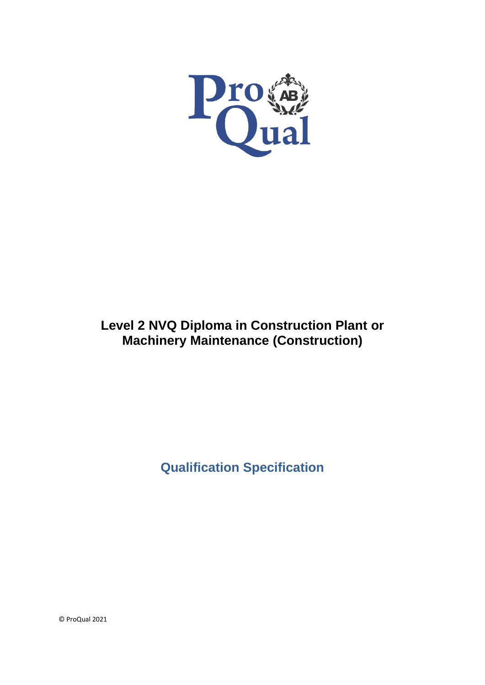

# **Level 2 NVQ Diploma in Construction Plant or Machinery Maintenance (Construction)**

**Qualification Specification**

© ProQual 2021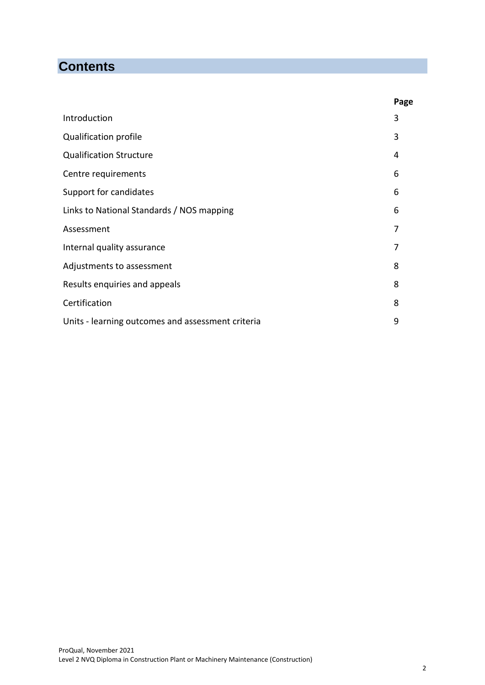# **Contents**

|                                                   | Page |
|---------------------------------------------------|------|
| Introduction                                      | 3    |
| Qualification profile                             | 3    |
| <b>Qualification Structure</b>                    | 4    |
| Centre requirements                               | 6    |
| Support for candidates                            | 6    |
| Links to National Standards / NOS mapping         | 6    |
| Assessment                                        | 7    |
| Internal quality assurance                        | 7    |
| Adjustments to assessment                         | 8    |
| Results enquiries and appeals                     | 8    |
| Certification                                     | 8    |
| Units - learning outcomes and assessment criteria | 9    |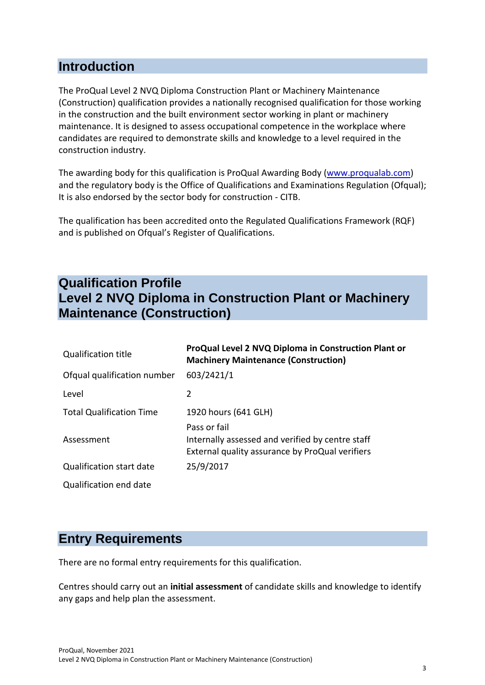### **Introduction**

The ProQual Level 2 NVQ Diploma Construction Plant or Machinery Maintenance (Construction) qualification provides a nationally recognised qualification for those working in the construction and the built environment sector working in plant or machinery maintenance. It is designed to assess occupational competence in the workplace where candidates are required to demonstrate skills and knowledge to a level required in the construction industry.

The awarding body for this qualification is ProQual Awarding Body [\(www.proqualab.com\)](http://www.proqualab.com/) and the regulatory body is the Office of Qualifications and Examinations Regulation (Ofqual); It is also endorsed by the sector body for construction - CITB.

The qualification has been accredited onto the Regulated Qualifications Framework (RQF) and is published on Ofqual's Register of Qualifications.

## **Qualification Profile Level 2 NVQ Diploma in Construction Plant or Machinery Maintenance (Construction)**

| <b>Qualification title</b>      | ProQual Level 2 NVQ Diploma in Construction Plant or<br><b>Machinery Maintenance (Construction)</b>                 |
|---------------------------------|---------------------------------------------------------------------------------------------------------------------|
| Ofqual qualification number     | 603/2421/1                                                                                                          |
| Level                           | $\overline{2}$                                                                                                      |
| <b>Total Qualification Time</b> | 1920 hours (641 GLH)                                                                                                |
| Assessment                      | Pass or fail<br>Internally assessed and verified by centre staff<br>External quality assurance by ProQual verifiers |
| Qualification start date        | 25/9/2017                                                                                                           |
| Qualification end date          |                                                                                                                     |

### **Entry Requirements**

There are no formal entry requirements for this qualification.

Centres should carry out an **initial assessment** of candidate skills and knowledge to identify any gaps and help plan the assessment.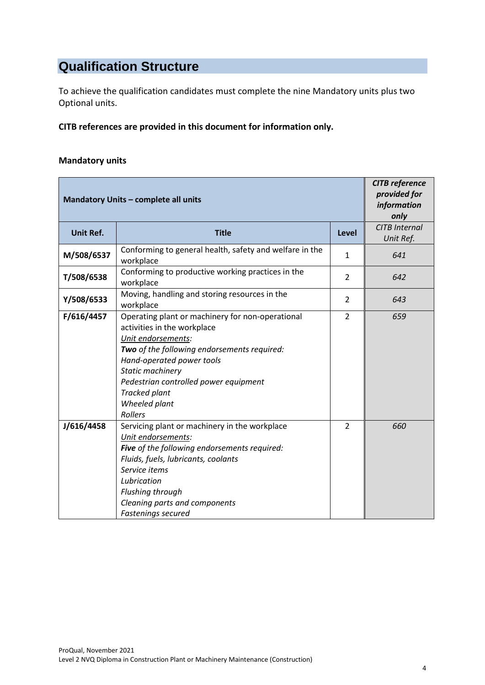# **Qualification Structure**

To achieve the qualification candidates must complete the nine Mandatory units plus two Optional units.

**CITB references are provided in this document for information only.**

#### **Mandatory units**

| Mandatory Units - complete all units | <b>CITB</b> reference<br>provided for<br>information<br>only                                                                                                                                                                                                                                       |                |                                   |
|--------------------------------------|----------------------------------------------------------------------------------------------------------------------------------------------------------------------------------------------------------------------------------------------------------------------------------------------------|----------------|-----------------------------------|
| <b>Unit Ref.</b>                     | <b>Title</b>                                                                                                                                                                                                                                                                                       | Level          | <b>CITB Internal</b><br>Unit Ref. |
| M/508/6537                           | Conforming to general health, safety and welfare in the<br>workplace                                                                                                                                                                                                                               | 1              | 641                               |
| T/508/6538                           | Conforming to productive working practices in the<br>workplace                                                                                                                                                                                                                                     | 2              | 642                               |
| Y/508/6533                           | Moving, handling and storing resources in the<br>workplace                                                                                                                                                                                                                                         | $\overline{2}$ | 643                               |
| F/616/4457                           | Operating plant or machinery for non-operational<br>activities in the workplace<br>Unit endorsements:<br>Two of the following endorsements required:<br>Hand-operated power tools<br>Static machinery<br>Pedestrian controlled power equipment<br><b>Tracked plant</b><br>Wheeled plant<br>Rollers | $\overline{2}$ | 659                               |
| J/616/4458                           | Servicing plant or machinery in the workplace<br>Unit endorsements:<br>Five of the following endorsements required:<br>Fluids, fuels, lubricants, coolants<br>Service items<br>Lubrication<br>Flushing through<br>Cleaning parts and components<br>Fastenings secured                              | $\overline{2}$ | 660                               |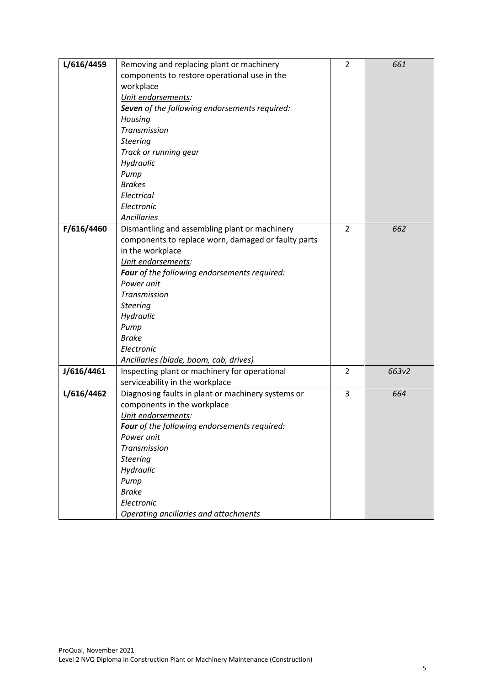| L/616/4459 | Removing and replacing plant or machinery           | $\overline{2}$ | 661   |
|------------|-----------------------------------------------------|----------------|-------|
|            | components to restore operational use in the        |                |       |
|            | workplace                                           |                |       |
|            | Unit endorsements:                                  |                |       |
|            | Seven of the following endorsements required:       |                |       |
|            | Housing                                             |                |       |
|            | Transmission                                        |                |       |
|            | <b>Steering</b>                                     |                |       |
|            | Track or running gear                               |                |       |
|            | Hydraulic                                           |                |       |
|            | Pump                                                |                |       |
|            | <b>Brakes</b>                                       |                |       |
|            | Electrical                                          |                |       |
|            | Electronic                                          |                |       |
|            | <b>Ancillaries</b>                                  |                |       |
| F/616/4460 | Dismantling and assembling plant or machinery       | $\overline{2}$ | 662   |
|            | components to replace worn, damaged or faulty parts |                |       |
|            | in the workplace                                    |                |       |
|            | Unit endorsements:                                  |                |       |
|            | Four of the following endorsements required:        |                |       |
|            | Power unit                                          |                |       |
|            | Transmission                                        |                |       |
|            | <b>Steering</b>                                     |                |       |
|            | Hydraulic                                           |                |       |
|            | Pump                                                |                |       |
|            | <b>Brake</b>                                        |                |       |
|            | Electronic                                          |                |       |
|            | Ancillaries (blade, boom, cab, drives)              |                |       |
| J/616/4461 | Inspecting plant or machinery for operational       | 2              | 663v2 |
|            | serviceability in the workplace                     |                |       |
| L/616/4462 | Diagnosing faults in plant or machinery systems or  | 3              | 664   |
|            | components in the workplace                         |                |       |
|            | Unit endorsements:                                  |                |       |
|            | Four of the following endorsements required:        |                |       |
|            | Power unit                                          |                |       |
|            | Transmission                                        |                |       |
|            | <b>Steering</b>                                     |                |       |
|            | Hydraulic                                           |                |       |
|            | Pump                                                |                |       |
|            | <b>Brake</b>                                        |                |       |
|            | Electronic                                          |                |       |
|            | Operating ancillaries and attachments               |                |       |
|            |                                                     |                |       |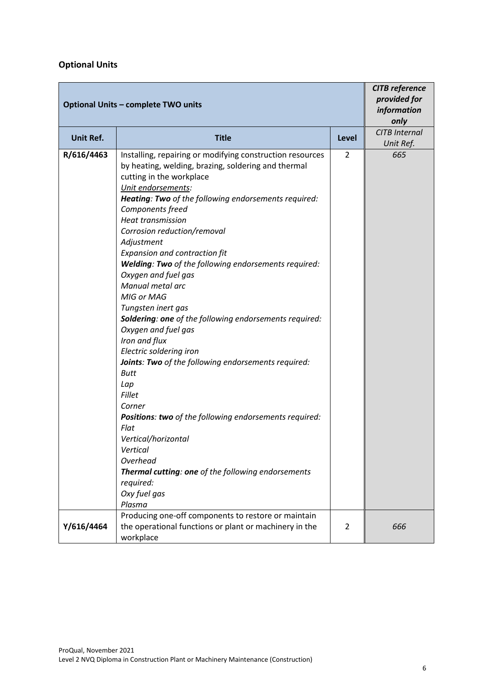#### **Optional Units**

| <b>Optional Units - complete TWO units</b> | <b>CITB</b> reference<br>provided for<br>information<br>only                                                                                                                                                                                                                                                                                                                                                                                                                                                                                                                                                                                                                                                                                                                                                                                                                                                                                              |                |                                   |
|--------------------------------------------|-----------------------------------------------------------------------------------------------------------------------------------------------------------------------------------------------------------------------------------------------------------------------------------------------------------------------------------------------------------------------------------------------------------------------------------------------------------------------------------------------------------------------------------------------------------------------------------------------------------------------------------------------------------------------------------------------------------------------------------------------------------------------------------------------------------------------------------------------------------------------------------------------------------------------------------------------------------|----------------|-----------------------------------|
| <b>Unit Ref.</b>                           | <b>Title</b>                                                                                                                                                                                                                                                                                                                                                                                                                                                                                                                                                                                                                                                                                                                                                                                                                                                                                                                                              | Level          | <b>CITB Internal</b><br>Unit Ref. |
| R/616/4463                                 | Installing, repairing or modifying construction resources<br>by heating, welding, brazing, soldering and thermal<br>cutting in the workplace<br>Unit endorsements:<br>Heating: Two of the following endorsements required:<br>Components freed<br><b>Heat transmission</b><br>Corrosion reduction/removal<br>Adjustment<br>Expansion and contraction fit<br>Welding: Two of the following endorsements required:<br>Oxygen and fuel gas<br>Manual metal arc<br>MIG or MAG<br>Tungsten inert gas<br><b>Soldering: one</b> of the following endorsements required:<br>Oxygen and fuel gas<br>Iron and flux<br>Electric soldering iron<br>Joints: Two of the following endorsements required:<br><b>Butt</b><br>Lap<br><b>Fillet</b><br>Corner<br>Positions: two of the following endorsements required:<br>Flat<br>Vertical/horizontal<br>Vertical<br>Overhead<br>Thermal cutting: one of the following endorsements<br>required:<br>Oxy fuel gas<br>Plasma | $\overline{2}$ | 665                               |
| Y/616/4464                                 | Producing one-off components to restore or maintain<br>the operational functions or plant or machinery in the<br>workplace                                                                                                                                                                                                                                                                                                                                                                                                                                                                                                                                                                                                                                                                                                                                                                                                                                | 2              | 666                               |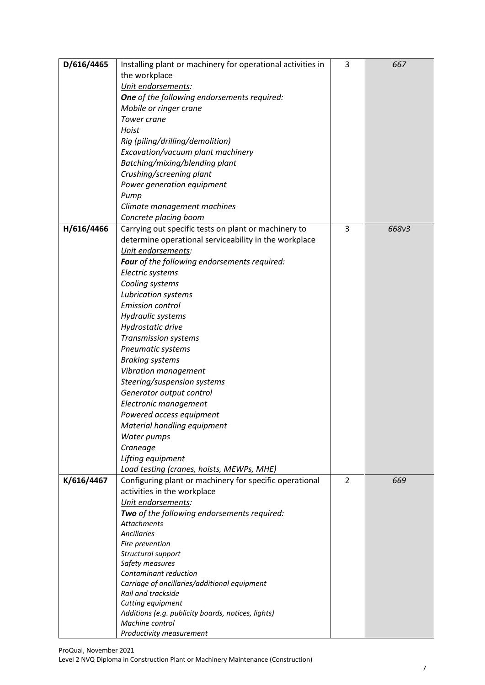| D/616/4465 | Installing plant or machinery for operational activities in           | 3              | 667   |
|------------|-----------------------------------------------------------------------|----------------|-------|
|            | the workplace                                                         |                |       |
|            | Unit endorsements:                                                    |                |       |
|            | One of the following endorsements required:                           |                |       |
|            | Mobile or ringer crane                                                |                |       |
|            | <b>Tower crane</b>                                                    |                |       |
|            | Hoist                                                                 |                |       |
|            | Rig (piling/drilling/demolition)                                      |                |       |
|            | Excavation/vacuum plant machinery                                     |                |       |
|            | Batching/mixing/blending plant                                        |                |       |
|            | Crushing/screening plant                                              |                |       |
|            | Power generation equipment                                            |                |       |
|            | Pump                                                                  |                |       |
|            | Climate management machines                                           |                |       |
|            | Concrete placing boom                                                 |                |       |
| H/616/4466 | Carrying out specific tests on plant or machinery to                  | 3              | 668v3 |
|            | determine operational serviceability in the workplace                 |                |       |
|            | Unit endorsements:                                                    |                |       |
|            | Four of the following endorsements required:                          |                |       |
|            | Electric systems                                                      |                |       |
|            | Cooling systems                                                       |                |       |
|            | Lubrication systems                                                   |                |       |
|            | <b>Emission control</b>                                               |                |       |
|            | Hydraulic systems                                                     |                |       |
|            | Hydrostatic drive                                                     |                |       |
|            | Transmission systems                                                  |                |       |
|            | Pneumatic systems                                                     |                |       |
|            | <b>Braking systems</b>                                                |                |       |
|            | Vibration management                                                  |                |       |
|            | Steering/suspension systems                                           |                |       |
|            | Generator output control                                              |                |       |
|            | Electronic management                                                 |                |       |
|            | Powered access equipment                                              |                |       |
|            | Material handling equipment                                           |                |       |
|            | Water pumps                                                           |                |       |
|            | Craneage                                                              |                |       |
|            | Lifting equipment                                                     |                |       |
|            | Load testing (cranes, hoists, MEWPs, MHE)                             |                |       |
| K/616/4467 | Configuring plant or machinery for specific operational               | $\overline{2}$ | 669   |
|            | activities in the workplace                                           |                |       |
|            | Unit endorsements:                                                    |                |       |
|            | Two of the following endorsements required:                           |                |       |
|            | <b>Attachments</b>                                                    |                |       |
|            | <b>Ancillaries</b>                                                    |                |       |
|            | Fire prevention                                                       |                |       |
|            | Structural support                                                    |                |       |
|            | Safety measures                                                       |                |       |
|            | Contaminant reduction                                                 |                |       |
|            | Carriage of ancillaries/additional equipment                          |                |       |
|            | Rail and trackside                                                    |                |       |
|            | Cutting equipment                                                     |                |       |
|            | Additions (e.g. publicity boards, notices, lights)<br>Machine control |                |       |
|            | Productivity measurement                                              |                |       |
|            |                                                                       |                |       |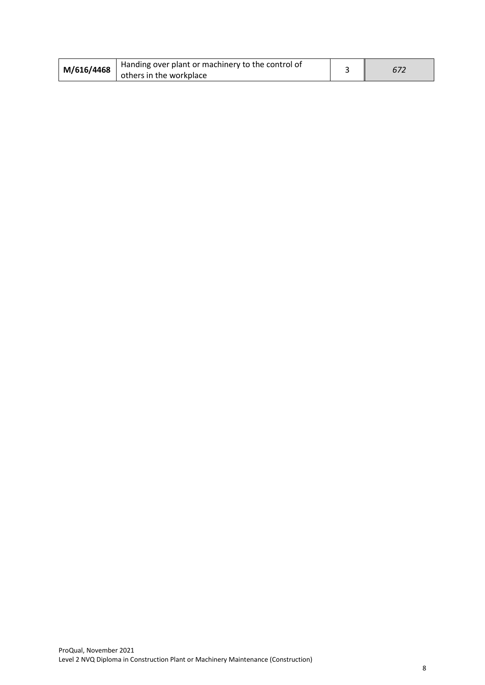| M/616/4468 | Handing over plant or machinery to the control of |  |
|------------|---------------------------------------------------|--|
|            | others in the workplace                           |  |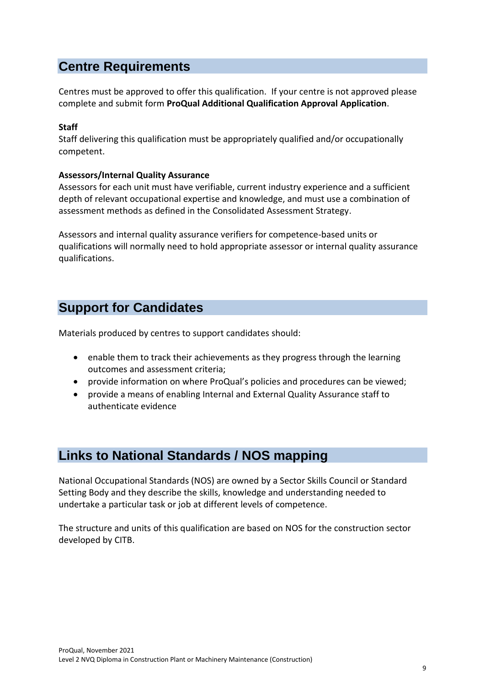## **Centre Requirements**

Centres must be approved to offer this qualification. If your centre is not approved please complete and submit form **ProQual Additional Qualification Approval Application**.

#### **Staff**

Staff delivering this qualification must be appropriately qualified and/or occupationally competent.

#### **Assessors/Internal Quality Assurance**

Assessors for each unit must have verifiable, current industry experience and a sufficient depth of relevant occupational expertise and knowledge, and must use a combination of assessment methods as defined in the Consolidated Assessment Strategy.

Assessors and internal quality assurance verifiers for competence-based units or qualifications will normally need to hold appropriate assessor or internal quality assurance qualifications.

## **Support for Candidates**

Materials produced by centres to support candidates should:

- enable them to track their achievements as they progress through the learning outcomes and assessment criteria;
- provide information on where ProQual's policies and procedures can be viewed;
- provide a means of enabling Internal and External Quality Assurance staff to authenticate evidence

### **Links to National Standards / NOS mapping**

National Occupational Standards (NOS) are owned by a Sector Skills Council or Standard Setting Body and they describe the skills, knowledge and understanding needed to undertake a particular task or job at different levels of competence.

The structure and units of this qualification are based on NOS for the construction sector developed by CITB.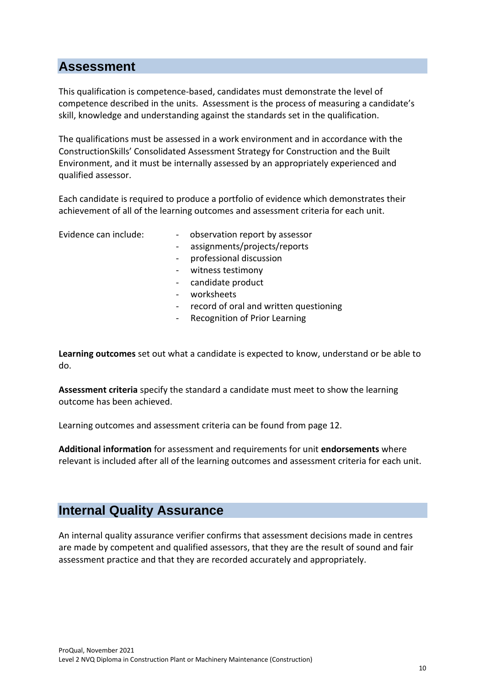### **Assessment**

This qualification is competence-based, candidates must demonstrate the level of competence described in the units. Assessment is the process of measuring a candidate's skill, knowledge and understanding against the standards set in the qualification.

The qualifications must be assessed in a work environment and in accordance with the ConstructionSkills' Consolidated Assessment Strategy for Construction and the Built Environment, and it must be internally assessed by an appropriately experienced and qualified assessor.

Each candidate is required to produce a portfolio of evidence which demonstrates their achievement of all of the learning outcomes and assessment criteria for each unit.

- Evidence can include:  $\qquad \qquad \qquad$  observation report by assessor
	- assignments/projects/reports
	- professional discussion
	- witness testimony
	- candidate product
	- worksheets
	- record of oral and written questioning
	- Recognition of Prior Learning

**Learning outcomes** set out what a candidate is expected to know, understand or be able to do.

**Assessment criteria** specify the standard a candidate must meet to show the learning outcome has been achieved.

Learning outcomes and assessment criteria can be found from page 12.

**Additional information** for assessment and requirements for unit **endorsements** where relevant is included after all of the learning outcomes and assessment criteria for each unit.

### **Internal Quality Assurance**

An internal quality assurance verifier confirms that assessment decisions made in centres are made by competent and qualified assessors, that they are the result of sound and fair assessment practice and that they are recorded accurately and appropriately.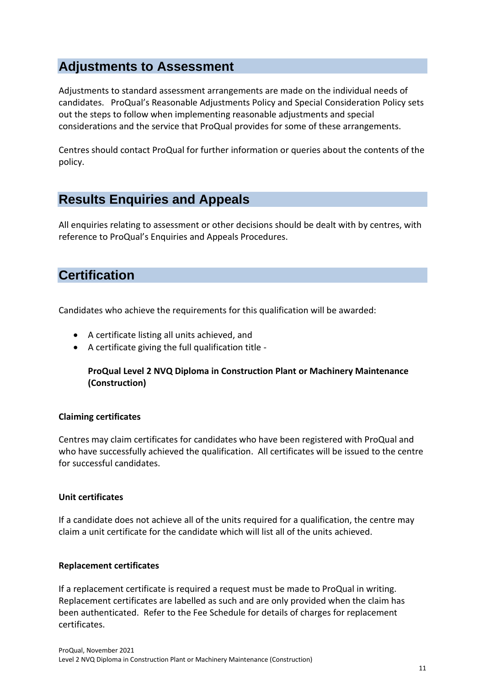## **Adjustments to Assessment**

Adjustments to standard assessment arrangements are made on the individual needs of candidates. ProQual's Reasonable Adjustments Policy and Special Consideration Policy sets out the steps to follow when implementing reasonable adjustments and special considerations and the service that ProQual provides for some of these arrangements.

Centres should contact ProQual for further information or queries about the contents of the policy.

## **Results Enquiries and Appeals**

All enquiries relating to assessment or other decisions should be dealt with by centres, with reference to ProQual's Enquiries and Appeals Procedures.

## **Certification**

Candidates who achieve the requirements for this qualification will be awarded:

- A certificate listing all units achieved, and
- A certificate giving the full qualification title -

#### **ProQual Level 2 NVQ Diploma in Construction Plant or Machinery Maintenance (Construction)**

#### **Claiming certificates**

Centres may claim certificates for candidates who have been registered with ProQual and who have successfully achieved the qualification. All certificates will be issued to the centre for successful candidates.

#### **Unit certificates**

If a candidate does not achieve all of the units required for a qualification, the centre may claim a unit certificate for the candidate which will list all of the units achieved.

#### **Replacement certificates**

If a replacement certificate is required a request must be made to ProQual in writing. Replacement certificates are labelled as such and are only provided when the claim has been authenticated. Refer to the Fee Schedule for details of charges for replacement certificates.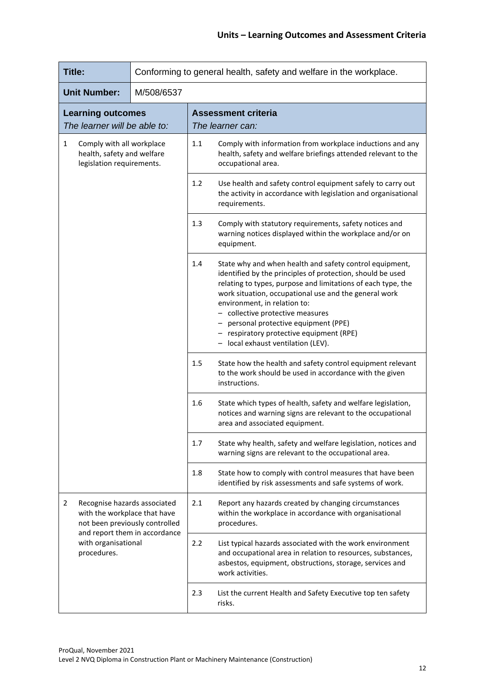| <b>Title:</b>                                                                                                                                                              |                     |            | Conforming to general health, safety and welfare in the workplace.                                                                               |                                                                                                                                                                                                                                                                                                                                                                                                                                         |  |
|----------------------------------------------------------------------------------------------------------------------------------------------------------------------------|---------------------|------------|--------------------------------------------------------------------------------------------------------------------------------------------------|-----------------------------------------------------------------------------------------------------------------------------------------------------------------------------------------------------------------------------------------------------------------------------------------------------------------------------------------------------------------------------------------------------------------------------------------|--|
|                                                                                                                                                                            | <b>Unit Number:</b> | M/508/6537 |                                                                                                                                                  |                                                                                                                                                                                                                                                                                                                                                                                                                                         |  |
| <b>Learning outcomes</b><br>The learner will be able to:                                                                                                                   |                     |            |                                                                                                                                                  | <b>Assessment criteria</b><br>The learner can:                                                                                                                                                                                                                                                                                                                                                                                          |  |
| $\mathbf{1}$<br>Comply with all workplace<br>health, safety and welfare<br>legislation requirements.                                                                       |                     | 1.1        | Comply with information from workplace inductions and any<br>health, safety and welfare briefings attended relevant to the<br>occupational area. |                                                                                                                                                                                                                                                                                                                                                                                                                                         |  |
|                                                                                                                                                                            |                     |            | 1.2                                                                                                                                              | Use health and safety control equipment safely to carry out<br>the activity in accordance with legislation and organisational<br>requirements.                                                                                                                                                                                                                                                                                          |  |
|                                                                                                                                                                            |                     |            | 1.3                                                                                                                                              | Comply with statutory requirements, safety notices and<br>warning notices displayed within the workplace and/or on<br>equipment.                                                                                                                                                                                                                                                                                                        |  |
|                                                                                                                                                                            |                     |            | 1.4                                                                                                                                              | State why and when health and safety control equipment,<br>identified by the principles of protection, should be used<br>relating to types, purpose and limitations of each type, the<br>work situation, occupational use and the general work<br>environment, in relation to:<br>- collective protective measures<br>personal protective equipment (PPE)<br>respiratory protective equipment (RPE)<br>local exhaust ventilation (LEV). |  |
|                                                                                                                                                                            |                     |            | 1.5                                                                                                                                              | State how the health and safety control equipment relevant<br>to the work should be used in accordance with the given<br>instructions.                                                                                                                                                                                                                                                                                                  |  |
|                                                                                                                                                                            |                     |            | 1.6                                                                                                                                              | State which types of health, safety and welfare legislation,<br>notices and warning signs are relevant to the occupational<br>area and associated equipment.                                                                                                                                                                                                                                                                            |  |
|                                                                                                                                                                            |                     |            | 1.7                                                                                                                                              | State why health, safety and welfare legislation, notices and<br>warning signs are relevant to the occupational area.                                                                                                                                                                                                                                                                                                                   |  |
|                                                                                                                                                                            |                     |            | 1.8                                                                                                                                              | State how to comply with control measures that have been<br>identified by risk assessments and safe systems of work.                                                                                                                                                                                                                                                                                                                    |  |
| Recognise hazards associated<br>2<br>with the workplace that have<br>not been previously controlled<br>and report them in accordance<br>with organisational<br>procedures. |                     | 2.1        | Report any hazards created by changing circumstances<br>within the workplace in accordance with organisational<br>procedures.                    |                                                                                                                                                                                                                                                                                                                                                                                                                                         |  |
|                                                                                                                                                                            |                     |            | 2.2                                                                                                                                              | List typical hazards associated with the work environment<br>and occupational area in relation to resources, substances,<br>asbestos, equipment, obstructions, storage, services and<br>work activities.                                                                                                                                                                                                                                |  |
|                                                                                                                                                                            |                     | 2.3        | List the current Health and Safety Executive top ten safety<br>risks.                                                                            |                                                                                                                                                                                                                                                                                                                                                                                                                                         |  |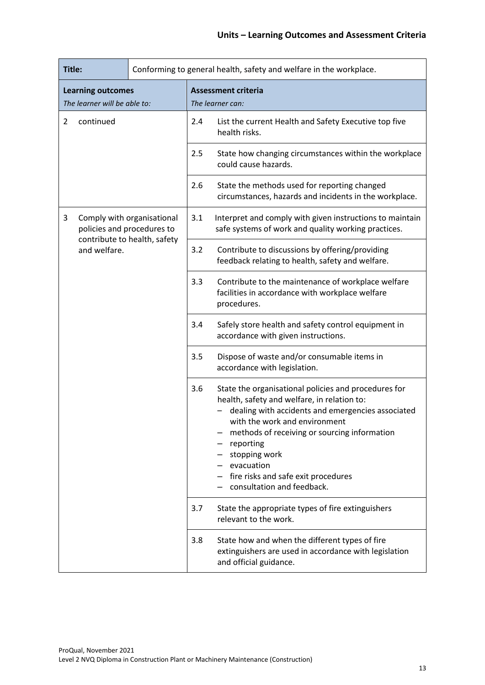| Title:                                                        |           |                                                                                                     | Conforming to general health, safety and welfare in the workplace.                                                                |                                                                                                                                                                                                                                                                                                                                                            |  |
|---------------------------------------------------------------|-----------|-----------------------------------------------------------------------------------------------------|-----------------------------------------------------------------------------------------------------------------------------------|------------------------------------------------------------------------------------------------------------------------------------------------------------------------------------------------------------------------------------------------------------------------------------------------------------------------------------------------------------|--|
| <b>Learning outcomes</b><br>The learner will be able to:      |           |                                                                                                     | <b>Assessment criteria</b><br>The learner can:                                                                                    |                                                                                                                                                                                                                                                                                                                                                            |  |
| $\overline{2}$                                                | continued |                                                                                                     | 2.4                                                                                                                               | List the current Health and Safety Executive top five<br>health risks.                                                                                                                                                                                                                                                                                     |  |
|                                                               |           |                                                                                                     | 2.5                                                                                                                               | State how changing circumstances within the workplace<br>could cause hazards.                                                                                                                                                                                                                                                                              |  |
|                                                               |           |                                                                                                     | 2.6                                                                                                                               | State the methods used for reporting changed<br>circumstances, hazards and incidents in the workplace.                                                                                                                                                                                                                                                     |  |
| 3<br>Comply with organisational<br>policies and procedures to |           | 3.1                                                                                                 | Interpret and comply with given instructions to maintain<br>safe systems of work and quality working practices.                   |                                                                                                                                                                                                                                                                                                                                                            |  |
| contribute to health, safety<br>and welfare.                  | 3.2       | Contribute to discussions by offering/providing<br>feedback relating to health, safety and welfare. |                                                                                                                                   |                                                                                                                                                                                                                                                                                                                                                            |  |
|                                                               |           |                                                                                                     | 3.3                                                                                                                               | Contribute to the maintenance of workplace welfare<br>facilities in accordance with workplace welfare<br>procedures.                                                                                                                                                                                                                                       |  |
|                                                               |           |                                                                                                     | 3.4                                                                                                                               | Safely store health and safety control equipment in<br>accordance with given instructions.                                                                                                                                                                                                                                                                 |  |
|                                                               |           |                                                                                                     | 3.5                                                                                                                               | Dispose of waste and/or consumable items in<br>accordance with legislation.                                                                                                                                                                                                                                                                                |  |
|                                                               |           | 3.6                                                                                                 |                                                                                                                                   | State the organisational policies and procedures for<br>health, safety and welfare, in relation to:<br>dealing with accidents and emergencies associated<br>with the work and environment<br>methods of receiving or sourcing information<br>reporting<br>stopping work<br>evacuation<br>fire risks and safe exit procedures<br>consultation and feedback. |  |
|                                                               |           |                                                                                                     | 3.7                                                                                                                               | State the appropriate types of fire extinguishers<br>relevant to the work.                                                                                                                                                                                                                                                                                 |  |
|                                                               |           | 3.8                                                                                                 | State how and when the different types of fire<br>extinguishers are used in accordance with legislation<br>and official guidance. |                                                                                                                                                                                                                                                                                                                                                            |  |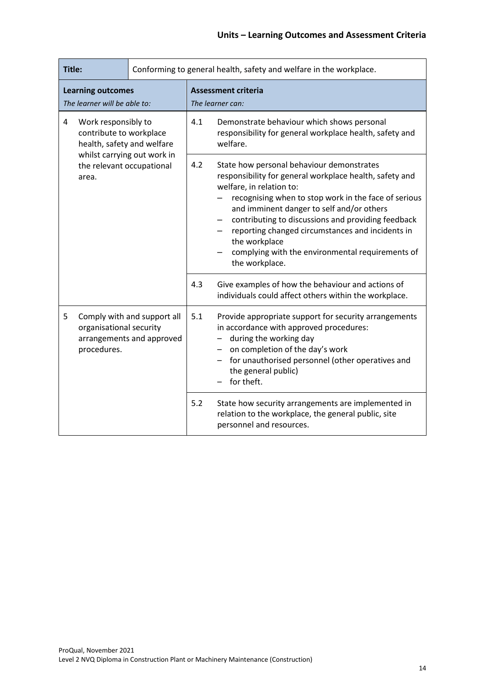| Title:                                                                                                  |                                                                   |     | Conforming to general health, safety and welfare in the workplace.                                                                                                                                                                                                                                                                                                                                                                     |                                                                                                                                       |  |
|---------------------------------------------------------------------------------------------------------|-------------------------------------------------------------------|-----|----------------------------------------------------------------------------------------------------------------------------------------------------------------------------------------------------------------------------------------------------------------------------------------------------------------------------------------------------------------------------------------------------------------------------------------|---------------------------------------------------------------------------------------------------------------------------------------|--|
|                                                                                                         | <b>Learning outcomes</b><br>The learner will be able to:          |     |                                                                                                                                                                                                                                                                                                                                                                                                                                        | <b>Assessment criteria</b><br>The learner can:                                                                                        |  |
| Work responsibly to<br>4<br>contribute to workplace<br>health, safety and welfare                       |                                                                   | 4.1 | Demonstrate behaviour which shows personal<br>responsibility for general workplace health, safety and<br>welfare.                                                                                                                                                                                                                                                                                                                      |                                                                                                                                       |  |
|                                                                                                         | whilst carrying out work in<br>the relevant occupational<br>area. | 4.2 | State how personal behaviour demonstrates<br>responsibility for general workplace health, safety and<br>welfare, in relation to:<br>recognising when to stop work in the face of serious<br>and imminent danger to self and/or others<br>contributing to discussions and providing feedback<br>reporting changed circumstances and incidents in<br>the workplace<br>complying with the environmental requirements of<br>the workplace. |                                                                                                                                       |  |
|                                                                                                         |                                                                   |     | 4.3                                                                                                                                                                                                                                                                                                                                                                                                                                    | Give examples of how the behaviour and actions of<br>individuals could affect others within the workplace.                            |  |
| Comply with and support all<br>5<br>organisational security<br>arrangements and approved<br>procedures. |                                                                   | 5.1 | Provide appropriate support for security arrangements<br>in accordance with approved procedures:<br>during the working day<br>on completion of the day's work<br>for unauthorised personnel (other operatives and<br>the general public)<br>for theft.                                                                                                                                                                                 |                                                                                                                                       |  |
|                                                                                                         |                                                                   |     | 5.2                                                                                                                                                                                                                                                                                                                                                                                                                                    | State how security arrangements are implemented in<br>relation to the workplace, the general public, site<br>personnel and resources. |  |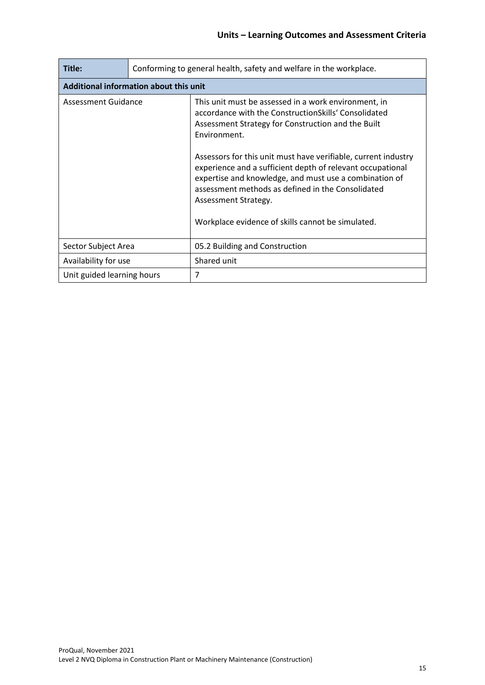| Title:                                 | Conforming to general health, safety and welfare in the workplace. |                                                                                                                                                                                                                                                                                                                                                                                                                                                                                                                |  |  |
|----------------------------------------|--------------------------------------------------------------------|----------------------------------------------------------------------------------------------------------------------------------------------------------------------------------------------------------------------------------------------------------------------------------------------------------------------------------------------------------------------------------------------------------------------------------------------------------------------------------------------------------------|--|--|
| Additional information about this unit |                                                                    |                                                                                                                                                                                                                                                                                                                                                                                                                                                                                                                |  |  |
| Assessment Guidance                    |                                                                    | This unit must be assessed in a work environment, in<br>accordance with the ConstructionSkills' Consolidated<br>Assessment Strategy for Construction and the Built<br>Environment.<br>Assessors for this unit must have verifiable, current industry<br>experience and a sufficient depth of relevant occupational<br>expertise and knowledge, and must use a combination of<br>assessment methods as defined in the Consolidated<br>Assessment Strategy.<br>Workplace evidence of skills cannot be simulated. |  |  |
| Sector Subject Area                    |                                                                    | 05.2 Building and Construction                                                                                                                                                                                                                                                                                                                                                                                                                                                                                 |  |  |
| Availability for use                   |                                                                    | Shared unit                                                                                                                                                                                                                                                                                                                                                                                                                                                                                                    |  |  |
| Unit guided learning hours             |                                                                    | 7                                                                                                                                                                                                                                                                                                                                                                                                                                                                                                              |  |  |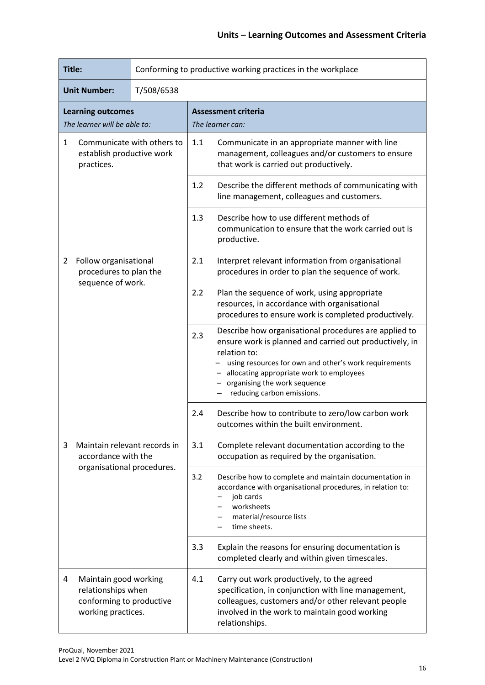| Title:                                                                                |                                                                                               |            |                                                                                                                                                                                                                                                                                                     | Conforming to productive working practices in the workplace                                                                                                                                                                |  |
|---------------------------------------------------------------------------------------|-----------------------------------------------------------------------------------------------|------------|-----------------------------------------------------------------------------------------------------------------------------------------------------------------------------------------------------------------------------------------------------------------------------------------------------|----------------------------------------------------------------------------------------------------------------------------------------------------------------------------------------------------------------------------|--|
|                                                                                       | <b>Unit Number:</b>                                                                           | T/508/6538 |                                                                                                                                                                                                                                                                                                     |                                                                                                                                                                                                                            |  |
| <b>Learning outcomes</b><br>The learner will be able to:                              |                                                                                               |            | <b>Assessment criteria</b><br>The learner can:                                                                                                                                                                                                                                                      |                                                                                                                                                                                                                            |  |
| Communicate with others to<br>$\mathbf{1}$<br>establish productive work<br>practices. |                                                                                               | 1.1        | Communicate in an appropriate manner with line<br>management, colleagues and/or customers to ensure<br>that work is carried out productively.                                                                                                                                                       |                                                                                                                                                                                                                            |  |
|                                                                                       |                                                                                               |            | 1.2                                                                                                                                                                                                                                                                                                 | Describe the different methods of communicating with<br>line management, colleagues and customers.                                                                                                                         |  |
|                                                                                       |                                                                                               |            | 1.3                                                                                                                                                                                                                                                                                                 | Describe how to use different methods of<br>communication to ensure that the work carried out is<br>productive.                                                                                                            |  |
| 2                                                                                     | Follow organisational<br>procedures to plan the<br>sequence of work.                          |            | 2.1                                                                                                                                                                                                                                                                                                 | Interpret relevant information from organisational<br>procedures in order to plan the sequence of work.                                                                                                                    |  |
|                                                                                       |                                                                                               | 2.2        | Plan the sequence of work, using appropriate<br>resources, in accordance with organisational<br>procedures to ensure work is completed productively.                                                                                                                                                |                                                                                                                                                                                                                            |  |
|                                                                                       |                                                                                               | 2.3        | Describe how organisational procedures are applied to<br>ensure work is planned and carried out productively, in<br>relation to:<br>using resources for own and other's work requirements<br>allocating appropriate work to employees<br>organising the work sequence<br>reducing carbon emissions. |                                                                                                                                                                                                                            |  |
|                                                                                       |                                                                                               |            | 2.4                                                                                                                                                                                                                                                                                                 | Describe how to contribute to zero/low carbon work<br>outcomes within the built environment.                                                                                                                               |  |
| 3                                                                                     | Maintain relevant records in<br>accordance with the                                           |            | 3.1                                                                                                                                                                                                                                                                                                 | Complete relevant documentation according to the<br>occupation as required by the organisation.                                                                                                                            |  |
| organisational procedures.                                                            |                                                                                               |            | 3.2                                                                                                                                                                                                                                                                                                 | Describe how to complete and maintain documentation in<br>accordance with organisational procedures, in relation to:<br>job cards<br>worksheets<br>material/resource lists<br>time sheets.                                 |  |
|                                                                                       |                                                                                               |            | 3.3                                                                                                                                                                                                                                                                                                 | Explain the reasons for ensuring documentation is<br>completed clearly and within given timescales.                                                                                                                        |  |
| 4                                                                                     | Maintain good working<br>relationships when<br>conforming to productive<br>working practices. |            | 4.1                                                                                                                                                                                                                                                                                                 | Carry out work productively, to the agreed<br>specification, in conjunction with line management,<br>colleagues, customers and/or other relevant people<br>involved in the work to maintain good working<br>relationships. |  |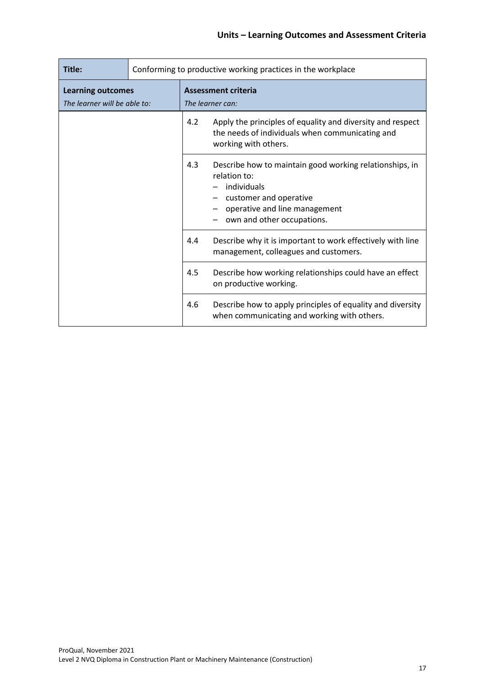| Title:                                                   | Conforming to productive working practices in the workplace |     |                                                                                                                                                                                 |
|----------------------------------------------------------|-------------------------------------------------------------|-----|---------------------------------------------------------------------------------------------------------------------------------------------------------------------------------|
| <b>Learning outcomes</b><br>The learner will be able to: |                                                             |     | <b>Assessment criteria</b><br>The learner can:                                                                                                                                  |
|                                                          |                                                             | 4.2 | Apply the principles of equality and diversity and respect<br>the needs of individuals when communicating and<br>working with others.                                           |
|                                                          |                                                             | 4.3 | Describe how to maintain good working relationships, in<br>relation to:<br>individuals<br>customer and operative<br>operative and line management<br>own and other occupations. |
|                                                          |                                                             | 4.4 | Describe why it is important to work effectively with line<br>management, colleagues and customers.                                                                             |
|                                                          |                                                             | 4.5 | Describe how working relationships could have an effect<br>on productive working.                                                                                               |
|                                                          |                                                             | 4.6 | Describe how to apply principles of equality and diversity<br>when communicating and working with others.                                                                       |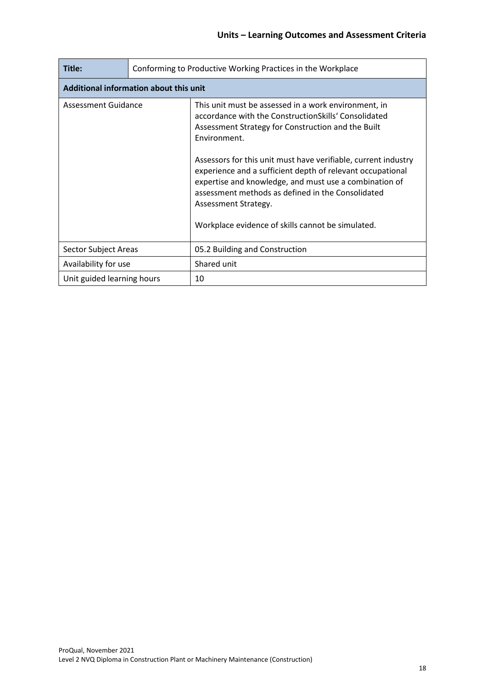| Title:                                 | Conforming to Productive Working Practices in the Workplace |                                                                                                                                                                                                                                                                                                                                                                                                                                                                                                                |  |
|----------------------------------------|-------------------------------------------------------------|----------------------------------------------------------------------------------------------------------------------------------------------------------------------------------------------------------------------------------------------------------------------------------------------------------------------------------------------------------------------------------------------------------------------------------------------------------------------------------------------------------------|--|
| Additional information about this unit |                                                             |                                                                                                                                                                                                                                                                                                                                                                                                                                                                                                                |  |
| Assessment Guidance                    |                                                             | This unit must be assessed in a work environment, in<br>accordance with the ConstructionSkills' Consolidated<br>Assessment Strategy for Construction and the Built<br>Environment.<br>Assessors for this unit must have verifiable, current industry<br>experience and a sufficient depth of relevant occupational<br>expertise and knowledge, and must use a combination of<br>assessment methods as defined in the Consolidated<br>Assessment Strategy.<br>Workplace evidence of skills cannot be simulated. |  |
| Sector Subject Areas                   |                                                             | 05.2 Building and Construction                                                                                                                                                                                                                                                                                                                                                                                                                                                                                 |  |
| Availability for use                   |                                                             | Shared unit                                                                                                                                                                                                                                                                                                                                                                                                                                                                                                    |  |
| Unit guided learning hours             |                                                             | 10                                                                                                                                                                                                                                                                                                                                                                                                                                                                                                             |  |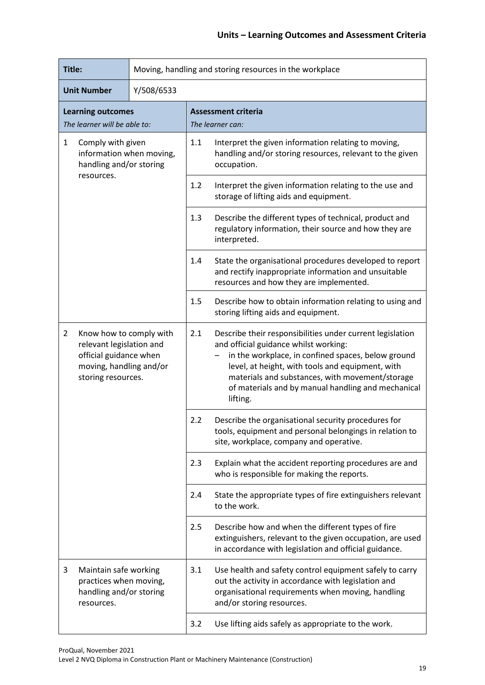| Title:                                                                                                                                           |            | Moving, handling and storing resources in the workplace |                                                                                                                                                                                                                                                                                                                                   |                                                                                                                                                                         |  |
|--------------------------------------------------------------------------------------------------------------------------------------------------|------------|---------------------------------------------------------|-----------------------------------------------------------------------------------------------------------------------------------------------------------------------------------------------------------------------------------------------------------------------------------------------------------------------------------|-------------------------------------------------------------------------------------------------------------------------------------------------------------------------|--|
| Y/508/6533<br><b>Unit Number</b>                                                                                                                 |            |                                                         |                                                                                                                                                                                                                                                                                                                                   |                                                                                                                                                                         |  |
| <b>Learning outcomes</b><br>The learner will be able to:                                                                                         |            |                                                         |                                                                                                                                                                                                                                                                                                                                   | <b>Assessment criteria</b><br>The learner can:                                                                                                                          |  |
| $\mathbf{1}$<br>Comply with given<br>information when moving,<br>handling and/or storing                                                         |            | 1.1                                                     | Interpret the given information relating to moving,<br>handling and/or storing resources, relevant to the given<br>occupation.                                                                                                                                                                                                    |                                                                                                                                                                         |  |
|                                                                                                                                                  | resources. |                                                         | 1.2                                                                                                                                                                                                                                                                                                                               | Interpret the given information relating to the use and<br>storage of lifting aids and equipment.                                                                       |  |
|                                                                                                                                                  |            |                                                         | 1.3                                                                                                                                                                                                                                                                                                                               | Describe the different types of technical, product and<br>regulatory information, their source and how they are<br>interpreted.                                         |  |
|                                                                                                                                                  |            |                                                         | 1.4                                                                                                                                                                                                                                                                                                                               | State the organisational procedures developed to report<br>and rectify inappropriate information and unsuitable<br>resources and how they are implemented.              |  |
|                                                                                                                                                  |            |                                                         | 1.5                                                                                                                                                                                                                                                                                                                               | Describe how to obtain information relating to using and<br>storing lifting aids and equipment.                                                                         |  |
| $\overline{2}$<br>Know how to comply with<br>relevant legislation and<br>official guidance when<br>moving, handling and/or<br>storing resources. |            | 2.1                                                     | Describe their responsibilities under current legislation<br>and official guidance whilst working:<br>in the workplace, in confined spaces, below ground<br>level, at height, with tools and equipment, with<br>materials and substances, with movement/storage<br>of materials and by manual handling and mechanical<br>lifting. |                                                                                                                                                                         |  |
|                                                                                                                                                  |            |                                                         | 2.2                                                                                                                                                                                                                                                                                                                               | Describe the organisational security procedures for<br>tools, equipment and personal belongings in relation to<br>site, workplace, company and operative.               |  |
|                                                                                                                                                  |            |                                                         | 2.3                                                                                                                                                                                                                                                                                                                               | Explain what the accident reporting procedures are and<br>who is responsible for making the reports.                                                                    |  |
|                                                                                                                                                  |            |                                                         | 2.4                                                                                                                                                                                                                                                                                                                               | State the appropriate types of fire extinguishers relevant<br>to the work.                                                                                              |  |
|                                                                                                                                                  |            |                                                         | 2.5                                                                                                                                                                                                                                                                                                                               | Describe how and when the different types of fire<br>extinguishers, relevant to the given occupation, are used<br>in accordance with legislation and official guidance. |  |
| 3<br>Maintain safe working<br>practices when moving,<br>handling and/or storing<br>resources.                                                    |            | 3.1                                                     | Use health and safety control equipment safely to carry<br>out the activity in accordance with legislation and<br>organisational requirements when moving, handling<br>and/or storing resources.                                                                                                                                  |                                                                                                                                                                         |  |
|                                                                                                                                                  |            | 3.2                                                     | Use lifting aids safely as appropriate to the work.                                                                                                                                                                                                                                                                               |                                                                                                                                                                         |  |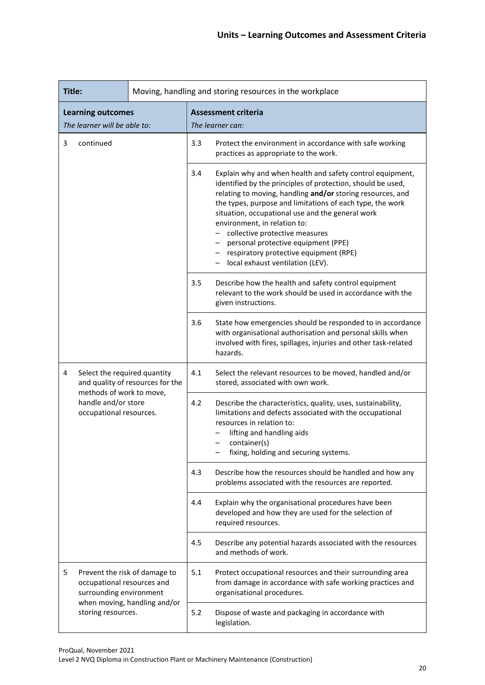| Title:                                                                                      |     |                                                                                                                                                                                                                                             | Moving, handling and storing resources in the workplace                                                                                                                                                                                                                                                                                                                                                                                                                                          |  |  |
|---------------------------------------------------------------------------------------------|-----|---------------------------------------------------------------------------------------------------------------------------------------------------------------------------------------------------------------------------------------------|--------------------------------------------------------------------------------------------------------------------------------------------------------------------------------------------------------------------------------------------------------------------------------------------------------------------------------------------------------------------------------------------------------------------------------------------------------------------------------------------------|--|--|
| <b>Learning outcomes</b><br>The learner will be able to:                                    |     |                                                                                                                                                                                                                                             | <b>Assessment criteria</b><br>The learner can:                                                                                                                                                                                                                                                                                                                                                                                                                                                   |  |  |
| continued<br>3                                                                              |     | 3.3                                                                                                                                                                                                                                         | Protect the environment in accordance with safe working<br>practices as appropriate to the work.                                                                                                                                                                                                                                                                                                                                                                                                 |  |  |
|                                                                                             |     | 3.4                                                                                                                                                                                                                                         | Explain why and when health and safety control equipment,<br>identified by the principles of protection, should be used,<br>relating to moving, handling and/or storing resources, and<br>the types, purpose and limitations of each type, the work<br>situation, occupational use and the general work<br>environment, in relation to:<br>collective protective measures<br>personal protective equipment (PPE)<br>respiratory protective equipment (RPE)<br>- local exhaust ventilation (LEV). |  |  |
|                                                                                             |     | 3.5                                                                                                                                                                                                                                         | Describe how the health and safety control equipment<br>relevant to the work should be used in accordance with the<br>given instructions.                                                                                                                                                                                                                                                                                                                                                        |  |  |
|                                                                                             |     | 3.6                                                                                                                                                                                                                                         | State how emergencies should be responded to in accordance<br>with organisational authorisation and personal skills when<br>involved with fires, spillages, injuries and other task-related<br>hazards.                                                                                                                                                                                                                                                                                          |  |  |
| Select the required quantity<br>4<br>and quality of resources for the                       |     | 4.1                                                                                                                                                                                                                                         | Select the relevant resources to be moved, handled and/or<br>stored, associated with own work.                                                                                                                                                                                                                                                                                                                                                                                                   |  |  |
| methods of work to move,<br>handle and/or store<br>occupational resources.                  | 4.2 | Describe the characteristics, quality, uses, sustainability,<br>limitations and defects associated with the occupational<br>resources in relation to:<br>lifting and handling aids<br>container(s)<br>fixing, holding and securing systems. |                                                                                                                                                                                                                                                                                                                                                                                                                                                                                                  |  |  |
|                                                                                             |     | 4.3                                                                                                                                                                                                                                         | Describe how the resources should be handled and how any<br>problems associated with the resources are reported.                                                                                                                                                                                                                                                                                                                                                                                 |  |  |
|                                                                                             |     | 4.4                                                                                                                                                                                                                                         | Explain why the organisational procedures have been<br>developed and how they are used for the selection of<br>required resources.                                                                                                                                                                                                                                                                                                                                                               |  |  |
|                                                                                             |     | 4.5                                                                                                                                                                                                                                         | Describe any potential hazards associated with the resources<br>and methods of work.                                                                                                                                                                                                                                                                                                                                                                                                             |  |  |
| 5<br>Prevent the risk of damage to<br>occupational resources and<br>surrounding environment |     | 5.1                                                                                                                                                                                                                                         | Protect occupational resources and their surrounding area<br>from damage in accordance with safe working practices and<br>organisational procedures.                                                                                                                                                                                                                                                                                                                                             |  |  |
| when moving, handling and/or<br>storing resources.                                          |     | 5.2                                                                                                                                                                                                                                         | Dispose of waste and packaging in accordance with<br>legislation.                                                                                                                                                                                                                                                                                                                                                                                                                                |  |  |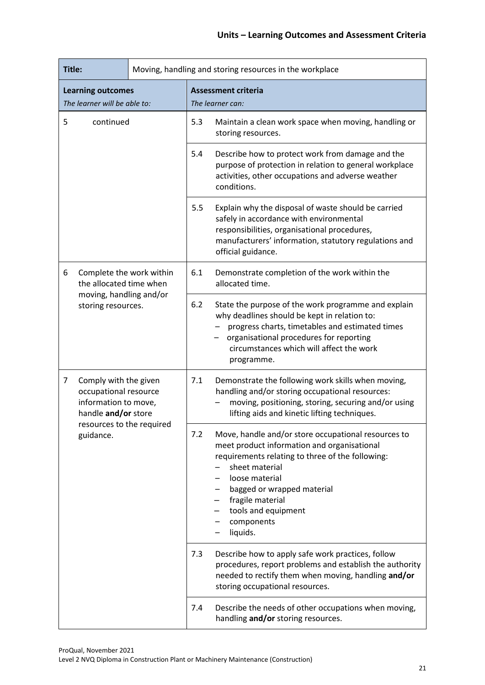| Title:                                                                                             |                                                                                                                                                                                                                                                                                                      | Moving, handling and storing resources in the workplace                                                                                                                                                                              |
|----------------------------------------------------------------------------------------------------|------------------------------------------------------------------------------------------------------------------------------------------------------------------------------------------------------------------------------------------------------------------------------------------------------|--------------------------------------------------------------------------------------------------------------------------------------------------------------------------------------------------------------------------------------|
| <b>Learning outcomes</b><br>The learner will be able to:                                           |                                                                                                                                                                                                                                                                                                      | <b>Assessment criteria</b><br>The learner can:                                                                                                                                                                                       |
| 5<br>continued                                                                                     |                                                                                                                                                                                                                                                                                                      | 5.3<br>Maintain a clean work space when moving, handling or<br>storing resources.                                                                                                                                                    |
|                                                                                                    |                                                                                                                                                                                                                                                                                                      | 5.4<br>Describe how to protect work from damage and the<br>purpose of protection in relation to general workplace<br>activities, other occupations and adverse weather<br>conditions.                                                |
|                                                                                                    |                                                                                                                                                                                                                                                                                                      | 5.5<br>Explain why the disposal of waste should be carried<br>safely in accordance with environmental<br>responsibilities, organisational procedures,<br>manufacturers' information, statutory regulations and<br>official guidance. |
| Complete the work within<br>6<br>the allocated time when                                           |                                                                                                                                                                                                                                                                                                      | 6.1<br>Demonstrate completion of the work within the<br>allocated time.                                                                                                                                                              |
| moving, handling and/or<br>storing resources.                                                      | 6.2<br>State the purpose of the work programme and explain<br>why deadlines should be kept in relation to:<br>progress charts, timetables and estimated times<br>organisational procedures for reporting<br>circumstances which will affect the work<br>programme.                                   |                                                                                                                                                                                                                                      |
| 7<br>Comply with the given<br>occupational resource<br>information to move,<br>handle and/or store |                                                                                                                                                                                                                                                                                                      | 7.1<br>Demonstrate the following work skills when moving,<br>handling and/or storing occupational resources:<br>moving, positioning, storing, securing and/or using<br>lifting aids and kinetic lifting techniques.                  |
| resources to the required<br>guidance.                                                             | 7.2<br>Move, handle and/or store occupational resources to<br>meet product information and organisational<br>requirements relating to three of the following:<br>sheet material<br>loose material<br>bagged or wrapped material<br>fragile material<br>tools and equipment<br>components<br>liquids. |                                                                                                                                                                                                                                      |
|                                                                                                    |                                                                                                                                                                                                                                                                                                      | Describe how to apply safe work practices, follow<br>7.3<br>procedures, report problems and establish the authority<br>needed to rectify them when moving, handling and/or<br>storing occupational resources.                        |
|                                                                                                    |                                                                                                                                                                                                                                                                                                      | Describe the needs of other occupations when moving,<br>7.4<br>handling and/or storing resources.                                                                                                                                    |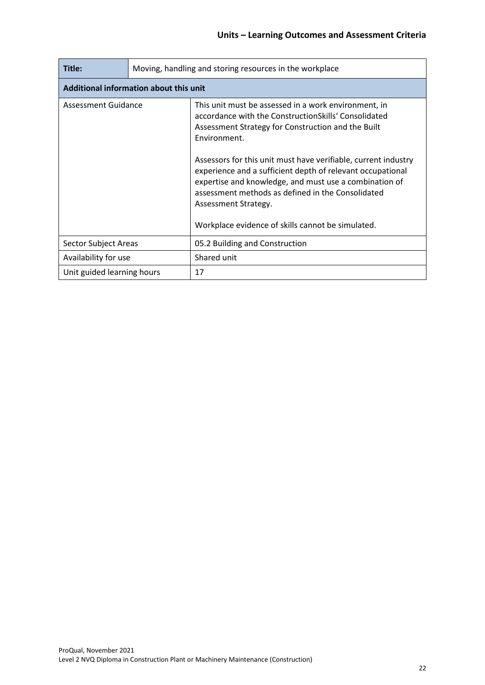| Title:                     | Moving, handling and storing resources in the workplace |                                                                                                                                                                                                                                                                                                                                                                                                                                                                                                                |  |  |  |
|----------------------------|---------------------------------------------------------|----------------------------------------------------------------------------------------------------------------------------------------------------------------------------------------------------------------------------------------------------------------------------------------------------------------------------------------------------------------------------------------------------------------------------------------------------------------------------------------------------------------|--|--|--|
|                            | Additional information about this unit                  |                                                                                                                                                                                                                                                                                                                                                                                                                                                                                                                |  |  |  |
| Assessment Guidance        |                                                         | This unit must be assessed in a work environment, in<br>accordance with the ConstructionSkills' Consolidated<br>Assessment Strategy for Construction and the Built<br>Environment.<br>Assessors for this unit must have verifiable, current industry<br>experience and a sufficient depth of relevant occupational<br>expertise and knowledge, and must use a combination of<br>assessment methods as defined in the Consolidated<br>Assessment Strategy.<br>Workplace evidence of skills cannot be simulated. |  |  |  |
| Sector Subject Areas       |                                                         | 05.2 Building and Construction                                                                                                                                                                                                                                                                                                                                                                                                                                                                                 |  |  |  |
| Availability for use       |                                                         | Shared unit                                                                                                                                                                                                                                                                                                                                                                                                                                                                                                    |  |  |  |
| Unit guided learning hours |                                                         | 17                                                                                                                                                                                                                                                                                                                                                                                                                                                                                                             |  |  |  |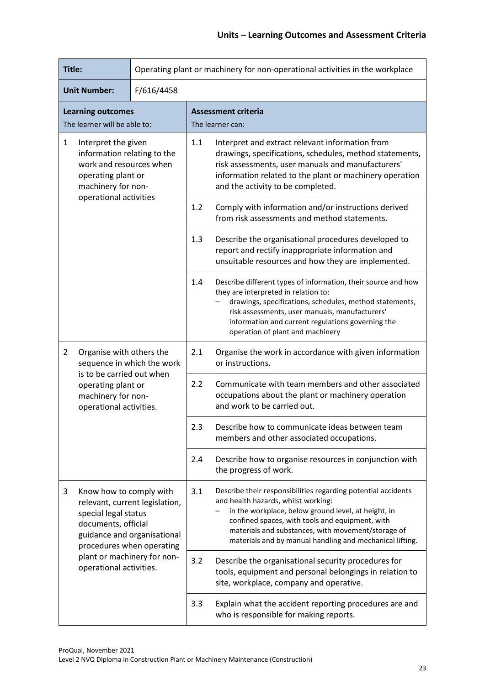| Title:                                                                                                                                                                                                                              |                                                                                                                                                                                                                                                                                                                                         | Operating plant or machinery for non-operational activities in the workplace                                                                                                                                                                                                                                       |  |  |  |
|-------------------------------------------------------------------------------------------------------------------------------------------------------------------------------------------------------------------------------------|-----------------------------------------------------------------------------------------------------------------------------------------------------------------------------------------------------------------------------------------------------------------------------------------------------------------------------------------|--------------------------------------------------------------------------------------------------------------------------------------------------------------------------------------------------------------------------------------------------------------------------------------------------------------------|--|--|--|
| <b>Unit Number:</b><br>F/616/4458                                                                                                                                                                                                   |                                                                                                                                                                                                                                                                                                                                         |                                                                                                                                                                                                                                                                                                                    |  |  |  |
| <b>Learning outcomes</b><br>The learner will be able to:                                                                                                                                                                            |                                                                                                                                                                                                                                                                                                                                         | <b>Assessment criteria</b><br>The learner can:                                                                                                                                                                                                                                                                     |  |  |  |
| $\mathbf{1}$<br>Interpret the given<br>information relating to the<br>work and resources when<br>operating plant or<br>machinery for non-                                                                                           |                                                                                                                                                                                                                                                                                                                                         | 1.1<br>Interpret and extract relevant information from<br>drawings, specifications, schedules, method statements,<br>risk assessments, user manuals and manufacturers'<br>information related to the plant or machinery operation<br>and the activity to be completed.                                             |  |  |  |
|                                                                                                                                                                                                                                     | operational activities                                                                                                                                                                                                                                                                                                                  | 1.2<br>Comply with information and/or instructions derived<br>from risk assessments and method statements.                                                                                                                                                                                                         |  |  |  |
|                                                                                                                                                                                                                                     |                                                                                                                                                                                                                                                                                                                                         | 1.3<br>Describe the organisational procedures developed to<br>report and rectify inappropriate information and<br>unsuitable resources and how they are implemented.                                                                                                                                               |  |  |  |
|                                                                                                                                                                                                                                     |                                                                                                                                                                                                                                                                                                                                         | Describe different types of information, their source and how<br>1.4<br>they are interpreted in relation to:<br>drawings, specifications, schedules, method statements,<br>risk assessments, user manuals, manufacturers'<br>information and current regulations governing the<br>operation of plant and machinery |  |  |  |
| $\overline{2}$<br>Organise with others the<br>sequence in which the work                                                                                                                                                            |                                                                                                                                                                                                                                                                                                                                         | 2.1<br>Organise the work in accordance with given information<br>or instructions.                                                                                                                                                                                                                                  |  |  |  |
|                                                                                                                                                                                                                                     | is to be carried out when<br>operating plant or<br>machinery for non-<br>operational activities.                                                                                                                                                                                                                                        | 2.2<br>Communicate with team members and other associated<br>occupations about the plant or machinery operation<br>and work to be carried out.                                                                                                                                                                     |  |  |  |
|                                                                                                                                                                                                                                     |                                                                                                                                                                                                                                                                                                                                         | 2.3<br>Describe how to communicate ideas between team<br>members and other associated occupations.                                                                                                                                                                                                                 |  |  |  |
|                                                                                                                                                                                                                                     |                                                                                                                                                                                                                                                                                                                                         | 2.4<br>Describe how to organise resources in conjunction with<br>the progress of work.                                                                                                                                                                                                                             |  |  |  |
| 3<br>Know how to comply with<br>relevant, current legislation,<br>special legal status<br>documents, official<br>guidance and organisational<br>procedures when operating<br>plant or machinery for non-<br>operational activities. | 3.1<br>Describe their responsibilities regarding potential accidents<br>and health hazards, whilst working:<br>in the workplace, below ground level, at height, in<br>confined spaces, with tools and equipment, with<br>materials and substances, with movement/storage of<br>materials and by manual handling and mechanical lifting. |                                                                                                                                                                                                                                                                                                                    |  |  |  |
|                                                                                                                                                                                                                                     | 3.2<br>Describe the organisational security procedures for<br>tools, equipment and personal belongings in relation to<br>site, workplace, company and operative.                                                                                                                                                                        |                                                                                                                                                                                                                                                                                                                    |  |  |  |
|                                                                                                                                                                                                                                     |                                                                                                                                                                                                                                                                                                                                         | 3.3<br>Explain what the accident reporting procedures are and<br>who is responsible for making reports.                                                                                                                                                                                                            |  |  |  |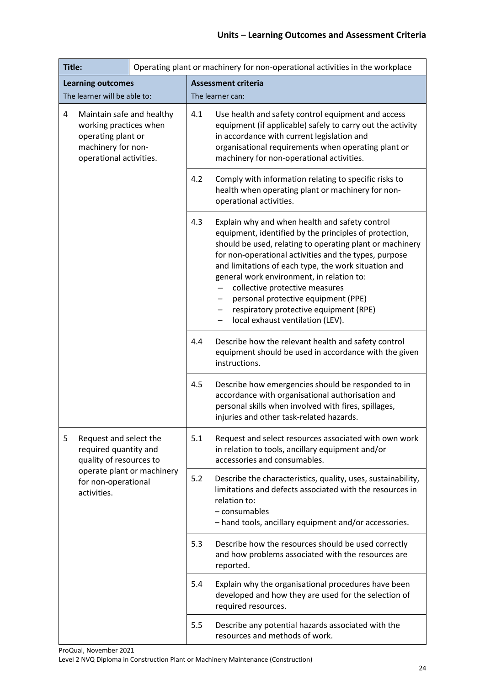| Title:                                                                                                                          |                                                                            |                                                                                                                               | Operating plant or machinery for non-operational activities in the workplace                                                                                                                                                                                       |                                                                                                                                                                                                                                                                                                                                                                                                                                                                                           |  |
|---------------------------------------------------------------------------------------------------------------------------------|----------------------------------------------------------------------------|-------------------------------------------------------------------------------------------------------------------------------|--------------------------------------------------------------------------------------------------------------------------------------------------------------------------------------------------------------------------------------------------------------------|-------------------------------------------------------------------------------------------------------------------------------------------------------------------------------------------------------------------------------------------------------------------------------------------------------------------------------------------------------------------------------------------------------------------------------------------------------------------------------------------|--|
|                                                                                                                                 | <b>Learning outcomes</b>                                                   |                                                                                                                               | <b>Assessment criteria</b>                                                                                                                                                                                                                                         |                                                                                                                                                                                                                                                                                                                                                                                                                                                                                           |  |
| The learner will be able to:                                                                                                    |                                                                            |                                                                                                                               | The learner can:                                                                                                                                                                                                                                                   |                                                                                                                                                                                                                                                                                                                                                                                                                                                                                           |  |
| 4<br>Maintain safe and healthy<br>working practices when<br>operating plant or<br>machinery for non-<br>operational activities. |                                                                            | 4.1                                                                                                                           | Use health and safety control equipment and access<br>equipment (if applicable) safely to carry out the activity<br>in accordance with current legislation and<br>organisational requirements when operating plant or<br>machinery for non-operational activities. |                                                                                                                                                                                                                                                                                                                                                                                                                                                                                           |  |
|                                                                                                                                 |                                                                            |                                                                                                                               | 4.2                                                                                                                                                                                                                                                                | Comply with information relating to specific risks to<br>health when operating plant or machinery for non-<br>operational activities.                                                                                                                                                                                                                                                                                                                                                     |  |
|                                                                                                                                 |                                                                            |                                                                                                                               | 4.3                                                                                                                                                                                                                                                                | Explain why and when health and safety control<br>equipment, identified by the principles of protection,<br>should be used, relating to operating plant or machinery<br>for non-operational activities and the types, purpose<br>and limitations of each type, the work situation and<br>general work environment, in relation to:<br>collective protective measures<br>personal protective equipment (PPE)<br>respiratory protective equipment (RPE)<br>local exhaust ventilation (LEV). |  |
|                                                                                                                                 | 4.4                                                                        | Describe how the relevant health and safety control<br>equipment should be used in accordance with the given<br>instructions. |                                                                                                                                                                                                                                                                    |                                                                                                                                                                                                                                                                                                                                                                                                                                                                                           |  |
|                                                                                                                                 |                                                                            |                                                                                                                               | 4.5                                                                                                                                                                                                                                                                | Describe how emergencies should be responded to in<br>accordance with organisational authorisation and<br>personal skills when involved with fires, spillages,<br>injuries and other task-related hazards.                                                                                                                                                                                                                                                                                |  |
| 5                                                                                                                               | Request and select the<br>required quantity and<br>quality of resources to |                                                                                                                               | 5.1                                                                                                                                                                                                                                                                | Request and select resources associated with own work<br>in relation to tools, ancillary equipment and/or<br>accessories and consumables.                                                                                                                                                                                                                                                                                                                                                 |  |
|                                                                                                                                 | operate plant or machinery<br>for non-operational<br>activities.           | 5.2                                                                                                                           | Describe the characteristics, quality, uses, sustainability,<br>limitations and defects associated with the resources in<br>relation to:<br>- consumables<br>- hand tools, ancillary equipment and/or accessories.                                                 |                                                                                                                                                                                                                                                                                                                                                                                                                                                                                           |  |
|                                                                                                                                 |                                                                            | 5.3                                                                                                                           | Describe how the resources should be used correctly<br>and how problems associated with the resources are<br>reported.                                                                                                                                             |                                                                                                                                                                                                                                                                                                                                                                                                                                                                                           |  |
|                                                                                                                                 |                                                                            |                                                                                                                               | 5.4                                                                                                                                                                                                                                                                | Explain why the organisational procedures have been<br>developed and how they are used for the selection of<br>required resources.                                                                                                                                                                                                                                                                                                                                                        |  |
|                                                                                                                                 |                                                                            |                                                                                                                               | 5.5                                                                                                                                                                                                                                                                | Describe any potential hazards associated with the<br>resources and methods of work.                                                                                                                                                                                                                                                                                                                                                                                                      |  |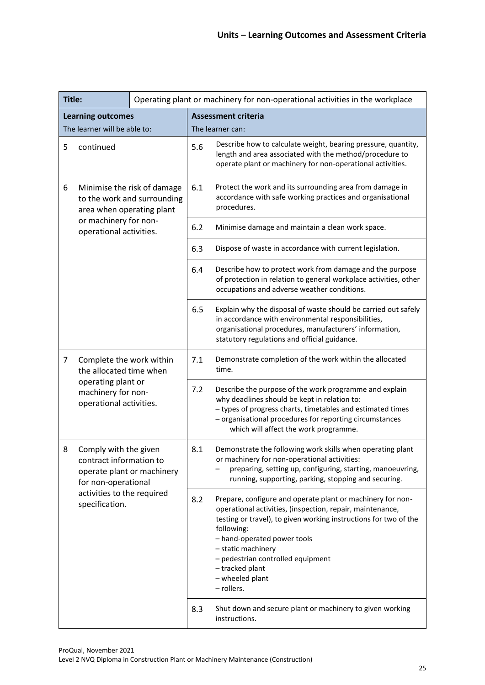| Title: |                                                                                                                                                       |     | Operating plant or machinery for non-operational activities in the workplace                                                                                                                                                                                                                                                                            |                                                                                                                                                                                                                                |
|--------|-------------------------------------------------------------------------------------------------------------------------------------------------------|-----|---------------------------------------------------------------------------------------------------------------------------------------------------------------------------------------------------------------------------------------------------------------------------------------------------------------------------------------------------------|--------------------------------------------------------------------------------------------------------------------------------------------------------------------------------------------------------------------------------|
|        | <b>Learning outcomes</b>                                                                                                                              |     |                                                                                                                                                                                                                                                                                                                                                         | <b>Assessment criteria</b>                                                                                                                                                                                                     |
|        | The learner will be able to:                                                                                                                          |     |                                                                                                                                                                                                                                                                                                                                                         | The learner can:                                                                                                                                                                                                               |
| 5      | continued                                                                                                                                             |     | 5.6                                                                                                                                                                                                                                                                                                                                                     | Describe how to calculate weight, bearing pressure, quantity,<br>length and area associated with the method/procedure to<br>operate plant or machinery for non-operational activities.                                         |
| 6      | Minimise the risk of damage<br>to the work and surrounding<br>area when operating plant                                                               |     | 6.1                                                                                                                                                                                                                                                                                                                                                     | Protect the work and its surrounding area from damage in<br>accordance with safe working practices and organisational<br>procedures.                                                                                           |
|        | or machinery for non-<br>operational activities.                                                                                                      |     | 6.2                                                                                                                                                                                                                                                                                                                                                     | Minimise damage and maintain a clean work space.                                                                                                                                                                               |
|        |                                                                                                                                                       |     | 6.3                                                                                                                                                                                                                                                                                                                                                     | Dispose of waste in accordance with current legislation.                                                                                                                                                                       |
|        |                                                                                                                                                       |     | 6.4                                                                                                                                                                                                                                                                                                                                                     | Describe how to protect work from damage and the purpose<br>of protection in relation to general workplace activities, other<br>occupations and adverse weather conditions.                                                    |
|        |                                                                                                                                                       |     | 6.5                                                                                                                                                                                                                                                                                                                                                     | Explain why the disposal of waste should be carried out safely<br>in accordance with environmental responsibilities,<br>organisational procedures, manufacturers' information,<br>statutory regulations and official guidance. |
| 7      | Complete the work within<br>the allocated time when                                                                                                   |     | 7.1                                                                                                                                                                                                                                                                                                                                                     | Demonstrate completion of the work within the allocated<br>time.                                                                                                                                                               |
|        | operating plant or<br>machinery for non-<br>operational activities.                                                                                   | 7.2 | Describe the purpose of the work programme and explain<br>why deadlines should be kept in relation to:<br>- types of progress charts, timetables and estimated times<br>- organisational procedures for reporting circumstances<br>which will affect the work programme.                                                                                |                                                                                                                                                                                                                                |
| 8      | Comply with the given<br>contract information to<br>operate plant or machinery<br>for non-operational<br>activities to the required<br>specification. | 8.1 | Demonstrate the following work skills when operating plant<br>or machinery for non-operational activities:<br>preparing, setting up, configuring, starting, manoeuvring,<br>running, supporting, parking, stopping and securing.                                                                                                                        |                                                                                                                                                                                                                                |
|        |                                                                                                                                                       | 8.2 | Prepare, configure and operate plant or machinery for non-<br>operational activities, (inspection, repair, maintenance,<br>testing or travel), to given working instructions for two of the<br>following:<br>- hand-operated power tools<br>- static machinery<br>- pedestrian controlled equipment<br>- tracked plant<br>- wheeled plant<br>- rollers. |                                                                                                                                                                                                                                |
|        |                                                                                                                                                       |     | 8.3                                                                                                                                                                                                                                                                                                                                                     | Shut down and secure plant or machinery to given working<br>instructions.                                                                                                                                                      |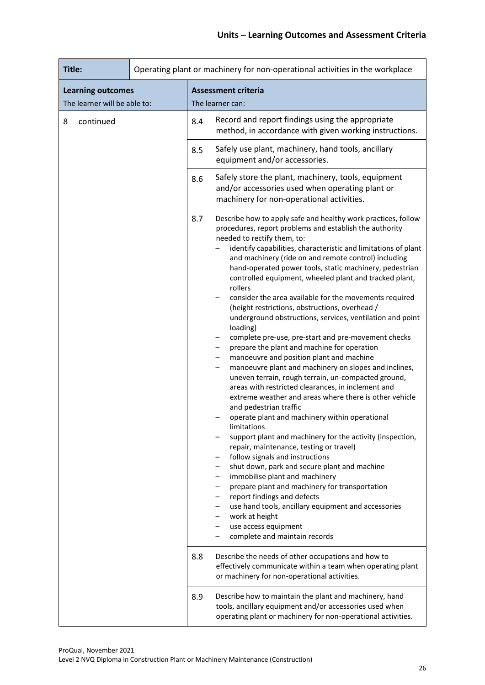| Title:                       |  |     | Operating plant or machinery for non-operational activities in the workplace                                                                                                                                                                                                                                                                                                                                                                                                                                                                                                                                                                                                                                                                                                                                                                                                                                                                                                                                                                                                                                                                                                                                                                                                                                                                                                                                                                                                                                                        |
|------------------------------|--|-----|-------------------------------------------------------------------------------------------------------------------------------------------------------------------------------------------------------------------------------------------------------------------------------------------------------------------------------------------------------------------------------------------------------------------------------------------------------------------------------------------------------------------------------------------------------------------------------------------------------------------------------------------------------------------------------------------------------------------------------------------------------------------------------------------------------------------------------------------------------------------------------------------------------------------------------------------------------------------------------------------------------------------------------------------------------------------------------------------------------------------------------------------------------------------------------------------------------------------------------------------------------------------------------------------------------------------------------------------------------------------------------------------------------------------------------------------------------------------------------------------------------------------------------------|
| <b>Learning outcomes</b>     |  |     | <b>Assessment criteria</b>                                                                                                                                                                                                                                                                                                                                                                                                                                                                                                                                                                                                                                                                                                                                                                                                                                                                                                                                                                                                                                                                                                                                                                                                                                                                                                                                                                                                                                                                                                          |
| The learner will be able to: |  |     | The learner can:                                                                                                                                                                                                                                                                                                                                                                                                                                                                                                                                                                                                                                                                                                                                                                                                                                                                                                                                                                                                                                                                                                                                                                                                                                                                                                                                                                                                                                                                                                                    |
| continued<br>8               |  | 8.4 | Record and report findings using the appropriate<br>method, in accordance with given working instructions.                                                                                                                                                                                                                                                                                                                                                                                                                                                                                                                                                                                                                                                                                                                                                                                                                                                                                                                                                                                                                                                                                                                                                                                                                                                                                                                                                                                                                          |
|                              |  | 8.5 | Safely use plant, machinery, hand tools, ancillary<br>equipment and/or accessories.                                                                                                                                                                                                                                                                                                                                                                                                                                                                                                                                                                                                                                                                                                                                                                                                                                                                                                                                                                                                                                                                                                                                                                                                                                                                                                                                                                                                                                                 |
|                              |  | 8.6 | Safely store the plant, machinery, tools, equipment<br>and/or accessories used when operating plant or<br>machinery for non-operational activities.                                                                                                                                                                                                                                                                                                                                                                                                                                                                                                                                                                                                                                                                                                                                                                                                                                                                                                                                                                                                                                                                                                                                                                                                                                                                                                                                                                                 |
|                              |  | 8.7 | Describe how to apply safe and healthy work practices, follow<br>procedures, report problems and establish the authority<br>needed to rectify them, to:<br>identify capabilities, characteristic and limitations of plant<br>and machinery (ride on and remote control) including<br>hand-operated power tools, static machinery, pedestrian<br>controlled equipment, wheeled plant and tracked plant,<br>rollers<br>consider the area available for the movements required<br>(height restrictions, obstructions, overhead /<br>underground obstructions, services, ventilation and point<br>loading)<br>complete pre-use, pre-start and pre-movement checks<br>prepare the plant and machine for operation<br>manoeuvre and position plant and machine<br>manoeuvre plant and machinery on slopes and inclines,<br>uneven terrain, rough terrain, un-compacted ground,<br>areas with restricted clearances, in inclement and<br>extreme weather and areas where there is other vehicle<br>and pedestrian traffic<br>operate plant and machinery within operational<br>limitations<br>support plant and machinery for the activity (inspection,<br>repair, maintenance, testing or travel)<br>follow signals and instructions<br>shut down, park and secure plant and machine<br>immobilise plant and machinery<br>prepare plant and machinery for transportation<br>report findings and defects<br>use hand tools, ancillary equipment and accessories<br>work at height<br>use access equipment<br>complete and maintain records |
|                              |  | 8.8 | Describe the needs of other occupations and how to<br>effectively communicate within a team when operating plant<br>or machinery for non-operational activities.                                                                                                                                                                                                                                                                                                                                                                                                                                                                                                                                                                                                                                                                                                                                                                                                                                                                                                                                                                                                                                                                                                                                                                                                                                                                                                                                                                    |
|                              |  | 8.9 | Describe how to maintain the plant and machinery, hand<br>tools, ancillary equipment and/or accessories used when<br>operating plant or machinery for non-operational activities.                                                                                                                                                                                                                                                                                                                                                                                                                                                                                                                                                                                                                                                                                                                                                                                                                                                                                                                                                                                                                                                                                                                                                                                                                                                                                                                                                   |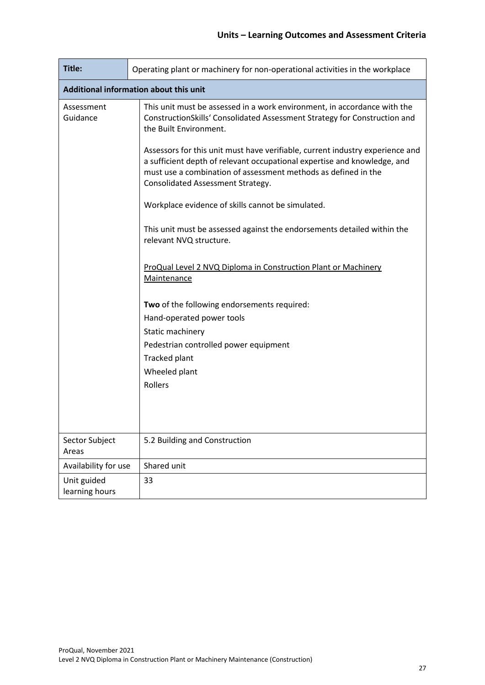| Title:                                 | Operating plant or machinery for non-operational activities in the workplace                                                                                                                                                                                     |  |  |  |  |
|----------------------------------------|------------------------------------------------------------------------------------------------------------------------------------------------------------------------------------------------------------------------------------------------------------------|--|--|--|--|
| Additional information about this unit |                                                                                                                                                                                                                                                                  |  |  |  |  |
| Assessment<br>Guidance                 | This unit must be assessed in a work environment, in accordance with the<br>ConstructionSkills' Consolidated Assessment Strategy for Construction and<br>the Built Environment.                                                                                  |  |  |  |  |
|                                        | Assessors for this unit must have verifiable, current industry experience and<br>a sufficient depth of relevant occupational expertise and knowledge, and<br>must use a combination of assessment methods as defined in the<br>Consolidated Assessment Strategy. |  |  |  |  |
|                                        | Workplace evidence of skills cannot be simulated.                                                                                                                                                                                                                |  |  |  |  |
|                                        | This unit must be assessed against the endorsements detailed within the<br>relevant NVQ structure.                                                                                                                                                               |  |  |  |  |
|                                        | ProQual Level 2 NVQ Diploma in Construction Plant or Machinery<br>Maintenance                                                                                                                                                                                    |  |  |  |  |
|                                        | Two of the following endorsements required:<br>Hand-operated power tools<br>Static machinery<br>Pedestrian controlled power equipment<br>Tracked plant<br>Wheeled plant<br>Rollers                                                                               |  |  |  |  |
| Sector Subject<br>Areas                | 5.2 Building and Construction                                                                                                                                                                                                                                    |  |  |  |  |
| Availability for use                   | Shared unit                                                                                                                                                                                                                                                      |  |  |  |  |
| Unit guided<br>learning hours          | 33                                                                                                                                                                                                                                                               |  |  |  |  |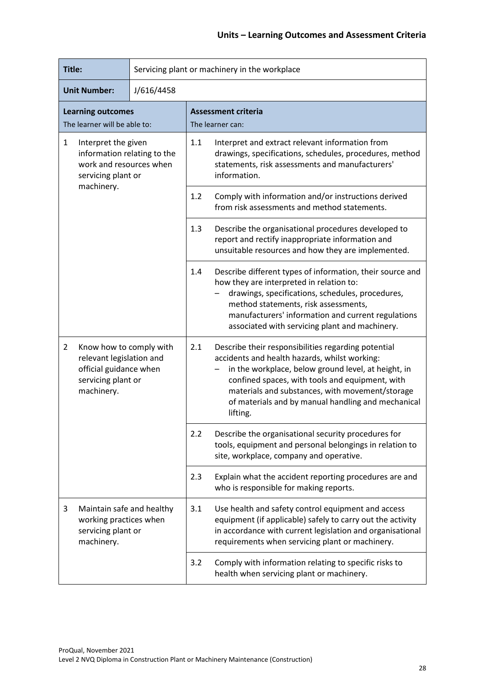| Title:                                                                                                                              |  | Servicing plant or machinery in the workplace                                                                                                                                                                                                                                                                                              |
|-------------------------------------------------------------------------------------------------------------------------------------|--|--------------------------------------------------------------------------------------------------------------------------------------------------------------------------------------------------------------------------------------------------------------------------------------------------------------------------------------------|
| <b>Unit Number:</b><br>J/616/4458                                                                                                   |  |                                                                                                                                                                                                                                                                                                                                            |
| <b>Learning outcomes</b><br>The learner will be able to:                                                                            |  | <b>Assessment criteria</b><br>The learner can:                                                                                                                                                                                                                                                                                             |
| Interpret the given<br>1<br>information relating to the<br>work and resources when<br>servicing plant or                            |  | 1.1<br>Interpret and extract relevant information from<br>drawings, specifications, schedules, procedures, method<br>statements, risk assessments and manufacturers'<br>information.                                                                                                                                                       |
| machinery.                                                                                                                          |  | 1.2<br>Comply with information and/or instructions derived<br>from risk assessments and method statements.                                                                                                                                                                                                                                 |
|                                                                                                                                     |  | 1.3<br>Describe the organisational procedures developed to<br>report and rectify inappropriate information and<br>unsuitable resources and how they are implemented.                                                                                                                                                                       |
|                                                                                                                                     |  | 1.4<br>Describe different types of information, their source and<br>how they are interpreted in relation to:<br>drawings, specifications, schedules, procedures,<br>method statements, risk assessments,<br>manufacturers' information and current regulations<br>associated with servicing plant and machinery.                           |
| Know how to comply with<br>$\overline{2}$<br>relevant legislation and<br>official guidance when<br>servicing plant or<br>machinery. |  | Describe their responsibilities regarding potential<br>2.1<br>accidents and health hazards, whilst working:<br>in the workplace, below ground level, at height, in<br>confined spaces, with tools and equipment, with<br>materials and substances, with movement/storage<br>of materials and by manual handling and mechanical<br>lifting. |
|                                                                                                                                     |  | 2.2<br>Describe the organisational security procedures for<br>tools, equipment and personal belongings in relation to<br>site, workplace, company and operative.                                                                                                                                                                           |
|                                                                                                                                     |  | 2.3<br>Explain what the accident reporting procedures are and<br>who is responsible for making reports.                                                                                                                                                                                                                                    |
| Maintain safe and healthy<br>3<br>working practices when<br>servicing plant or<br>machinery.                                        |  | 3.1<br>Use health and safety control equipment and access<br>equipment (if applicable) safely to carry out the activity<br>in accordance with current legislation and organisational<br>requirements when servicing plant or machinery.                                                                                                    |
|                                                                                                                                     |  | 3.2<br>Comply with information relating to specific risks to<br>health when servicing plant or machinery.                                                                                                                                                                                                                                  |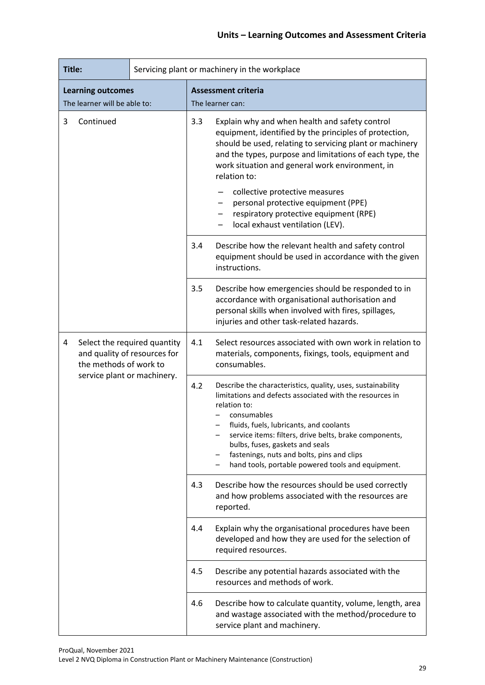| Title:                                                   |  |                                                                                        | Servicing plant or machinery in the workplace                                                                                                                                                                                                                                                                                                                                                                                                              |                                                                                                                                                                                                            |  |
|----------------------------------------------------------|--|----------------------------------------------------------------------------------------|------------------------------------------------------------------------------------------------------------------------------------------------------------------------------------------------------------------------------------------------------------------------------------------------------------------------------------------------------------------------------------------------------------------------------------------------------------|------------------------------------------------------------------------------------------------------------------------------------------------------------------------------------------------------------|--|
| <b>Learning outcomes</b><br>The learner will be able to: |  | <b>Assessment criteria</b><br>The learner can:                                         |                                                                                                                                                                                                                                                                                                                                                                                                                                                            |                                                                                                                                                                                                            |  |
| 3<br>Continued                                           |  | 3.3                                                                                    | Explain why and when health and safety control<br>equipment, identified by the principles of protection,<br>should be used, relating to servicing plant or machinery<br>and the types, purpose and limitations of each type, the<br>work situation and general work environment, in<br>relation to:<br>collective protective measures<br>personal protective equipment (PPE)<br>respiratory protective equipment (RPE)<br>local exhaust ventilation (LEV). |                                                                                                                                                                                                            |  |
|                                                          |  | 3.4                                                                                    | Describe how the relevant health and safety control<br>equipment should be used in accordance with the given<br>instructions.                                                                                                                                                                                                                                                                                                                              |                                                                                                                                                                                                            |  |
|                                                          |  |                                                                                        | 3.5                                                                                                                                                                                                                                                                                                                                                                                                                                                        | Describe how emergencies should be responded to in<br>accordance with organisational authorisation and<br>personal skills when involved with fires, spillages,<br>injuries and other task-related hazards. |  |
| 4<br>service plant or machinery.                         |  | Select the required quantity<br>and quality of resources for<br>the methods of work to | 4.1                                                                                                                                                                                                                                                                                                                                                                                                                                                        | Select resources associated with own work in relation to<br>materials, components, fixings, tools, equipment and<br>consumables.                                                                           |  |
|                                                          |  | 4.2                                                                                    | Describe the characteristics, quality, uses, sustainability<br>limitations and defects associated with the resources in<br>relation to:<br>consumables<br>fluids, fuels, lubricants, and coolants<br>service items: filters, drive belts, brake components,<br>bulbs, fuses, gaskets and seals<br>fastenings, nuts and bolts, pins and clips<br>hand tools, portable powered tools and equipment.                                                          |                                                                                                                                                                                                            |  |
|                                                          |  |                                                                                        | 4.3                                                                                                                                                                                                                                                                                                                                                                                                                                                        | Describe how the resources should be used correctly<br>and how problems associated with the resources are<br>reported.                                                                                     |  |
|                                                          |  |                                                                                        | 4.4                                                                                                                                                                                                                                                                                                                                                                                                                                                        | Explain why the organisational procedures have been<br>developed and how they are used for the selection of<br>required resources.                                                                         |  |
|                                                          |  |                                                                                        | 4.5                                                                                                                                                                                                                                                                                                                                                                                                                                                        | Describe any potential hazards associated with the<br>resources and methods of work.                                                                                                                       |  |
|                                                          |  | 4.6                                                                                    | Describe how to calculate quantity, volume, length, area<br>and wastage associated with the method/procedure to<br>service plant and machinery.                                                                                                                                                                                                                                                                                                            |                                                                                                                                                                                                            |  |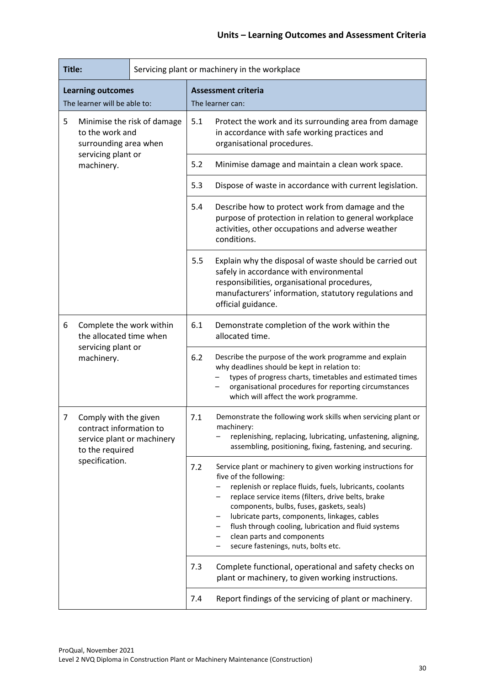| Title:                                                                                                                   |                                                     | Servicing plant or machinery in the workplace |                                                                                                                                                                                                          |                                                                                                                                                                                                                                                                                                                                                                                                                                     |  |
|--------------------------------------------------------------------------------------------------------------------------|-----------------------------------------------------|-----------------------------------------------|----------------------------------------------------------------------------------------------------------------------------------------------------------------------------------------------------------|-------------------------------------------------------------------------------------------------------------------------------------------------------------------------------------------------------------------------------------------------------------------------------------------------------------------------------------------------------------------------------------------------------------------------------------|--|
| <b>Learning outcomes</b><br>The learner will be able to:                                                                 |                                                     |                                               | <b>Assessment criteria</b><br>The learner can:                                                                                                                                                           |                                                                                                                                                                                                                                                                                                                                                                                                                                     |  |
| 5<br>Minimise the risk of damage<br>to the work and<br>surrounding area when                                             |                                                     |                                               | 5.1                                                                                                                                                                                                      | Protect the work and its surrounding area from damage<br>in accordance with safe working practices and<br>organisational procedures.                                                                                                                                                                                                                                                                                                |  |
|                                                                                                                          | servicing plant or<br>machinery.                    |                                               | 5.2                                                                                                                                                                                                      | Minimise damage and maintain a clean work space.                                                                                                                                                                                                                                                                                                                                                                                    |  |
|                                                                                                                          |                                                     |                                               | 5.3                                                                                                                                                                                                      | Dispose of waste in accordance with current legislation.                                                                                                                                                                                                                                                                                                                                                                            |  |
|                                                                                                                          |                                                     | 5.4                                           | Describe how to protect work from damage and the<br>purpose of protection in relation to general workplace<br>activities, other occupations and adverse weather<br>conditions.                           |                                                                                                                                                                                                                                                                                                                                                                                                                                     |  |
|                                                                                                                          |                                                     |                                               | 5.5                                                                                                                                                                                                      | Explain why the disposal of waste should be carried out<br>safely in accordance with environmental<br>responsibilities, organisational procedures,<br>manufacturers' information, statutory regulations and<br>official guidance.                                                                                                                                                                                                   |  |
| 6                                                                                                                        | Complete the work within<br>the allocated time when |                                               | 6.1                                                                                                                                                                                                      | Demonstrate completion of the work within the<br>allocated time.                                                                                                                                                                                                                                                                                                                                                                    |  |
|                                                                                                                          | servicing plant or<br>machinery.                    |                                               | 6.2                                                                                                                                                                                                      | Describe the purpose of the work programme and explain<br>why deadlines should be kept in relation to:<br>types of progress charts, timetables and estimated times<br>organisational procedures for reporting circumstances<br>which will affect the work programme.                                                                                                                                                                |  |
| 7<br>Comply with the given<br>contract information to<br>service plant or machinery<br>to the required<br>specification. |                                                     | 7.1                                           | Demonstrate the following work skills when servicing plant or<br>machinery:<br>replenishing, replacing, lubricating, unfastening, aligning,<br>assembling, positioning, fixing, fastening, and securing. |                                                                                                                                                                                                                                                                                                                                                                                                                                     |  |
|                                                                                                                          |                                                     | 7.2<br>7.3                                    |                                                                                                                                                                                                          | Service plant or machinery to given working instructions for<br>five of the following:<br>replenish or replace fluids, fuels, lubricants, coolants<br>replace service items (filters, drive belts, brake<br>components, bulbs, fuses, gaskets, seals)<br>lubricate parts, components, linkages, cables<br>flush through cooling, lubrication and fluid systems<br>clean parts and components<br>secure fastenings, nuts, bolts etc. |  |
|                                                                                                                          |                                                     |                                               |                                                                                                                                                                                                          | Complete functional, operational and safety checks on<br>plant or machinery, to given working instructions.                                                                                                                                                                                                                                                                                                                         |  |
|                                                                                                                          |                                                     |                                               | 7.4                                                                                                                                                                                                      | Report findings of the servicing of plant or machinery.                                                                                                                                                                                                                                                                                                                                                                             |  |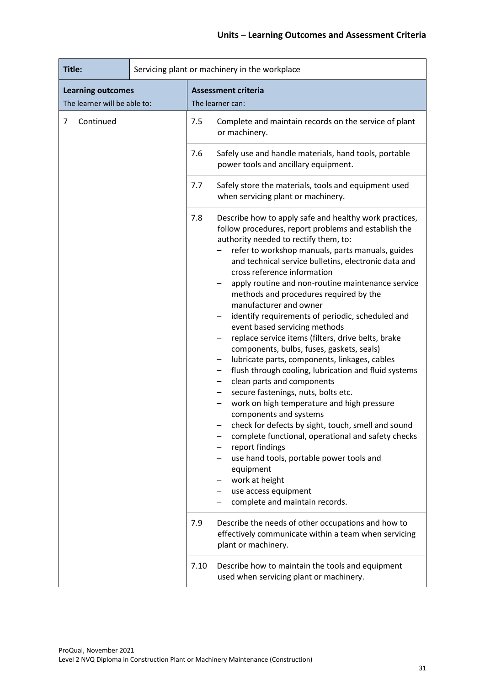| Title:                                                   | Servicing plant or machinery in the workplace |                                                |                                                                                                                                                                                                                                                                                                                                                                                                                                                                                                                                                                                                                                                                                                                                                                                                                                                                                                                                                                                                                                                                                                                                                                                                                                                                                    |  |
|----------------------------------------------------------|-----------------------------------------------|------------------------------------------------|------------------------------------------------------------------------------------------------------------------------------------------------------------------------------------------------------------------------------------------------------------------------------------------------------------------------------------------------------------------------------------------------------------------------------------------------------------------------------------------------------------------------------------------------------------------------------------------------------------------------------------------------------------------------------------------------------------------------------------------------------------------------------------------------------------------------------------------------------------------------------------------------------------------------------------------------------------------------------------------------------------------------------------------------------------------------------------------------------------------------------------------------------------------------------------------------------------------------------------------------------------------------------------|--|
| <b>Learning outcomes</b><br>The learner will be able to: |                                               | <b>Assessment criteria</b><br>The learner can: |                                                                                                                                                                                                                                                                                                                                                                                                                                                                                                                                                                                                                                                                                                                                                                                                                                                                                                                                                                                                                                                                                                                                                                                                                                                                                    |  |
| Continued<br>7                                           |                                               | 7.5                                            | Complete and maintain records on the service of plant<br>or machinery.                                                                                                                                                                                                                                                                                                                                                                                                                                                                                                                                                                                                                                                                                                                                                                                                                                                                                                                                                                                                                                                                                                                                                                                                             |  |
|                                                          |                                               | 7.6                                            | Safely use and handle materials, hand tools, portable<br>power tools and ancillary equipment.                                                                                                                                                                                                                                                                                                                                                                                                                                                                                                                                                                                                                                                                                                                                                                                                                                                                                                                                                                                                                                                                                                                                                                                      |  |
|                                                          |                                               | 7.7                                            | Safely store the materials, tools and equipment used<br>when servicing plant or machinery.                                                                                                                                                                                                                                                                                                                                                                                                                                                                                                                                                                                                                                                                                                                                                                                                                                                                                                                                                                                                                                                                                                                                                                                         |  |
|                                                          |                                               | 7.8<br>7.9                                     | Describe how to apply safe and healthy work practices,<br>follow procedures, report problems and establish the<br>authority needed to rectify them, to:<br>refer to workshop manuals, parts manuals, guides<br>and technical service bulletins, electronic data and<br>cross reference information<br>apply routine and non-routine maintenance service<br>methods and procedures required by the<br>manufacturer and owner<br>identify requirements of periodic, scheduled and<br>event based servicing methods<br>replace service items (filters, drive belts, brake<br>components, bulbs, fuses, gaskets, seals)<br>lubricate parts, components, linkages, cables<br>flush through cooling, lubrication and fluid systems<br>clean parts and components<br>secure fastenings, nuts, bolts etc.<br>work on high temperature and high pressure<br>components and systems<br>check for defects by sight, touch, smell and sound<br>complete functional, operational and safety checks<br>report findings<br>use hand tools, portable power tools and<br>equipment<br>work at height<br>use access equipment<br>complete and maintain records.<br>Describe the needs of other occupations and how to<br>effectively communicate within a team when servicing<br>plant or machinery. |  |
|                                                          |                                               | 7.10                                           | Describe how to maintain the tools and equipment<br>used when servicing plant or machinery.                                                                                                                                                                                                                                                                                                                                                                                                                                                                                                                                                                                                                                                                                                                                                                                                                                                                                                                                                                                                                                                                                                                                                                                        |  |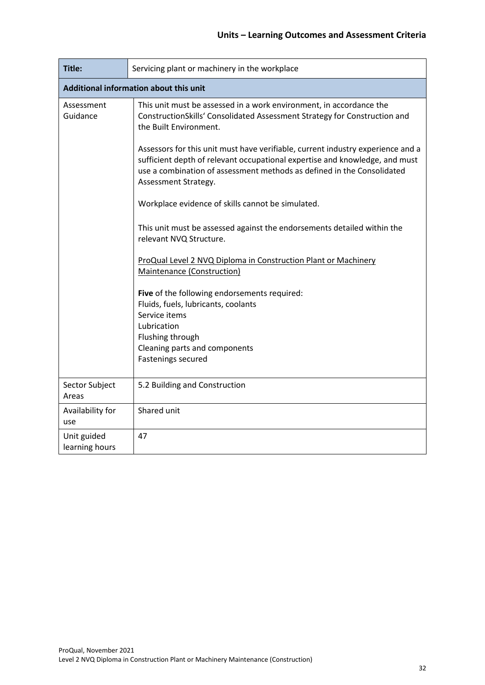| Title:                                                                                                                                                                                                                                                                                                                                                                                                                                           | Servicing plant or machinery in the workplace                                                        |  |  |  |  |  |
|--------------------------------------------------------------------------------------------------------------------------------------------------------------------------------------------------------------------------------------------------------------------------------------------------------------------------------------------------------------------------------------------------------------------------------------------------|------------------------------------------------------------------------------------------------------|--|--|--|--|--|
| Additional information about this unit                                                                                                                                                                                                                                                                                                                                                                                                           |                                                                                                      |  |  |  |  |  |
| This unit must be assessed in a work environment, in accordance the<br>Assessment<br>Guidance<br>ConstructionSkills' Consolidated Assessment Strategy for Construction and<br>the Built Environment.<br>Assessors for this unit must have verifiable, current industry experience and a<br>sufficient depth of relevant occupational expertise and knowledge, and must<br>use a combination of assessment methods as defined in the Consolidated |                                                                                                      |  |  |  |  |  |
|                                                                                                                                                                                                                                                                                                                                                                                                                                                  | Assessment Strategy.<br>Workplace evidence of skills cannot be simulated.                            |  |  |  |  |  |
| This unit must be assessed against the endorsements detailed within the<br>relevant NVQ Structure.                                                                                                                                                                                                                                                                                                                                               |                                                                                                      |  |  |  |  |  |
|                                                                                                                                                                                                                                                                                                                                                                                                                                                  | ProQual Level 2 NVQ Diploma in Construction Plant or Machinery<br>Maintenance (Construction)         |  |  |  |  |  |
|                                                                                                                                                                                                                                                                                                                                                                                                                                                  | Five of the following endorsements required:<br>Fluids, fuels, lubricants, coolants<br>Service items |  |  |  |  |  |
|                                                                                                                                                                                                                                                                                                                                                                                                                                                  | Lubrication<br>Flushing through                                                                      |  |  |  |  |  |
|                                                                                                                                                                                                                                                                                                                                                                                                                                                  | Cleaning parts and components<br>Fastenings secured                                                  |  |  |  |  |  |
| Sector Subject<br>Areas                                                                                                                                                                                                                                                                                                                                                                                                                          | 5.2 Building and Construction                                                                        |  |  |  |  |  |
| Availability for<br>use                                                                                                                                                                                                                                                                                                                                                                                                                          | Shared unit                                                                                          |  |  |  |  |  |
| Unit guided<br>learning hours                                                                                                                                                                                                                                                                                                                                                                                                                    | 47                                                                                                   |  |  |  |  |  |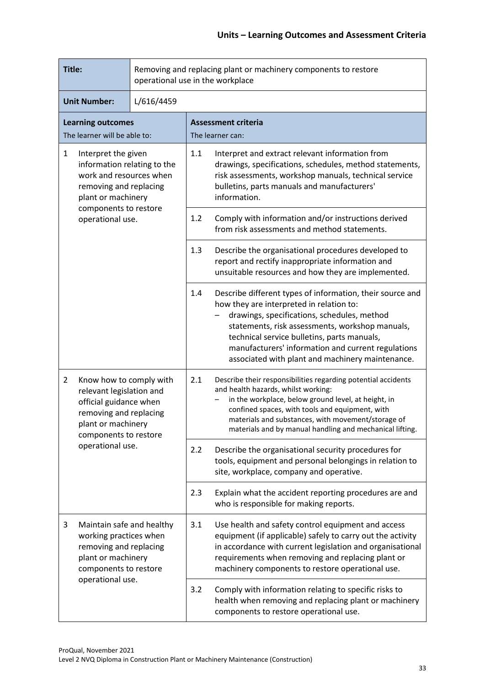| Title:                                                                                                                                                                                       |                                                                                                                                                  | Removing and replacing plant or machinery components to restore<br>operational use in the workplace                                                                                                                                                                         |                                                                                                                                                                                                                                                                                               |                                                                                                                                                           |  |
|----------------------------------------------------------------------------------------------------------------------------------------------------------------------------------------------|--------------------------------------------------------------------------------------------------------------------------------------------------|-----------------------------------------------------------------------------------------------------------------------------------------------------------------------------------------------------------------------------------------------------------------------------|-----------------------------------------------------------------------------------------------------------------------------------------------------------------------------------------------------------------------------------------------------------------------------------------------|-----------------------------------------------------------------------------------------------------------------------------------------------------------|--|
| <b>Unit Number:</b><br>L/616/4459                                                                                                                                                            |                                                                                                                                                  |                                                                                                                                                                                                                                                                             |                                                                                                                                                                                                                                                                                               |                                                                                                                                                           |  |
| <b>Learning outcomes</b><br>The learner will be able to:                                                                                                                                     |                                                                                                                                                  |                                                                                                                                                                                                                                                                             | <b>Assessment criteria</b><br>The learner can:                                                                                                                                                                                                                                                |                                                                                                                                                           |  |
| $\mathbf{1}$<br>Interpret the given<br>information relating to the<br>work and resources when<br>removing and replacing<br>plant or machinery<br>components to restore<br>operational use.   |                                                                                                                                                  |                                                                                                                                                                                                                                                                             | 1.1<br>Interpret and extract relevant information from<br>drawings, specifications, schedules, method statements,<br>risk assessments, workshop manuals, technical service<br>bulletins, parts manuals and manufacturers'<br>information.                                                     |                                                                                                                                                           |  |
|                                                                                                                                                                                              |                                                                                                                                                  |                                                                                                                                                                                                                                                                             | 1.2<br>Comply with information and/or instructions derived<br>from risk assessments and method statements.                                                                                                                                                                                    |                                                                                                                                                           |  |
|                                                                                                                                                                                              |                                                                                                                                                  |                                                                                                                                                                                                                                                                             | 1.3<br>Describe the organisational procedures developed to<br>report and rectify inappropriate information and<br>unsuitable resources and how they are implemented.                                                                                                                          |                                                                                                                                                           |  |
|                                                                                                                                                                                              |                                                                                                                                                  |                                                                                                                                                                                                                                                                             | 1.4<br>Describe different types of information, their source and<br>how they are interpreted in relation to:<br>drawings, specifications, schedules, method<br>technical service bulletins, parts manuals,                                                                                    | statements, risk assessments, workshop manuals,<br>manufacturers' information and current regulations<br>associated with plant and machinery maintenance. |  |
| $\overline{2}$<br>Know how to comply with<br>relevant legislation and<br>official guidance when<br>removing and replacing<br>plant or machinery<br>components to restore<br>operational use. |                                                                                                                                                  | Describe their responsibilities regarding potential accidents<br>2.1<br>and health hazards, whilst working:<br>in the workplace, below ground level, at height, in<br>confined spaces, with tools and equipment, with<br>materials and substances, with movement/storage of | materials and by manual handling and mechanical lifting.                                                                                                                                                                                                                                      |                                                                                                                                                           |  |
|                                                                                                                                                                                              |                                                                                                                                                  |                                                                                                                                                                                                                                                                             | 2.2<br>Describe the organisational security procedures for<br>tools, equipment and personal belongings in relation to<br>site, workplace, company and operative.                                                                                                                              |                                                                                                                                                           |  |
|                                                                                                                                                                                              |                                                                                                                                                  |                                                                                                                                                                                                                                                                             | 2.3<br>Explain what the accident reporting procedures are and<br>who is responsible for making reports.                                                                                                                                                                                       |                                                                                                                                                           |  |
| 3                                                                                                                                                                                            | Maintain safe and healthy<br>working practices when<br>removing and replacing<br>plant or machinery<br>components to restore<br>operational use. |                                                                                                                                                                                                                                                                             | Use health and safety control equipment and access<br>3.1<br>equipment (if applicable) safely to carry out the activity<br>in accordance with current legislation and organisational<br>requirements when removing and replacing plant or<br>machinery components to restore operational use. |                                                                                                                                                           |  |
|                                                                                                                                                                                              |                                                                                                                                                  |                                                                                                                                                                                                                                                                             | 3.2<br>Comply with information relating to specific risks to<br>health when removing and replacing plant or machinery<br>components to restore operational use.                                                                                                                               |                                                                                                                                                           |  |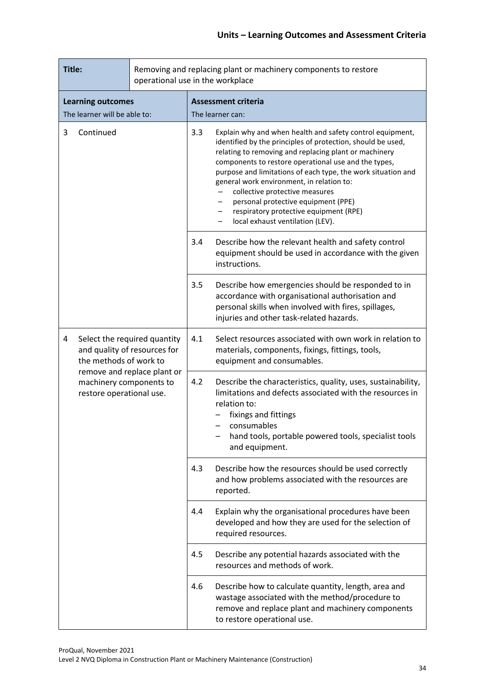| Title:                                                   |                                                                                        | Removing and replacing plant or machinery components to restore<br>operational use in the workplace |                                                                                                                                                                                                                                                                                                                                                                                                                                                                                                               |                                                                                                                                                                                                                            |  |
|----------------------------------------------------------|----------------------------------------------------------------------------------------|-----------------------------------------------------------------------------------------------------|---------------------------------------------------------------------------------------------------------------------------------------------------------------------------------------------------------------------------------------------------------------------------------------------------------------------------------------------------------------------------------------------------------------------------------------------------------------------------------------------------------------|----------------------------------------------------------------------------------------------------------------------------------------------------------------------------------------------------------------------------|--|
| <b>Learning outcomes</b><br>The learner will be able to: |                                                                                        | <b>Assessment criteria</b><br>The learner can:                                                      |                                                                                                                                                                                                                                                                                                                                                                                                                                                                                                               |                                                                                                                                                                                                                            |  |
| 3<br>Continued                                           |                                                                                        | 3.3                                                                                                 | Explain why and when health and safety control equipment,<br>identified by the principles of protection, should be used,<br>relating to removing and replacing plant or machinery<br>components to restore operational use and the types,<br>purpose and limitations of each type, the work situation and<br>general work environment, in relation to:<br>collective protective measures<br>personal protective equipment (PPE)<br>respiratory protective equipment (RPE)<br>local exhaust ventilation (LEV). |                                                                                                                                                                                                                            |  |
|                                                          |                                                                                        | 3.4                                                                                                 | Describe how the relevant health and safety control<br>equipment should be used in accordance with the given<br>instructions.                                                                                                                                                                                                                                                                                                                                                                                 |                                                                                                                                                                                                                            |  |
|                                                          |                                                                                        | 3.5                                                                                                 | Describe how emergencies should be responded to in<br>accordance with organisational authorisation and<br>personal skills when involved with fires, spillages,<br>injuries and other task-related hazards.                                                                                                                                                                                                                                                                                                    |                                                                                                                                                                                                                            |  |
| 4                                                        | Select the required quantity<br>and quality of resources for<br>the methods of work to |                                                                                                     | 4.1                                                                                                                                                                                                                                                                                                                                                                                                                                                                                                           | Select resources associated with own work in relation to<br>materials, components, fixings, fittings, tools,<br>equipment and consumables.                                                                                 |  |
|                                                          | machinery components to<br>restore operational use.                                    | remove and replace plant or                                                                         | 4.2<br>relation to:<br>consumables                                                                                                                                                                                                                                                                                                                                                                                                                                                                            | Describe the characteristics, quality, uses, sustainability,<br>limitations and defects associated with the resources in<br>fixings and fittings<br>hand tools, portable powered tools, specialist tools<br>and equipment. |  |
|                                                          |                                                                                        | 4.3<br>4.4                                                                                          |                                                                                                                                                                                                                                                                                                                                                                                                                                                                                                               | Describe how the resources should be used correctly<br>and how problems associated with the resources are<br>reported.                                                                                                     |  |
|                                                          |                                                                                        |                                                                                                     | Explain why the organisational procedures have been<br>developed and how they are used for the selection of<br>required resources.                                                                                                                                                                                                                                                                                                                                                                            |                                                                                                                                                                                                                            |  |
|                                                          |                                                                                        |                                                                                                     | 4.5                                                                                                                                                                                                                                                                                                                                                                                                                                                                                                           | Describe any potential hazards associated with the<br>resources and methods of work.                                                                                                                                       |  |
|                                                          |                                                                                        | 4.6                                                                                                 | Describe how to calculate quantity, length, area and<br>wastage associated with the method/procedure to<br>remove and replace plant and machinery components<br>to restore operational use.                                                                                                                                                                                                                                                                                                                   |                                                                                                                                                                                                                            |  |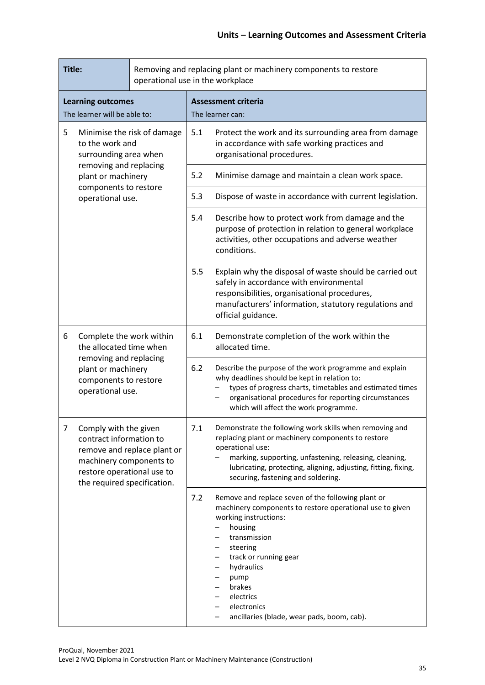| Title:                                                   |                                                                                                                                                                      | Removing and replacing plant or machinery components to restore<br>operational use in the workplace |                                                                                                                                                                                                                                   |                                                                                                                                                                                                                                                                                                                                       |  |
|----------------------------------------------------------|----------------------------------------------------------------------------------------------------------------------------------------------------------------------|-----------------------------------------------------------------------------------------------------|-----------------------------------------------------------------------------------------------------------------------------------------------------------------------------------------------------------------------------------|---------------------------------------------------------------------------------------------------------------------------------------------------------------------------------------------------------------------------------------------------------------------------------------------------------------------------------------|--|
| <b>Learning outcomes</b><br>The learner will be able to: |                                                                                                                                                                      |                                                                                                     | <b>Assessment criteria</b><br>The learner can:                                                                                                                                                                                    |                                                                                                                                                                                                                                                                                                                                       |  |
| 5                                                        | Minimise the risk of damage<br>to the work and<br>surrounding area when<br>removing and replacing<br>plant or machinery<br>components to restore<br>operational use. |                                                                                                     | 5.1                                                                                                                                                                                                                               | Protect the work and its surrounding area from damage<br>in accordance with safe working practices and<br>organisational procedures.                                                                                                                                                                                                  |  |
|                                                          |                                                                                                                                                                      |                                                                                                     | 5.2                                                                                                                                                                                                                               | Minimise damage and maintain a clean work space.                                                                                                                                                                                                                                                                                      |  |
|                                                          |                                                                                                                                                                      |                                                                                                     | 5.3                                                                                                                                                                                                                               | Dispose of waste in accordance with current legislation.                                                                                                                                                                                                                                                                              |  |
|                                                          |                                                                                                                                                                      |                                                                                                     | 5.4                                                                                                                                                                                                                               | Describe how to protect work from damage and the<br>purpose of protection in relation to general workplace<br>activities, other occupations and adverse weather<br>conditions.                                                                                                                                                        |  |
|                                                          |                                                                                                                                                                      | 5.5                                                                                                 | Explain why the disposal of waste should be carried out<br>safely in accordance with environmental<br>responsibilities, organisational procedures,<br>manufacturers' information, statutory regulations and<br>official guidance. |                                                                                                                                                                                                                                                                                                                                       |  |
| 6                                                        | Complete the work within<br>the allocated time when<br>removing and replacing<br>plant or machinery<br>components to restore<br>operational use.                     |                                                                                                     | 6.1                                                                                                                                                                                                                               | Demonstrate completion of the work within the<br>allocated time.                                                                                                                                                                                                                                                                      |  |
|                                                          |                                                                                                                                                                      |                                                                                                     | 6.2                                                                                                                                                                                                                               | Describe the purpose of the work programme and explain<br>why deadlines should be kept in relation to:<br>types of progress charts, timetables and estimated times<br>organisational procedures for reporting circumstances<br>which will affect the work programme.                                                                  |  |
| 7                                                        | Comply with the given<br>contract information to<br>machinery components to<br>restore operational use to<br>the required specification.                             | remove and replace plant or                                                                         | 7.1                                                                                                                                                                                                                               | Demonstrate the following work skills when removing and<br>replacing plant or machinery components to restore<br>operational use:<br>marking, supporting, unfastening, releasing, cleaning,<br>lubricating, protecting, aligning, adjusting, fitting, fixing,<br>securing, fastening and soldering.                                   |  |
|                                                          |                                                                                                                                                                      |                                                                                                     | 7.2                                                                                                                                                                                                                               | Remove and replace seven of the following plant or<br>machinery components to restore operational use to given<br>working instructions:<br>housing<br>transmission<br>steering<br>-<br>track or running gear<br>-<br>hydraulics<br>-<br>pump<br>-<br>brakes<br>electrics<br>electronics<br>ancillaries (blade, wear pads, boom, cab). |  |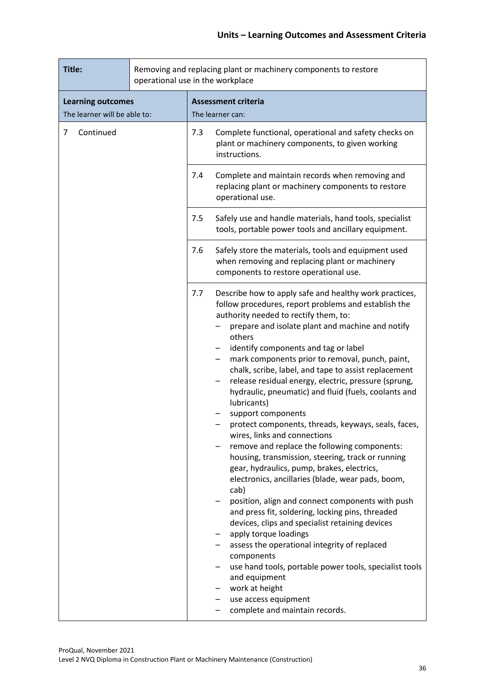| Title:                                                   | Removing and replacing plant or machinery components to restore<br>operational use in the workplace |                                                                                                                                                                                                                                                                                                                                                                                                                                                                                                                                                                                                                                                                                                                                                                                                                                                                                                                                                                                                                                                                                                                                                                                                                                                           |  |  |  |
|----------------------------------------------------------|-----------------------------------------------------------------------------------------------------|-----------------------------------------------------------------------------------------------------------------------------------------------------------------------------------------------------------------------------------------------------------------------------------------------------------------------------------------------------------------------------------------------------------------------------------------------------------------------------------------------------------------------------------------------------------------------------------------------------------------------------------------------------------------------------------------------------------------------------------------------------------------------------------------------------------------------------------------------------------------------------------------------------------------------------------------------------------------------------------------------------------------------------------------------------------------------------------------------------------------------------------------------------------------------------------------------------------------------------------------------------------|--|--|--|
| <b>Learning outcomes</b><br>The learner will be able to: |                                                                                                     | <b>Assessment criteria</b><br>The learner can:                                                                                                                                                                                                                                                                                                                                                                                                                                                                                                                                                                                                                                                                                                                                                                                                                                                                                                                                                                                                                                                                                                                                                                                                            |  |  |  |
| Continued<br>7                                           |                                                                                                     | 7.3<br>Complete functional, operational and safety checks on<br>plant or machinery components, to given working<br>instructions.                                                                                                                                                                                                                                                                                                                                                                                                                                                                                                                                                                                                                                                                                                                                                                                                                                                                                                                                                                                                                                                                                                                          |  |  |  |
|                                                          |                                                                                                     | Complete and maintain records when removing and<br>7.4<br>replacing plant or machinery components to restore<br>operational use.                                                                                                                                                                                                                                                                                                                                                                                                                                                                                                                                                                                                                                                                                                                                                                                                                                                                                                                                                                                                                                                                                                                          |  |  |  |
|                                                          |                                                                                                     | 7.5<br>Safely use and handle materials, hand tools, specialist<br>tools, portable power tools and ancillary equipment.                                                                                                                                                                                                                                                                                                                                                                                                                                                                                                                                                                                                                                                                                                                                                                                                                                                                                                                                                                                                                                                                                                                                    |  |  |  |
|                                                          |                                                                                                     | 7.6<br>Safely store the materials, tools and equipment used<br>when removing and replacing plant or machinery<br>components to restore operational use.                                                                                                                                                                                                                                                                                                                                                                                                                                                                                                                                                                                                                                                                                                                                                                                                                                                                                                                                                                                                                                                                                                   |  |  |  |
|                                                          |                                                                                                     | Describe how to apply safe and healthy work practices,<br>7.7<br>follow procedures, report problems and establish the<br>authority needed to rectify them, to:<br>prepare and isolate plant and machine and notify<br>others<br>identify components and tag or label<br>mark components prior to removal, punch, paint,<br>chalk, scribe, label, and tape to assist replacement<br>release residual energy, electric, pressure (sprung,<br>hydraulic, pneumatic) and fluid (fuels, coolants and<br>lubricants)<br>support components<br>protect components, threads, keyways, seals, faces,<br>wires, links and connections<br>remove and replace the following components:<br>housing, transmission, steering, track or running<br>gear, hydraulics, pump, brakes, electrics,<br>electronics, ancillaries (blade, wear pads, boom,<br>cab)<br>position, align and connect components with push<br>and press fit, soldering, locking pins, threaded<br>devices, clips and specialist retaining devices<br>apply torque loadings<br>assess the operational integrity of replaced<br>components<br>use hand tools, portable power tools, specialist tools<br>and equipment<br>work at height<br>use access equipment<br>-<br>complete and maintain records. |  |  |  |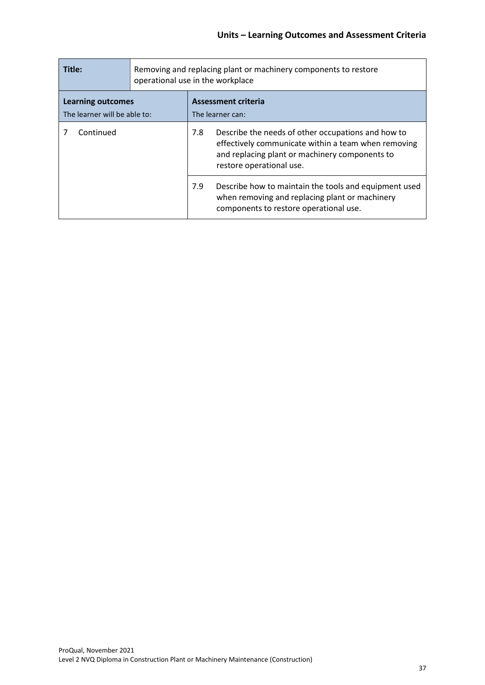| Title:                                                   | Removing and replacing plant or machinery components to restore<br>operational use in the workplace |     |                                                                                                                                                                                         |
|----------------------------------------------------------|-----------------------------------------------------------------------------------------------------|-----|-----------------------------------------------------------------------------------------------------------------------------------------------------------------------------------------|
| <b>Learning outcomes</b><br>The learner will be able to: |                                                                                                     |     | <b>Assessment criteria</b><br>The learner can:                                                                                                                                          |
| Continued                                                |                                                                                                     | 7.8 | Describe the needs of other occupations and how to<br>effectively communicate within a team when removing<br>and replacing plant or machinery components to<br>restore operational use. |
|                                                          |                                                                                                     | 7.9 | Describe how to maintain the tools and equipment used<br>when removing and replacing plant or machinery<br>components to restore operational use.                                       |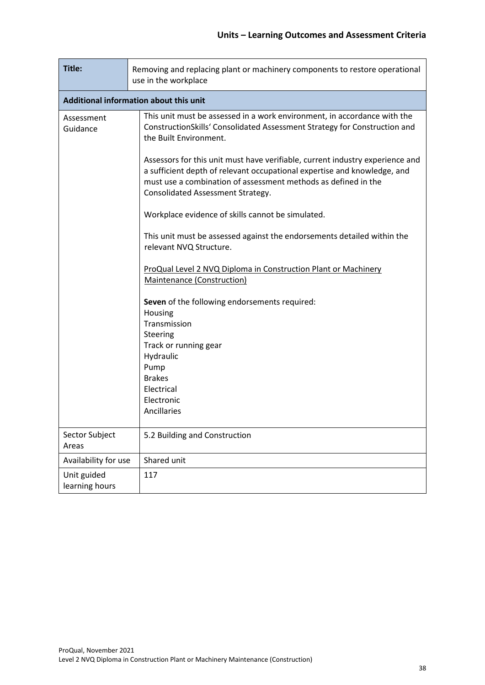| Title:                        | Removing and replacing plant or machinery components to restore operational<br>use in the workplace                                                                                                                                                                                                                                                                                                                                                                                                                                                                                                                                                                                                                                                                                                                                                                                                              |  |  |  |  |  |  |  |
|-------------------------------|------------------------------------------------------------------------------------------------------------------------------------------------------------------------------------------------------------------------------------------------------------------------------------------------------------------------------------------------------------------------------------------------------------------------------------------------------------------------------------------------------------------------------------------------------------------------------------------------------------------------------------------------------------------------------------------------------------------------------------------------------------------------------------------------------------------------------------------------------------------------------------------------------------------|--|--|--|--|--|--|--|
|                               | Additional information about this unit                                                                                                                                                                                                                                                                                                                                                                                                                                                                                                                                                                                                                                                                                                                                                                                                                                                                           |  |  |  |  |  |  |  |
| Assessment<br>Guidance        | This unit must be assessed in a work environment, in accordance with the<br>ConstructionSkills' Consolidated Assessment Strategy for Construction and<br>the Built Environment.<br>Assessors for this unit must have verifiable, current industry experience and<br>a sufficient depth of relevant occupational expertise and knowledge, and<br>must use a combination of assessment methods as defined in the<br>Consolidated Assessment Strategy.<br>Workplace evidence of skills cannot be simulated.<br>This unit must be assessed against the endorsements detailed within the<br>relevant NVQ Structure.<br>ProQual Level 2 NVQ Diploma in Construction Plant or Machinery<br>Maintenance (Construction)<br>Seven of the following endorsements required:<br>Housing<br>Transmission<br>Steering<br>Track or running gear<br>Hydraulic<br>Pump<br><b>Brakes</b><br>Electrical<br>Electronic<br>Ancillaries |  |  |  |  |  |  |  |
| Sector Subject<br>Areas       | 5.2 Building and Construction                                                                                                                                                                                                                                                                                                                                                                                                                                                                                                                                                                                                                                                                                                                                                                                                                                                                                    |  |  |  |  |  |  |  |
| Availability for use          | Shared unit                                                                                                                                                                                                                                                                                                                                                                                                                                                                                                                                                                                                                                                                                                                                                                                                                                                                                                      |  |  |  |  |  |  |  |
| Unit guided<br>learning hours | 117                                                                                                                                                                                                                                                                                                                                                                                                                                                                                                                                                                                                                                                                                                                                                                                                                                                                                                              |  |  |  |  |  |  |  |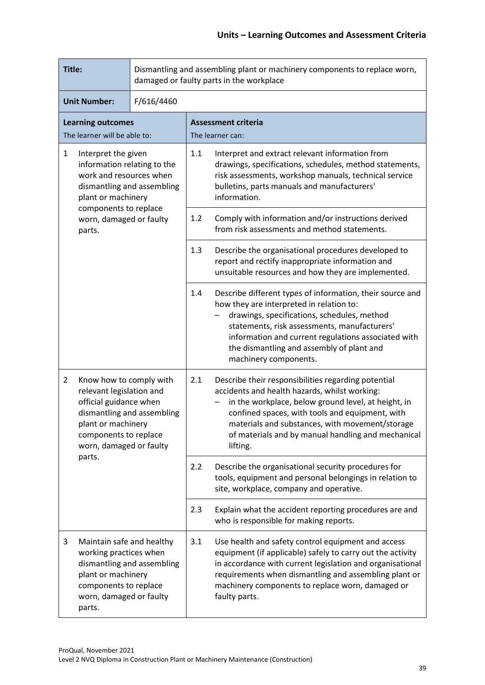| Title:                                                                                                                                            |                                                                                                                                                         |                            | Dismantling and assembling plant or machinery components to replace worn,<br>damaged or faulty parts in the workplace                                                                                                              |                                                                                                                                                                                                                                                                                                                                     |  |  |
|---------------------------------------------------------------------------------------------------------------------------------------------------|---------------------------------------------------------------------------------------------------------------------------------------------------------|----------------------------|------------------------------------------------------------------------------------------------------------------------------------------------------------------------------------------------------------------------------------|-------------------------------------------------------------------------------------------------------------------------------------------------------------------------------------------------------------------------------------------------------------------------------------------------------------------------------------|--|--|
| <b>Unit Number:</b><br>F/616/4460                                                                                                                 |                                                                                                                                                         |                            |                                                                                                                                                                                                                                    |                                                                                                                                                                                                                                                                                                                                     |  |  |
|                                                                                                                                                   | <b>Learning outcomes</b><br>The learner will be able to:                                                                                                |                            |                                                                                                                                                                                                                                    | <b>Assessment criteria</b><br>The learner can:                                                                                                                                                                                                                                                                                      |  |  |
| $\mathbf{1}$<br>Interpret the given<br>information relating to the<br>work and resources when<br>dismantling and assembling<br>plant or machinery |                                                                                                                                                         | $1.1\,$                    | Interpret and extract relevant information from<br>drawings, specifications, schedules, method statements,<br>risk assessments, workshop manuals, technical service<br>bulletins, parts manuals and manufacturers'<br>information. |                                                                                                                                                                                                                                                                                                                                     |  |  |
|                                                                                                                                                   | components to replace<br>worn, damaged or faulty<br>parts.                                                                                              |                            | 1.2                                                                                                                                                                                                                                | Comply with information and/or instructions derived<br>from risk assessments and method statements.                                                                                                                                                                                                                                 |  |  |
|                                                                                                                                                   |                                                                                                                                                         |                            | 1.3                                                                                                                                                                                                                                | Describe the organisational procedures developed to<br>report and rectify inappropriate information and<br>unsuitable resources and how they are implemented.                                                                                                                                                                       |  |  |
|                                                                                                                                                   |                                                                                                                                                         |                            | 1.4                                                                                                                                                                                                                                | Describe different types of information, their source and<br>how they are interpreted in relation to:<br>drawings, specifications, schedules, method<br>statements, risk assessments, manufacturers'<br>information and current regulations associated with<br>the dismantling and assembly of plant and<br>machinery components.   |  |  |
| $\overline{2}$                                                                                                                                    | Know how to comply with<br>relevant legislation and<br>official guidance when<br>plant or machinery<br>components to replace<br>worn, damaged or faulty | dismantling and assembling | 2.1                                                                                                                                                                                                                                | Describe their responsibilities regarding potential<br>accidents and health hazards, whilst working:<br>in the workplace, below ground level, at height, in<br>confined spaces, with tools and equipment, with<br>materials and substances, with movement/storage<br>of materials and by manual handling and mechanical<br>lifting. |  |  |
|                                                                                                                                                   | parts.                                                                                                                                                  |                            | 2.2                                                                                                                                                                                                                                | Describe the organisational security procedures for<br>tools, equipment and personal belongings in relation to<br>site, workplace, company and operative.                                                                                                                                                                           |  |  |
|                                                                                                                                                   |                                                                                                                                                         |                            | 2.3                                                                                                                                                                                                                                | Explain what the accident reporting procedures are and<br>who is responsible for making reports.                                                                                                                                                                                                                                    |  |  |
| 3                                                                                                                                                 | Maintain safe and healthy<br>working practices when<br>plant or machinery<br>components to replace<br>worn, damaged or faulty<br>parts.                 | dismantling and assembling | 3.1                                                                                                                                                                                                                                | Use health and safety control equipment and access<br>equipment (if applicable) safely to carry out the activity<br>in accordance with current legislation and organisational<br>requirements when dismantling and assembling plant or<br>machinery components to replace worn, damaged or<br>faulty parts.                         |  |  |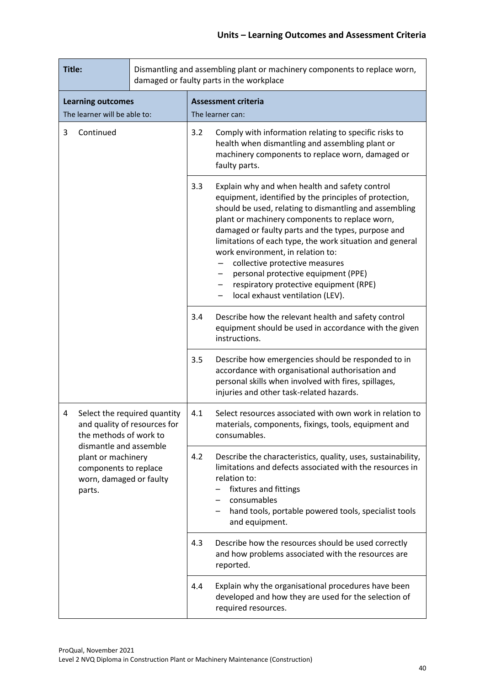| Title:                                                                                                     |                                                                                        |     | Dismantling and assembling plant or machinery components to replace worn,<br>damaged or faulty parts in the workplace                                                                                                                                      |                                                                                                                                                                                                                                                                                                                                                                                                                                                                                                                                         |
|------------------------------------------------------------------------------------------------------------|----------------------------------------------------------------------------------------|-----|------------------------------------------------------------------------------------------------------------------------------------------------------------------------------------------------------------------------------------------------------------|-----------------------------------------------------------------------------------------------------------------------------------------------------------------------------------------------------------------------------------------------------------------------------------------------------------------------------------------------------------------------------------------------------------------------------------------------------------------------------------------------------------------------------------------|
|                                                                                                            | <b>Learning outcomes</b>                                                               |     |                                                                                                                                                                                                                                                            | <b>Assessment criteria</b>                                                                                                                                                                                                                                                                                                                                                                                                                                                                                                              |
|                                                                                                            | The learner will be able to:                                                           |     |                                                                                                                                                                                                                                                            | The learner can:                                                                                                                                                                                                                                                                                                                                                                                                                                                                                                                        |
| 3<br>Continued                                                                                             |                                                                                        | 3.2 | Comply with information relating to specific risks to<br>health when dismantling and assembling plant or<br>machinery components to replace worn, damaged or<br>faulty parts.                                                                              |                                                                                                                                                                                                                                                                                                                                                                                                                                                                                                                                         |
|                                                                                                            |                                                                                        |     | 3.3                                                                                                                                                                                                                                                        | Explain why and when health and safety control<br>equipment, identified by the principles of protection,<br>should be used, relating to dismantling and assembling<br>plant or machinery components to replace worn,<br>damaged or faulty parts and the types, purpose and<br>limitations of each type, the work situation and general<br>work environment, in relation to:<br>collective protective measures<br>personal protective equipment (PPE)<br>respiratory protective equipment (RPE)<br>-<br>local exhaust ventilation (LEV). |
|                                                                                                            |                                                                                        |     | 3.4                                                                                                                                                                                                                                                        | Describe how the relevant health and safety control<br>equipment should be used in accordance with the given<br>instructions.                                                                                                                                                                                                                                                                                                                                                                                                           |
|                                                                                                            |                                                                                        |     | 3.5                                                                                                                                                                                                                                                        | Describe how emergencies should be responded to in<br>accordance with organisational authorisation and<br>personal skills when involved with fires, spillages,<br>injuries and other task-related hazards.                                                                                                                                                                                                                                                                                                                              |
| 4                                                                                                          | Select the required quantity<br>and quality of resources for<br>the methods of work to |     | 4.1                                                                                                                                                                                                                                                        | Select resources associated with own work in relation to<br>materials, components, fixings, tools, equipment and<br>consumables.                                                                                                                                                                                                                                                                                                                                                                                                        |
| dismantle and assemble<br>plant or machinery<br>components to replace<br>worn, damaged or faulty<br>parts. |                                                                                        | 4.2 | Describe the characteristics, quality, uses, sustainability,<br>limitations and defects associated with the resources in<br>relation to:<br>fixtures and fittings<br>consumables<br>hand tools, portable powered tools, specialist tools<br>and equipment. |                                                                                                                                                                                                                                                                                                                                                                                                                                                                                                                                         |
|                                                                                                            |                                                                                        | 4.3 | Describe how the resources should be used correctly<br>and how problems associated with the resources are<br>reported.                                                                                                                                     |                                                                                                                                                                                                                                                                                                                                                                                                                                                                                                                                         |
|                                                                                                            |                                                                                        | 4.4 | Explain why the organisational procedures have been<br>developed and how they are used for the selection of<br>required resources.                                                                                                                         |                                                                                                                                                                                                                                                                                                                                                                                                                                                                                                                                         |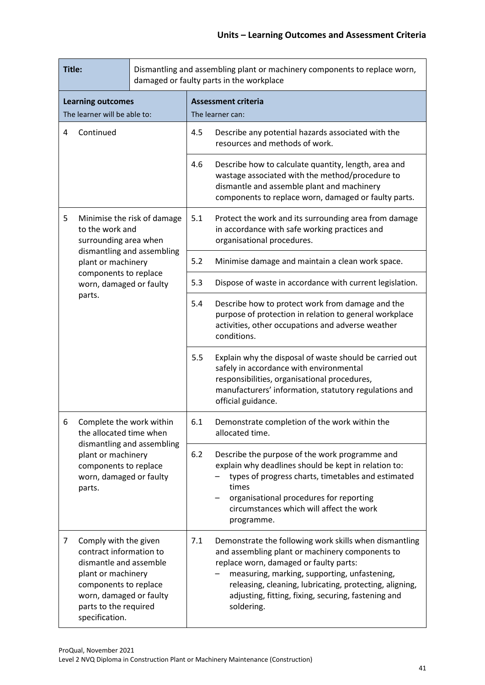| Title:                                                                                                         |                                                                                                                                                                                                 |                                                                                                                                                                                                                                                                            | Dismantling and assembling plant or machinery components to replace worn,<br>damaged or faulty parts in the workplace                                                                                         |                                                                                                                                                                                                                                                                                                                                     |
|----------------------------------------------------------------------------------------------------------------|-------------------------------------------------------------------------------------------------------------------------------------------------------------------------------------------------|----------------------------------------------------------------------------------------------------------------------------------------------------------------------------------------------------------------------------------------------------------------------------|---------------------------------------------------------------------------------------------------------------------------------------------------------------------------------------------------------------|-------------------------------------------------------------------------------------------------------------------------------------------------------------------------------------------------------------------------------------------------------------------------------------------------------------------------------------|
|                                                                                                                | <b>Learning outcomes</b><br>The learner will be able to:                                                                                                                                        |                                                                                                                                                                                                                                                                            |                                                                                                                                                                                                               | <b>Assessment criteria</b><br>The learner can:                                                                                                                                                                                                                                                                                      |
| 4                                                                                                              | Continued                                                                                                                                                                                       |                                                                                                                                                                                                                                                                            | 4.5                                                                                                                                                                                                           | Describe any potential hazards associated with the<br>resources and methods of work.                                                                                                                                                                                                                                                |
|                                                                                                                |                                                                                                                                                                                                 | 4.6                                                                                                                                                                                                                                                                        | Describe how to calculate quantity, length, area and<br>wastage associated with the method/procedure to<br>dismantle and assemble plant and machinery<br>components to replace worn, damaged or faulty parts. |                                                                                                                                                                                                                                                                                                                                     |
| 5                                                                                                              | to the work and<br>surrounding area when                                                                                                                                                        | Minimise the risk of damage                                                                                                                                                                                                                                                | 5.1                                                                                                                                                                                                           | Protect the work and its surrounding area from damage<br>in accordance with safe working practices and<br>organisational procedures.                                                                                                                                                                                                |
|                                                                                                                | dismantling and assembling<br>plant or machinery                                                                                                                                                |                                                                                                                                                                                                                                                                            | 5.2                                                                                                                                                                                                           | Minimise damage and maintain a clean work space.                                                                                                                                                                                                                                                                                    |
|                                                                                                                | components to replace<br>worn, damaged or faulty                                                                                                                                                |                                                                                                                                                                                                                                                                            | 5.3                                                                                                                                                                                                           | Dispose of waste in accordance with current legislation.                                                                                                                                                                                                                                                                            |
|                                                                                                                | parts.                                                                                                                                                                                          | 5.4                                                                                                                                                                                                                                                                        | Describe how to protect work from damage and the<br>purpose of protection in relation to general workplace<br>activities, other occupations and adverse weather<br>conditions.                                |                                                                                                                                                                                                                                                                                                                                     |
|                                                                                                                |                                                                                                                                                                                                 |                                                                                                                                                                                                                                                                            | 5.5                                                                                                                                                                                                           | Explain why the disposal of waste should be carried out<br>safely in accordance with environmental<br>responsibilities, organisational procedures,<br>manufacturers' information, statutory regulations and<br>official guidance.                                                                                                   |
| 6.                                                                                                             | Complete the work within<br>the allocated time when                                                                                                                                             |                                                                                                                                                                                                                                                                            | 6.1                                                                                                                                                                                                           | Demonstrate completion of the work within the<br>allocated time.                                                                                                                                                                                                                                                                    |
| dismantling and assembling<br>plant or machinery<br>components to replace<br>worn, damaged or faulty<br>parts. | 6.2                                                                                                                                                                                             | Describe the purpose of the work programme and<br>explain why deadlines should be kept in relation to:<br>types of progress charts, timetables and estimated<br>times<br>organisational procedures for reporting<br>circumstances which will affect the work<br>programme. |                                                                                                                                                                                                               |                                                                                                                                                                                                                                                                                                                                     |
| 7                                                                                                              | Comply with the given<br>contract information to<br>dismantle and assemble<br>plant or machinery<br>components to replace<br>worn, damaged or faulty<br>parts to the required<br>specification. |                                                                                                                                                                                                                                                                            | 7.1                                                                                                                                                                                                           | Demonstrate the following work skills when dismantling<br>and assembling plant or machinery components to<br>replace worn, damaged or faulty parts:<br>measuring, marking, supporting, unfastening,<br>releasing, cleaning, lubricating, protecting, aligning,<br>adjusting, fitting, fixing, securing, fastening and<br>soldering. |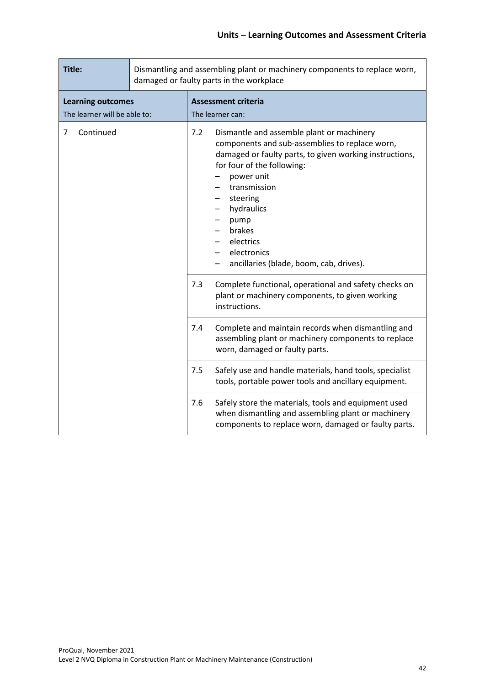| Title:                                                   | Dismantling and assembling plant or machinery components to replace worn,<br>damaged or faulty parts in the workplace |                                                                                                                                                                                                                                                                                                                                              |  |
|----------------------------------------------------------|-----------------------------------------------------------------------------------------------------------------------|----------------------------------------------------------------------------------------------------------------------------------------------------------------------------------------------------------------------------------------------------------------------------------------------------------------------------------------------|--|
| <b>Learning outcomes</b><br>The learner will be able to: |                                                                                                                       | <b>Assessment criteria</b><br>The learner can:                                                                                                                                                                                                                                                                                               |  |
| Continued<br>7                                           |                                                                                                                       | 7.2<br>Dismantle and assemble plant or machinery<br>components and sub-assemblies to replace worn,<br>damaged or faulty parts, to given working instructions,<br>for four of the following:<br>power unit<br>transmission<br>steering<br>hydraulics<br>pump<br>brakes<br>electrics<br>electronics<br>ancillaries (blade, boom, cab, drives). |  |
|                                                          |                                                                                                                       | Complete functional, operational and safety checks on<br>7.3<br>plant or machinery components, to given working<br>instructions.                                                                                                                                                                                                             |  |
|                                                          |                                                                                                                       | Complete and maintain records when dismantling and<br>7.4<br>assembling plant or machinery components to replace<br>worn, damaged or faulty parts.                                                                                                                                                                                           |  |
|                                                          |                                                                                                                       | 7.5<br>Safely use and handle materials, hand tools, specialist<br>tools, portable power tools and ancillary equipment.                                                                                                                                                                                                                       |  |
|                                                          |                                                                                                                       | Safely store the materials, tools and equipment used<br>7.6<br>when dismantling and assembling plant or machinery<br>components to replace worn, damaged or faulty parts.                                                                                                                                                                    |  |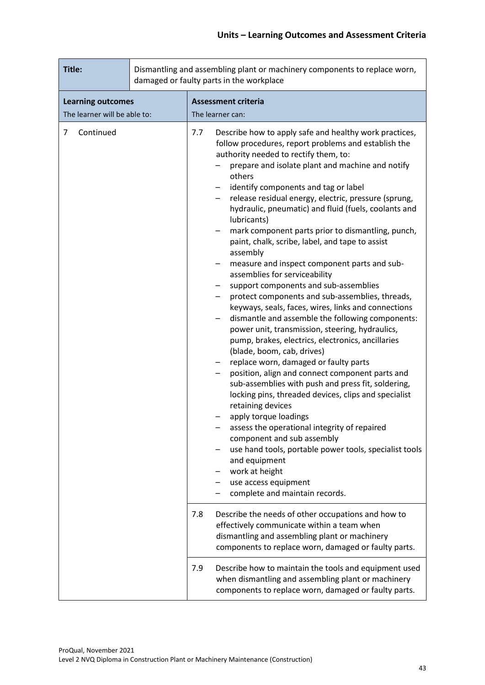| Title:                                                   |  |     | Dismantling and assembling plant or machinery components to replace worn,<br>damaged or faulty parts in the workplace                                                                                                                                                                                                                                                                                                                                                                                                                                                                                                                                                                                                                                                                                                                                                                                                                                                                                                                                                                                                                                                                                                                                                                                                                                                                                                                                   |
|----------------------------------------------------------|--|-----|---------------------------------------------------------------------------------------------------------------------------------------------------------------------------------------------------------------------------------------------------------------------------------------------------------------------------------------------------------------------------------------------------------------------------------------------------------------------------------------------------------------------------------------------------------------------------------------------------------------------------------------------------------------------------------------------------------------------------------------------------------------------------------------------------------------------------------------------------------------------------------------------------------------------------------------------------------------------------------------------------------------------------------------------------------------------------------------------------------------------------------------------------------------------------------------------------------------------------------------------------------------------------------------------------------------------------------------------------------------------------------------------------------------------------------------------------------|
| <b>Learning outcomes</b><br>The learner will be able to: |  |     | <b>Assessment criteria</b><br>The learner can:                                                                                                                                                                                                                                                                                                                                                                                                                                                                                                                                                                                                                                                                                                                                                                                                                                                                                                                                                                                                                                                                                                                                                                                                                                                                                                                                                                                                          |
| Continued<br>$\overline{7}$                              |  | 7.7 | Describe how to apply safe and healthy work practices,<br>follow procedures, report problems and establish the<br>authority needed to rectify them, to:<br>prepare and isolate plant and machine and notify<br>others<br>identify components and tag or label<br>release residual energy, electric, pressure (sprung,<br>$-$<br>hydraulic, pneumatic) and fluid (fuels, coolants and<br>lubricants)<br>mark component parts prior to dismantling, punch,<br>paint, chalk, scribe, label, and tape to assist<br>assembly<br>measure and inspect component parts and sub-<br>assemblies for serviceability<br>support components and sub-assemblies<br>protect components and sub-assemblies, threads,<br>keyways, seals, faces, wires, links and connections<br>dismantle and assemble the following components:<br>power unit, transmission, steering, hydraulics,<br>pump, brakes, electrics, electronics, ancillaries<br>(blade, boom, cab, drives)<br>replace worn, damaged or faulty parts<br>position, align and connect component parts and<br>—<br>sub-assemblies with push and press fit, soldering,<br>locking pins, threaded devices, clips and specialist<br>retaining devices<br>apply torque loadings<br>assess the operational integrity of repaired<br>component and sub assembly<br>use hand tools, portable power tools, specialist tools<br>and equipment<br>work at height<br>use access equipment<br>complete and maintain records. |
|                                                          |  | 7.8 | Describe the needs of other occupations and how to<br>effectively communicate within a team when<br>dismantling and assembling plant or machinery<br>components to replace worn, damaged or faulty parts.                                                                                                                                                                                                                                                                                                                                                                                                                                                                                                                                                                                                                                                                                                                                                                                                                                                                                                                                                                                                                                                                                                                                                                                                                                               |
|                                                          |  | 7.9 | Describe how to maintain the tools and equipment used<br>when dismantling and assembling plant or machinery<br>components to replace worn, damaged or faulty parts.                                                                                                                                                                                                                                                                                                                                                                                                                                                                                                                                                                                                                                                                                                                                                                                                                                                                                                                                                                                                                                                                                                                                                                                                                                                                                     |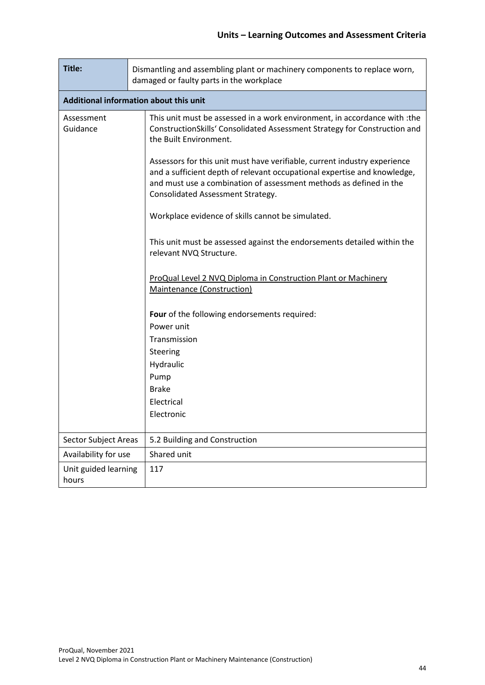| Title:                        | Dismantling and assembling plant or machinery components to replace worn,<br>damaged or faulty parts in the workplace                                                                                                                                            |  |  |  |  |  |  |  |
|-------------------------------|------------------------------------------------------------------------------------------------------------------------------------------------------------------------------------------------------------------------------------------------------------------|--|--|--|--|--|--|--|
|                               | Additional information about this unit                                                                                                                                                                                                                           |  |  |  |  |  |  |  |
| Assessment<br>Guidance        | This unit must be assessed in a work environment, in accordance with :the<br>ConstructionSkills' Consolidated Assessment Strategy for Construction and<br>the Built Environment.                                                                                 |  |  |  |  |  |  |  |
|                               | Assessors for this unit must have verifiable, current industry experience<br>and a sufficient depth of relevant occupational expertise and knowledge,<br>and must use a combination of assessment methods as defined in the<br>Consolidated Assessment Strategy. |  |  |  |  |  |  |  |
|                               | Workplace evidence of skills cannot be simulated.                                                                                                                                                                                                                |  |  |  |  |  |  |  |
|                               | This unit must be assessed against the endorsements detailed within the<br>relevant NVQ Structure.                                                                                                                                                               |  |  |  |  |  |  |  |
|                               | ProQual Level 2 NVQ Diploma in Construction Plant or Machinery<br>Maintenance (Construction)                                                                                                                                                                     |  |  |  |  |  |  |  |
|                               | Four of the following endorsements required:                                                                                                                                                                                                                     |  |  |  |  |  |  |  |
|                               | Power unit                                                                                                                                                                                                                                                       |  |  |  |  |  |  |  |
|                               | Transmission                                                                                                                                                                                                                                                     |  |  |  |  |  |  |  |
|                               | Steering                                                                                                                                                                                                                                                         |  |  |  |  |  |  |  |
|                               | Hydraulic                                                                                                                                                                                                                                                        |  |  |  |  |  |  |  |
|                               | Pump                                                                                                                                                                                                                                                             |  |  |  |  |  |  |  |
|                               | <b>Brake</b><br>Electrical                                                                                                                                                                                                                                       |  |  |  |  |  |  |  |
|                               | Electronic                                                                                                                                                                                                                                                       |  |  |  |  |  |  |  |
|                               |                                                                                                                                                                                                                                                                  |  |  |  |  |  |  |  |
| <b>Sector Subject Areas</b>   | 5.2 Building and Construction                                                                                                                                                                                                                                    |  |  |  |  |  |  |  |
| Availability for use          | Shared unit                                                                                                                                                                                                                                                      |  |  |  |  |  |  |  |
| Unit guided learning<br>hours | 117                                                                                                                                                                                                                                                              |  |  |  |  |  |  |  |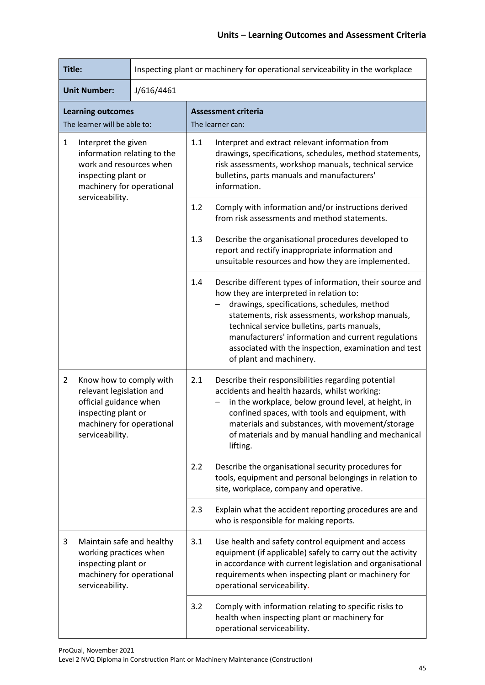| Title:                                                                                                                                            |                                                                                                                                                      |            | Inspecting plant or machinery for operational serviceability in the workplace                                                                                                                                                      |                                                                                                                                                                                                                                                                                                                                                                                                 |  |  |
|---------------------------------------------------------------------------------------------------------------------------------------------------|------------------------------------------------------------------------------------------------------------------------------------------------------|------------|------------------------------------------------------------------------------------------------------------------------------------------------------------------------------------------------------------------------------------|-------------------------------------------------------------------------------------------------------------------------------------------------------------------------------------------------------------------------------------------------------------------------------------------------------------------------------------------------------------------------------------------------|--|--|
|                                                                                                                                                   | <b>Unit Number:</b>                                                                                                                                  | J/616/4461 |                                                                                                                                                                                                                                    |                                                                                                                                                                                                                                                                                                                                                                                                 |  |  |
|                                                                                                                                                   | <b>Learning outcomes</b><br>The learner will be able to:                                                                                             |            |                                                                                                                                                                                                                                    | <b>Assessment criteria</b><br>The learner can:                                                                                                                                                                                                                                                                                                                                                  |  |  |
| $\mathbf{1}$<br>Interpret the given<br>information relating to the<br>work and resources when<br>inspecting plant or<br>machinery for operational |                                                                                                                                                      | 1.1        | Interpret and extract relevant information from<br>drawings, specifications, schedules, method statements,<br>risk assessments, workshop manuals, technical service<br>bulletins, parts manuals and manufacturers'<br>information. |                                                                                                                                                                                                                                                                                                                                                                                                 |  |  |
|                                                                                                                                                   | serviceability.                                                                                                                                      |            | 1.2                                                                                                                                                                                                                                | Comply with information and/or instructions derived<br>from risk assessments and method statements.                                                                                                                                                                                                                                                                                             |  |  |
|                                                                                                                                                   |                                                                                                                                                      |            | 1.3                                                                                                                                                                                                                                | Describe the organisational procedures developed to<br>report and rectify inappropriate information and<br>unsuitable resources and how they are implemented.                                                                                                                                                                                                                                   |  |  |
|                                                                                                                                                   |                                                                                                                                                      |            | 1.4                                                                                                                                                                                                                                | Describe different types of information, their source and<br>how they are interpreted in relation to:<br>drawings, specifications, schedules, method<br>statements, risk assessments, workshop manuals,<br>technical service bulletins, parts manuals,<br>manufacturers' information and current regulations<br>associated with the inspection, examination and test<br>of plant and machinery. |  |  |
| $\overline{2}$                                                                                                                                    | Know how to comply with<br>relevant legislation and<br>official guidance when<br>inspecting plant or<br>machinery for operational<br>serviceability. |            | 2.1                                                                                                                                                                                                                                | Describe their responsibilities regarding potential<br>accidents and health hazards, whilst working:<br>in the workplace, below ground level, at height, in<br>confined spaces, with tools and equipment, with<br>materials and substances, with movement/storage<br>of materials and by manual handling and mechanical<br>lifting.                                                             |  |  |
|                                                                                                                                                   |                                                                                                                                                      |            | 2.2                                                                                                                                                                                                                                | Describe the organisational security procedures for<br>tools, equipment and personal belongings in relation to<br>site, workplace, company and operative.                                                                                                                                                                                                                                       |  |  |
|                                                                                                                                                   |                                                                                                                                                      |            | 2.3                                                                                                                                                                                                                                | Explain what the accident reporting procedures are and<br>who is responsible for making reports.                                                                                                                                                                                                                                                                                                |  |  |
| 3                                                                                                                                                 | Maintain safe and healthy<br>working practices when<br>inspecting plant or<br>machinery for operational<br>serviceability.                           |            | 3.1                                                                                                                                                                                                                                | Use health and safety control equipment and access<br>equipment (if applicable) safely to carry out the activity<br>in accordance with current legislation and organisational<br>requirements when inspecting plant or machinery for<br>operational serviceability.                                                                                                                             |  |  |
|                                                                                                                                                   |                                                                                                                                                      |            | 3.2                                                                                                                                                                                                                                | Comply with information relating to specific risks to<br>health when inspecting plant or machinery for<br>operational serviceability.                                                                                                                                                                                                                                                           |  |  |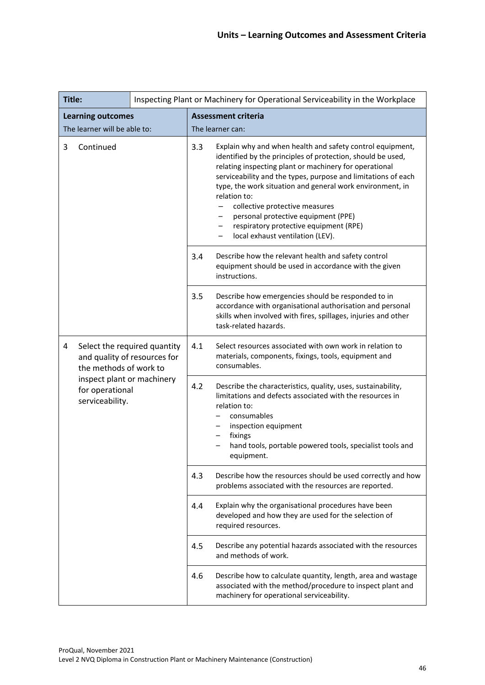| Title:                                                           |                                                                                        |                                                                                                                                                                                                                                                                      | Inspecting Plant or Machinery for Operational Serviceability in the Workplace                                                                                                                                                                                                                                                                                                                                                                                                                |                                                                                                                                                                                                            |
|------------------------------------------------------------------|----------------------------------------------------------------------------------------|----------------------------------------------------------------------------------------------------------------------------------------------------------------------------------------------------------------------------------------------------------------------|----------------------------------------------------------------------------------------------------------------------------------------------------------------------------------------------------------------------------------------------------------------------------------------------------------------------------------------------------------------------------------------------------------------------------------------------------------------------------------------------|------------------------------------------------------------------------------------------------------------------------------------------------------------------------------------------------------------|
| <b>Learning outcomes</b>                                         |                                                                                        |                                                                                                                                                                                                                                                                      | <b>Assessment criteria</b>                                                                                                                                                                                                                                                                                                                                                                                                                                                                   |                                                                                                                                                                                                            |
| The learner will be able to:                                     |                                                                                        |                                                                                                                                                                                                                                                                      | The learner can:                                                                                                                                                                                                                                                                                                                                                                                                                                                                             |                                                                                                                                                                                                            |
| 3<br>Continued                                                   |                                                                                        | 3.3                                                                                                                                                                                                                                                                  | Explain why and when health and safety control equipment,<br>identified by the principles of protection, should be used,<br>relating inspecting plant or machinery for operational<br>serviceability and the types, purpose and limitations of each<br>type, the work situation and general work environment, in<br>relation to:<br>collective protective measures<br>personal protective equipment (PPE)<br>respiratory protective equipment (RPE)<br>-<br>local exhaust ventilation (LEV). |                                                                                                                                                                                                            |
|                                                                  |                                                                                        |                                                                                                                                                                                                                                                                      | 3.4                                                                                                                                                                                                                                                                                                                                                                                                                                                                                          | Describe how the relevant health and safety control<br>equipment should be used in accordance with the given<br>instructions.                                                                              |
|                                                                  |                                                                                        |                                                                                                                                                                                                                                                                      | 3.5                                                                                                                                                                                                                                                                                                                                                                                                                                                                                          | Describe how emergencies should be responded to in<br>accordance with organisational authorisation and personal<br>skills when involved with fires, spillages, injuries and other<br>task-related hazards. |
| 4                                                                | Select the required quantity<br>and quality of resources for<br>the methods of work to |                                                                                                                                                                                                                                                                      | 4.1                                                                                                                                                                                                                                                                                                                                                                                                                                                                                          | Select resources associated with own work in relation to<br>materials, components, fixings, tools, equipment and<br>consumables.                                                                           |
| inspect plant or machinery<br>for operational<br>serviceability. | 4.2                                                                                    | Describe the characteristics, quality, uses, sustainability,<br>limitations and defects associated with the resources in<br>relation to:<br>consumables<br>inspection equipment<br>fixings<br>hand tools, portable powered tools, specialist tools and<br>equipment. |                                                                                                                                                                                                                                                                                                                                                                                                                                                                                              |                                                                                                                                                                                                            |
|                                                                  |                                                                                        |                                                                                                                                                                                                                                                                      | 4.3                                                                                                                                                                                                                                                                                                                                                                                                                                                                                          | Describe how the resources should be used correctly and how<br>problems associated with the resources are reported.                                                                                        |
|                                                                  |                                                                                        |                                                                                                                                                                                                                                                                      | 4.4                                                                                                                                                                                                                                                                                                                                                                                                                                                                                          | Explain why the organisational procedures have been<br>developed and how they are used for the selection of<br>required resources.                                                                         |
|                                                                  |                                                                                        |                                                                                                                                                                                                                                                                      | 4.5                                                                                                                                                                                                                                                                                                                                                                                                                                                                                          | Describe any potential hazards associated with the resources<br>and methods of work.                                                                                                                       |
|                                                                  |                                                                                        | 4.6                                                                                                                                                                                                                                                                  | Describe how to calculate quantity, length, area and wastage<br>associated with the method/procedure to inspect plant and<br>machinery for operational serviceability.                                                                                                                                                                                                                                                                                                                       |                                                                                                                                                                                                            |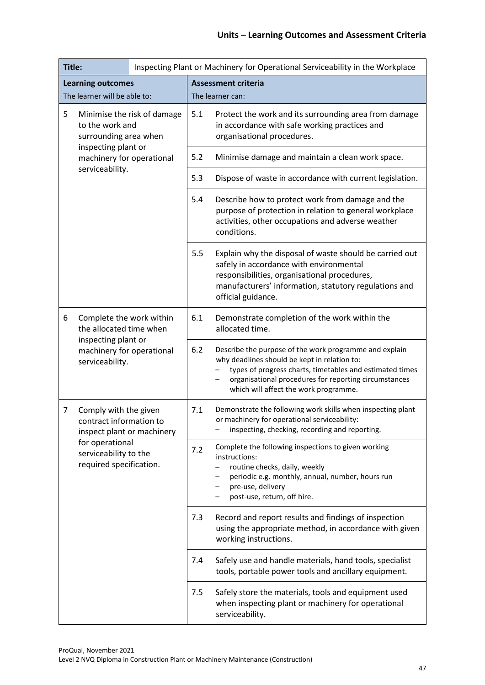| Title:                                                                       |                                                                                | Inspecting Plant or Machinery for Operational Serviceability in the Workplace                                                                                                                                                                                        |                                                                                                                                         |                                                                                                                                                                                                                                   |
|------------------------------------------------------------------------------|--------------------------------------------------------------------------------|----------------------------------------------------------------------------------------------------------------------------------------------------------------------------------------------------------------------------------------------------------------------|-----------------------------------------------------------------------------------------------------------------------------------------|-----------------------------------------------------------------------------------------------------------------------------------------------------------------------------------------------------------------------------------|
|                                                                              | <b>Learning outcomes</b><br>The learner will be able to:                       |                                                                                                                                                                                                                                                                      |                                                                                                                                         | <b>Assessment criteria</b><br>The learner can:                                                                                                                                                                                    |
| 5<br>Minimise the risk of damage<br>to the work and<br>surrounding area when |                                                                                | 5.1                                                                                                                                                                                                                                                                  | Protect the work and its surrounding area from damage<br>in accordance with safe working practices and<br>organisational procedures.    |                                                                                                                                                                                                                                   |
|                                                                              | inspecting plant or<br>machinery for operational                               |                                                                                                                                                                                                                                                                      | 5.2                                                                                                                                     | Minimise damage and maintain a clean work space.                                                                                                                                                                                  |
|                                                                              | serviceability.                                                                |                                                                                                                                                                                                                                                                      | 5.3                                                                                                                                     | Dispose of waste in accordance with current legislation.                                                                                                                                                                          |
|                                                                              |                                                                                |                                                                                                                                                                                                                                                                      | 5.4                                                                                                                                     | Describe how to protect work from damage and the<br>purpose of protection in relation to general workplace<br>activities, other occupations and adverse weather<br>conditions.                                                    |
|                                                                              |                                                                                |                                                                                                                                                                                                                                                                      | 5.5                                                                                                                                     | Explain why the disposal of waste should be carried out<br>safely in accordance with environmental<br>responsibilities, organisational procedures,<br>manufacturers' information, statutory regulations and<br>official guidance. |
| 6                                                                            | Complete the work within<br>the allocated time when                            |                                                                                                                                                                                                                                                                      | 6.1                                                                                                                                     | Demonstrate completion of the work within the<br>allocated time.                                                                                                                                                                  |
| inspecting plant or<br>machinery for operational<br>serviceability.          | 6.2                                                                            | Describe the purpose of the work programme and explain<br>why deadlines should be kept in relation to:<br>types of progress charts, timetables and estimated times<br>organisational procedures for reporting circumstances<br>which will affect the work programme. |                                                                                                                                         |                                                                                                                                                                                                                                   |
| 7                                                                            | Comply with the given<br>contract information to<br>inspect plant or machinery |                                                                                                                                                                                                                                                                      | 7.1                                                                                                                                     | Demonstrate the following work skills when inspecting plant<br>or machinery for operational serviceability:<br>inspecting, checking, recording and reporting.                                                                     |
|                                                                              | for operational<br>serviceability to the<br>required specification.            |                                                                                                                                                                                                                                                                      | 7.2                                                                                                                                     | Complete the following inspections to given working<br>instructions:<br>routine checks, daily, weekly<br>periodic e.g. monthly, annual, number, hours run<br>pre-use, delivery<br>post-use, return, off hire.                     |
|                                                                              |                                                                                | 7.3                                                                                                                                                                                                                                                                  | Record and report results and findings of inspection<br>using the appropriate method, in accordance with given<br>working instructions. |                                                                                                                                                                                                                                   |
|                                                                              |                                                                                |                                                                                                                                                                                                                                                                      | 7.4                                                                                                                                     | Safely use and handle materials, hand tools, specialist<br>tools, portable power tools and ancillary equipment.                                                                                                                   |
|                                                                              |                                                                                |                                                                                                                                                                                                                                                                      | 7.5                                                                                                                                     | Safely store the materials, tools and equipment used<br>when inspecting plant or machinery for operational<br>serviceability.                                                                                                     |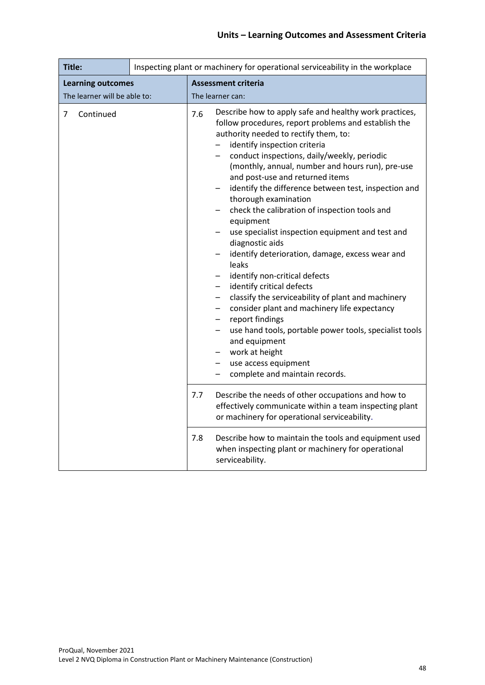| Title:                                                   | Inspecting plant or machinery for operational serviceability in the workplace                                                                                                                                                                                                                                                                                                                                                                                                                                                                                                                                                                                                                                                                                                                                                                                                                                                                                                                                                                                   |  |  |
|----------------------------------------------------------|-----------------------------------------------------------------------------------------------------------------------------------------------------------------------------------------------------------------------------------------------------------------------------------------------------------------------------------------------------------------------------------------------------------------------------------------------------------------------------------------------------------------------------------------------------------------------------------------------------------------------------------------------------------------------------------------------------------------------------------------------------------------------------------------------------------------------------------------------------------------------------------------------------------------------------------------------------------------------------------------------------------------------------------------------------------------|--|--|
| <b>Learning outcomes</b><br>The learner will be able to: | <b>Assessment criteria</b><br>The learner can:                                                                                                                                                                                                                                                                                                                                                                                                                                                                                                                                                                                                                                                                                                                                                                                                                                                                                                                                                                                                                  |  |  |
| Continued<br>7                                           | Describe how to apply safe and healthy work practices,<br>7.6<br>follow procedures, report problems and establish the<br>authority needed to rectify them, to:<br>identify inspection criteria<br>conduct inspections, daily/weekly, periodic<br>(monthly, annual, number and hours run), pre-use<br>and post-use and returned items<br>identify the difference between test, inspection and<br>thorough examination<br>check the calibration of inspection tools and<br>equipment<br>use specialist inspection equipment and test and<br>diagnostic aids<br>identify deterioration, damage, excess wear and<br>$\qquad \qquad -$<br>leaks<br>identify non-critical defects<br>identify critical defects<br>$\overline{\phantom{0}}$<br>classify the serviceability of plant and machinery<br>$\overline{\phantom{0}}$<br>consider plant and machinery life expectancy<br>—<br>report findings<br>-<br>use hand tools, portable power tools, specialist tools<br>-<br>and equipment<br>work at height<br>use access equipment<br>complete and maintain records. |  |  |
|                                                          | 7.7<br>Describe the needs of other occupations and how to<br>effectively communicate within a team inspecting plant<br>or machinery for operational serviceability.                                                                                                                                                                                                                                                                                                                                                                                                                                                                                                                                                                                                                                                                                                                                                                                                                                                                                             |  |  |
|                                                          | 7.8<br>Describe how to maintain the tools and equipment used<br>when inspecting plant or machinery for operational<br>serviceability.                                                                                                                                                                                                                                                                                                                                                                                                                                                                                                                                                                                                                                                                                                                                                                                                                                                                                                                           |  |  |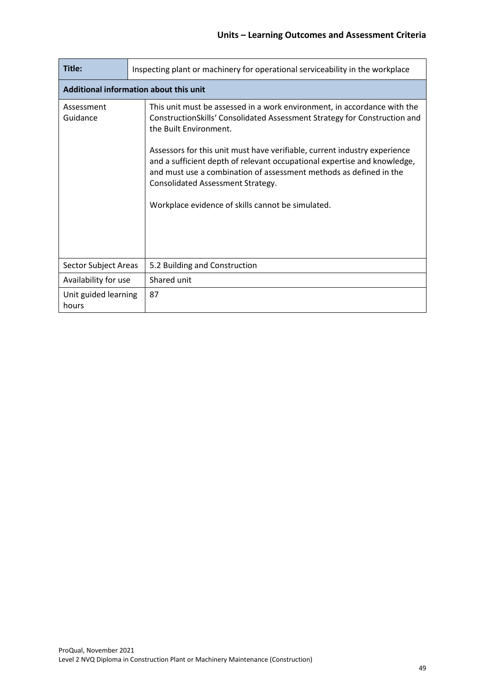| Title:                        | Inspecting plant or machinery for operational serviceability in the workplace                                                                                                                                                                                                                                                                                                                                                                                                                            |  |  |  |  |  |
|-------------------------------|----------------------------------------------------------------------------------------------------------------------------------------------------------------------------------------------------------------------------------------------------------------------------------------------------------------------------------------------------------------------------------------------------------------------------------------------------------------------------------------------------------|--|--|--|--|--|
|                               | Additional information about this unit                                                                                                                                                                                                                                                                                                                                                                                                                                                                   |  |  |  |  |  |
| Assessment<br>Guidance        | This unit must be assessed in a work environment, in accordance with the<br>ConstructionSkills' Consolidated Assessment Strategy for Construction and<br>the Built Environment.<br>Assessors for this unit must have verifiable, current industry experience<br>and a sufficient depth of relevant occupational expertise and knowledge,<br>and must use a combination of assessment methods as defined in the<br>Consolidated Assessment Strategy.<br>Workplace evidence of skills cannot be simulated. |  |  |  |  |  |
| Sector Subject Areas          | 5.2 Building and Construction                                                                                                                                                                                                                                                                                                                                                                                                                                                                            |  |  |  |  |  |
| Availability for use          | Shared unit                                                                                                                                                                                                                                                                                                                                                                                                                                                                                              |  |  |  |  |  |
| Unit guided learning<br>hours | 87                                                                                                                                                                                                                                                                                                                                                                                                                                                                                                       |  |  |  |  |  |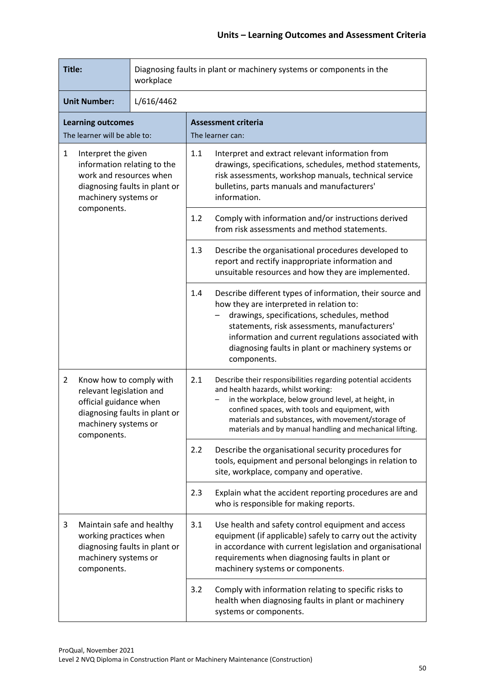| Title:                                                                                                                                                 |                                                                                                                                                       | workplace |                                                                                                                                                                                                                                    | Diagnosing faults in plant or machinery systems or components in the                                                                                                                                                                                                                                                             |
|--------------------------------------------------------------------------------------------------------------------------------------------------------|-------------------------------------------------------------------------------------------------------------------------------------------------------|-----------|------------------------------------------------------------------------------------------------------------------------------------------------------------------------------------------------------------------------------------|----------------------------------------------------------------------------------------------------------------------------------------------------------------------------------------------------------------------------------------------------------------------------------------------------------------------------------|
| <b>Unit Number:</b><br>L/616/4462                                                                                                                      |                                                                                                                                                       |           |                                                                                                                                                                                                                                    |                                                                                                                                                                                                                                                                                                                                  |
|                                                                                                                                                        | <b>Learning outcomes</b><br>The learner will be able to:                                                                                              |           |                                                                                                                                                                                                                                    | <b>Assessment criteria</b><br>The learner can:                                                                                                                                                                                                                                                                                   |
| $\mathbf{1}$<br>Interpret the given<br>information relating to the<br>work and resources when<br>diagnosing faults in plant or<br>machinery systems or |                                                                                                                                                       | 1.1       | Interpret and extract relevant information from<br>drawings, specifications, schedules, method statements,<br>risk assessments, workshop manuals, technical service<br>bulletins, parts manuals and manufacturers'<br>information. |                                                                                                                                                                                                                                                                                                                                  |
|                                                                                                                                                        | components.                                                                                                                                           |           | 1.2                                                                                                                                                                                                                                | Comply with information and/or instructions derived<br>from risk assessments and method statements.                                                                                                                                                                                                                              |
|                                                                                                                                                        |                                                                                                                                                       | 1.3       | Describe the organisational procedures developed to<br>report and rectify inappropriate information and<br>unsuitable resources and how they are implemented.                                                                      |                                                                                                                                                                                                                                                                                                                                  |
|                                                                                                                                                        |                                                                                                                                                       |           | 1.4                                                                                                                                                                                                                                | Describe different types of information, their source and<br>how they are interpreted in relation to:<br>drawings, specifications, schedules, method<br>statements, risk assessments, manufacturers'<br>information and current regulations associated with<br>diagnosing faults in plant or machinery systems or<br>components. |
| $\overline{2}$                                                                                                                                         | Know how to comply with<br>relevant legislation and<br>official guidance when<br>diagnosing faults in plant or<br>machinery systems or<br>components. |           | 2.1                                                                                                                                                                                                                                | Describe their responsibilities regarding potential accidents<br>and health hazards, whilst working:<br>in the workplace, below ground level, at height, in<br>confined spaces, with tools and equipment, with<br>materials and substances, with movement/storage of<br>materials and by manual handling and mechanical lifting. |
|                                                                                                                                                        |                                                                                                                                                       |           | 2.2                                                                                                                                                                                                                                | Describe the organisational security procedures for<br>tools, equipment and personal belongings in relation to<br>site, workplace, company and operative.                                                                                                                                                                        |
|                                                                                                                                                        |                                                                                                                                                       |           | 2.3                                                                                                                                                                                                                                | Explain what the accident reporting procedures are and<br>who is responsible for making reports.                                                                                                                                                                                                                                 |
| 3<br>Maintain safe and healthy<br>working practices when<br>diagnosing faults in plant or<br>machinery systems or<br>components.                       |                                                                                                                                                       |           | 3.1                                                                                                                                                                                                                                | Use health and safety control equipment and access<br>equipment (if applicable) safely to carry out the activity<br>in accordance with current legislation and organisational<br>requirements when diagnosing faults in plant or<br>machinery systems or components.                                                             |
|                                                                                                                                                        |                                                                                                                                                       |           | 3.2                                                                                                                                                                                                                                | Comply with information relating to specific risks to<br>health when diagnosing faults in plant or machinery<br>systems or components.                                                                                                                                                                                           |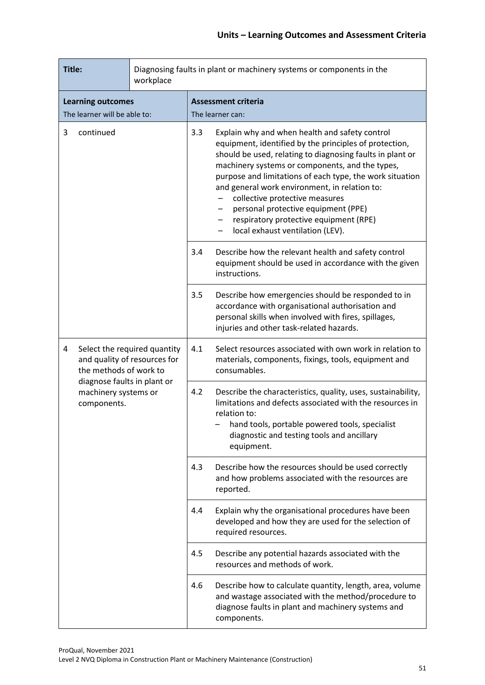| Title:<br>workplace |                                                                                        |                                                     | Diagnosing faults in plant or machinery systems or components in the                                                                                                                                                                                                                                                                                                                                                                                                                         |                                                                                                                                                                                                                                                        |  |
|---------------------|----------------------------------------------------------------------------------------|-----------------------------------------------------|----------------------------------------------------------------------------------------------------------------------------------------------------------------------------------------------------------------------------------------------------------------------------------------------------------------------------------------------------------------------------------------------------------------------------------------------------------------------------------------------|--------------------------------------------------------------------------------------------------------------------------------------------------------------------------------------------------------------------------------------------------------|--|
|                     | <b>Learning outcomes</b>                                                               |                                                     | <b>Assessment criteria</b>                                                                                                                                                                                                                                                                                                                                                                                                                                                                   |                                                                                                                                                                                                                                                        |  |
|                     | The learner will be able to:                                                           |                                                     |                                                                                                                                                                                                                                                                                                                                                                                                                                                                                              | The learner can:                                                                                                                                                                                                                                       |  |
| 3<br>continued      |                                                                                        | 3.3                                                 | Explain why and when health and safety control<br>equipment, identified by the principles of protection,<br>should be used, relating to diagnosing faults in plant or<br>machinery systems or components, and the types,<br>purpose and limitations of each type, the work situation<br>and general work environment, in relation to:<br>collective protective measures<br>personal protective equipment (PPE)<br>respiratory protective equipment (RPE)<br>local exhaust ventilation (LEV). |                                                                                                                                                                                                                                                        |  |
|                     |                                                                                        | 3.4                                                 | Describe how the relevant health and safety control<br>equipment should be used in accordance with the given<br>instructions.                                                                                                                                                                                                                                                                                                                                                                |                                                                                                                                                                                                                                                        |  |
|                     |                                                                                        |                                                     | 3.5                                                                                                                                                                                                                                                                                                                                                                                                                                                                                          | Describe how emergencies should be responded to in<br>accordance with organisational authorisation and<br>personal skills when involved with fires, spillages,<br>injuries and other task-related hazards.                                             |  |
| 4                   | Select the required quantity<br>and quality of resources for<br>the methods of work to |                                                     | 4.1                                                                                                                                                                                                                                                                                                                                                                                                                                                                                          | Select resources associated with own work in relation to<br>materials, components, fixings, tools, equipment and<br>consumables.                                                                                                                       |  |
|                     | components.                                                                            | diagnose faults in plant or<br>machinery systems or | 4.2                                                                                                                                                                                                                                                                                                                                                                                                                                                                                          | Describe the characteristics, quality, uses, sustainability,<br>limitations and defects associated with the resources in<br>relation to:<br>hand tools, portable powered tools, specialist<br>diagnostic and testing tools and ancillary<br>equipment. |  |
|                     |                                                                                        |                                                     | 4.3                                                                                                                                                                                                                                                                                                                                                                                                                                                                                          | Describe how the resources should be used correctly<br>and how problems associated with the resources are<br>reported.                                                                                                                                 |  |
|                     |                                                                                        |                                                     | 4.4                                                                                                                                                                                                                                                                                                                                                                                                                                                                                          | Explain why the organisational procedures have been<br>developed and how they are used for the selection of<br>required resources.                                                                                                                     |  |
|                     |                                                                                        |                                                     | 4.5                                                                                                                                                                                                                                                                                                                                                                                                                                                                                          | Describe any potential hazards associated with the<br>resources and methods of work.                                                                                                                                                                   |  |
|                     |                                                                                        | 4.6                                                 | Describe how to calculate quantity, length, area, volume<br>and wastage associated with the method/procedure to<br>diagnose faults in plant and machinery systems and<br>components.                                                                                                                                                                                                                                                                                                         |                                                                                                                                                                                                                                                        |  |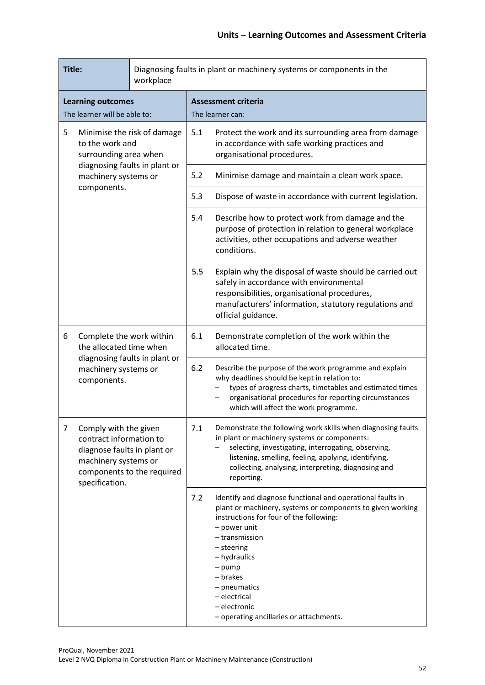| Title:<br>workplace                                                          |                                                                                                                                                         |     | Diagnosing faults in plant or machinery systems or components in the                                                                                                           |                                                                                                                                                                                                                                                                                                                                                        |
|------------------------------------------------------------------------------|---------------------------------------------------------------------------------------------------------------------------------------------------------|-----|--------------------------------------------------------------------------------------------------------------------------------------------------------------------------------|--------------------------------------------------------------------------------------------------------------------------------------------------------------------------------------------------------------------------------------------------------------------------------------------------------------------------------------------------------|
| <b>Learning outcomes</b><br>The learner will be able to:                     |                                                                                                                                                         |     | <b>Assessment criteria</b><br>The learner can:                                                                                                                                 |                                                                                                                                                                                                                                                                                                                                                        |
| 5<br>Minimise the risk of damage<br>to the work and<br>surrounding area when |                                                                                                                                                         | 5.1 | Protect the work and its surrounding area from damage<br>in accordance with safe working practices and<br>organisational procedures.                                           |                                                                                                                                                                                                                                                                                                                                                        |
|                                                                              | diagnosing faults in plant or<br>machinery systems or                                                                                                   |     | 5.2                                                                                                                                                                            | Minimise damage and maintain a clean work space.                                                                                                                                                                                                                                                                                                       |
|                                                                              | components.                                                                                                                                             |     | 5.3                                                                                                                                                                            | Dispose of waste in accordance with current legislation.                                                                                                                                                                                                                                                                                               |
|                                                                              |                                                                                                                                                         | 5.4 | Describe how to protect work from damage and the<br>purpose of protection in relation to general workplace<br>activities, other occupations and adverse weather<br>conditions. |                                                                                                                                                                                                                                                                                                                                                        |
|                                                                              |                                                                                                                                                         |     | 5.5                                                                                                                                                                            | Explain why the disposal of waste should be carried out<br>safely in accordance with environmental<br>responsibilities, organisational procedures,<br>manufacturers' information, statutory regulations and<br>official guidance.                                                                                                                      |
| 6                                                                            | Complete the work within<br>the allocated time when<br>diagnosing faults in plant or<br>machinery systems or<br>components.                             |     | 6.1                                                                                                                                                                            | Demonstrate completion of the work within the<br>allocated time.                                                                                                                                                                                                                                                                                       |
|                                                                              |                                                                                                                                                         |     | 6.2                                                                                                                                                                            | Describe the purpose of the work programme and explain<br>why deadlines should be kept in relation to:<br>types of progress charts, timetables and estimated times<br>organisational procedures for reporting circumstances<br>which will affect the work programme.                                                                                   |
| 7                                                                            | Comply with the given<br>contract information to<br>diagnose faults in plant or<br>machinery systems or<br>components to the required<br>specification. |     | 7.1                                                                                                                                                                            | Demonstrate the following work skills when diagnosing faults<br>in plant or machinery systems or components:<br>selecting, investigating, interrogating, observing,<br>listening, smelling, feeling, applying, identifying,<br>collecting, analysing, interpreting, diagnosing and<br>reporting.                                                       |
|                                                                              |                                                                                                                                                         |     | 7.2                                                                                                                                                                            | Identify and diagnose functional and operational faults in<br>plant or machinery, systems or components to given working<br>instructions for four of the following:<br>- power unit<br>- transmission<br>- steering<br>- hydraulics<br>$-$ pump<br>- brakes<br>- pneumatics<br>- electrical<br>- electronic<br>- operating ancillaries or attachments. |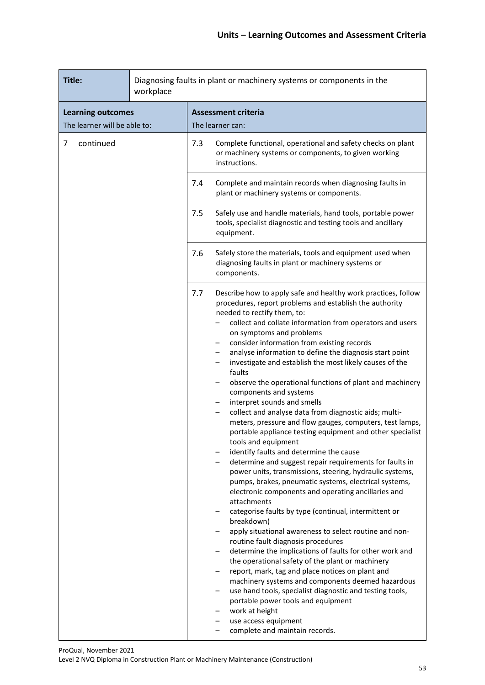| Title:                                                   | workplace | Diagnosing faults in plant or machinery systems or components in the |                                                                                                                                                                                                                                                                                                                                                                                                                                                                                                                                                                                                                                                                                                                                                                                                                                                                                                                                                                                                                                                                                                                                                                                                                                                                                                                                                                                                                                                                                                                                                                                                                                                                |  |
|----------------------------------------------------------|-----------|----------------------------------------------------------------------|----------------------------------------------------------------------------------------------------------------------------------------------------------------------------------------------------------------------------------------------------------------------------------------------------------------------------------------------------------------------------------------------------------------------------------------------------------------------------------------------------------------------------------------------------------------------------------------------------------------------------------------------------------------------------------------------------------------------------------------------------------------------------------------------------------------------------------------------------------------------------------------------------------------------------------------------------------------------------------------------------------------------------------------------------------------------------------------------------------------------------------------------------------------------------------------------------------------------------------------------------------------------------------------------------------------------------------------------------------------------------------------------------------------------------------------------------------------------------------------------------------------------------------------------------------------------------------------------------------------------------------------------------------------|--|
| <b>Learning outcomes</b><br>The learner will be able to: |           | <b>Assessment criteria</b><br>The learner can:                       |                                                                                                                                                                                                                                                                                                                                                                                                                                                                                                                                                                                                                                                                                                                                                                                                                                                                                                                                                                                                                                                                                                                                                                                                                                                                                                                                                                                                                                                                                                                                                                                                                                                                |  |
| continued<br>7                                           |           | 7.3                                                                  | Complete functional, operational and safety checks on plant<br>or machinery systems or components, to given working<br>instructions.                                                                                                                                                                                                                                                                                                                                                                                                                                                                                                                                                                                                                                                                                                                                                                                                                                                                                                                                                                                                                                                                                                                                                                                                                                                                                                                                                                                                                                                                                                                           |  |
|                                                          |           | 7.4                                                                  | Complete and maintain records when diagnosing faults in<br>plant or machinery systems or components.                                                                                                                                                                                                                                                                                                                                                                                                                                                                                                                                                                                                                                                                                                                                                                                                                                                                                                                                                                                                                                                                                                                                                                                                                                                                                                                                                                                                                                                                                                                                                           |  |
|                                                          |           | 7.5                                                                  | Safely use and handle materials, hand tools, portable power<br>tools, specialist diagnostic and testing tools and ancillary<br>equipment.                                                                                                                                                                                                                                                                                                                                                                                                                                                                                                                                                                                                                                                                                                                                                                                                                                                                                                                                                                                                                                                                                                                                                                                                                                                                                                                                                                                                                                                                                                                      |  |
|                                                          |           | 7.6                                                                  | Safely store the materials, tools and equipment used when<br>diagnosing faults in plant or machinery systems or<br>components.                                                                                                                                                                                                                                                                                                                                                                                                                                                                                                                                                                                                                                                                                                                                                                                                                                                                                                                                                                                                                                                                                                                                                                                                                                                                                                                                                                                                                                                                                                                                 |  |
|                                                          |           | 7.7                                                                  | Describe how to apply safe and healthy work practices, follow<br>procedures, report problems and establish the authority<br>needed to rectify them, to:<br>collect and collate information from operators and users<br>on symptoms and problems<br>consider information from existing records<br>analyse information to define the diagnosis start point<br>investigate and establish the most likely causes of the<br>faults<br>observe the operational functions of plant and machinery<br>components and systems<br>interpret sounds and smells<br>collect and analyse data from diagnostic aids; multi-<br>$\qquad \qquad -$<br>meters, pressure and flow gauges, computers, test lamps,<br>portable appliance testing equipment and other specialist<br>tools and equipment<br>identify faults and determine the cause<br>determine and suggest repair requirements for faults in<br>power units, transmissions, steering, hydraulic systems,<br>pumps, brakes, pneumatic systems, electrical systems,<br>electronic components and operating ancillaries and<br>attachments<br>categorise faults by type (continual, intermittent or<br>breakdown)<br>apply situational awareness to select routine and non-<br>routine fault diagnosis procedures<br>determine the implications of faults for other work and<br>the operational safety of the plant or machinery<br>report, mark, tag and place notices on plant and<br>machinery systems and components deemed hazardous<br>use hand tools, specialist diagnostic and testing tools,<br>portable power tools and equipment<br>work at height<br>use access equipment<br>complete and maintain records. |  |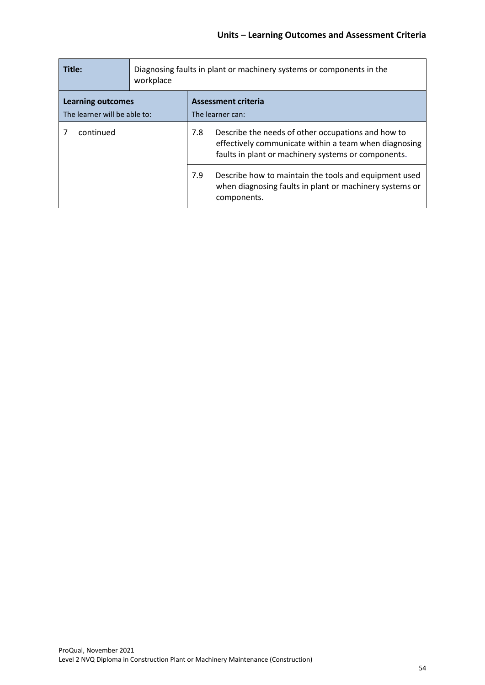| Title:                                                   | Diagnosing faults in plant or machinery systems or components in the<br>workplace |     |                                                                                                                                                                    |  |
|----------------------------------------------------------|-----------------------------------------------------------------------------------|-----|--------------------------------------------------------------------------------------------------------------------------------------------------------------------|--|
| <b>Learning outcomes</b><br>The learner will be able to: |                                                                                   |     | <b>Assessment criteria</b><br>The learner can:                                                                                                                     |  |
| continued                                                |                                                                                   | 7.8 | Describe the needs of other occupations and how to<br>effectively communicate within a team when diagnosing<br>faults in plant or machinery systems or components. |  |
|                                                          |                                                                                   | 7.9 | Describe how to maintain the tools and equipment used<br>when diagnosing faults in plant or machinery systems or<br>components.                                    |  |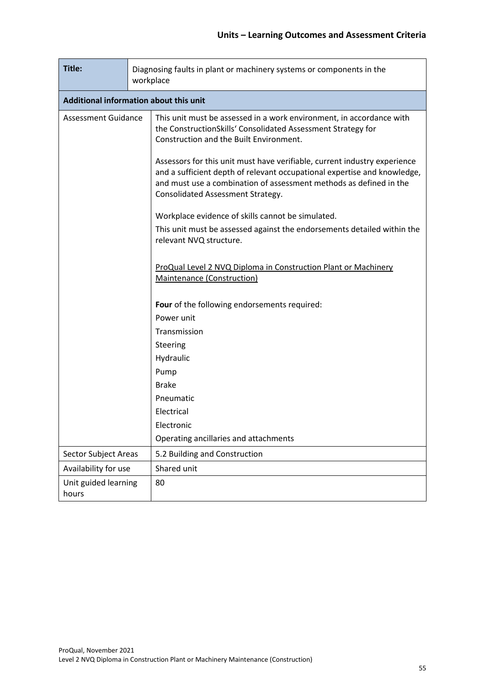| Title:                        |                                        | Diagnosing faults in plant or machinery systems or components in the<br>workplace                                                                                                                                                                                                                                                                                                                              |  |  |  |  |  |
|-------------------------------|----------------------------------------|----------------------------------------------------------------------------------------------------------------------------------------------------------------------------------------------------------------------------------------------------------------------------------------------------------------------------------------------------------------------------------------------------------------|--|--|--|--|--|
|                               | Additional information about this unit |                                                                                                                                                                                                                                                                                                                                                                                                                |  |  |  |  |  |
| <b>Assessment Guidance</b>    |                                        | This unit must be assessed in a work environment, in accordance with<br>the ConstructionSkills' Consolidated Assessment Strategy for<br>Construction and the Built Environment.<br>Assessors for this unit must have verifiable, current industry experience<br>and a sufficient depth of relevant occupational expertise and knowledge,<br>and must use a combination of assessment methods as defined in the |  |  |  |  |  |
|                               |                                        | Consolidated Assessment Strategy.                                                                                                                                                                                                                                                                                                                                                                              |  |  |  |  |  |
|                               |                                        | Workplace evidence of skills cannot be simulated.                                                                                                                                                                                                                                                                                                                                                              |  |  |  |  |  |
|                               |                                        | This unit must be assessed against the endorsements detailed within the<br>relevant NVQ structure.                                                                                                                                                                                                                                                                                                             |  |  |  |  |  |
|                               |                                        | ProQual Level 2 NVQ Diploma in Construction Plant or Machinery<br>Maintenance (Construction)                                                                                                                                                                                                                                                                                                                   |  |  |  |  |  |
|                               |                                        | Four of the following endorsements required:                                                                                                                                                                                                                                                                                                                                                                   |  |  |  |  |  |
|                               |                                        | Power unit                                                                                                                                                                                                                                                                                                                                                                                                     |  |  |  |  |  |
|                               |                                        | Transmission                                                                                                                                                                                                                                                                                                                                                                                                   |  |  |  |  |  |
|                               |                                        | Steering                                                                                                                                                                                                                                                                                                                                                                                                       |  |  |  |  |  |
|                               |                                        | Hydraulic                                                                                                                                                                                                                                                                                                                                                                                                      |  |  |  |  |  |
|                               |                                        | Pump                                                                                                                                                                                                                                                                                                                                                                                                           |  |  |  |  |  |
|                               |                                        | <b>Brake</b>                                                                                                                                                                                                                                                                                                                                                                                                   |  |  |  |  |  |
|                               |                                        | Pneumatic                                                                                                                                                                                                                                                                                                                                                                                                      |  |  |  |  |  |
|                               |                                        | Electrical<br>Electronic                                                                                                                                                                                                                                                                                                                                                                                       |  |  |  |  |  |
|                               |                                        | Operating ancillaries and attachments                                                                                                                                                                                                                                                                                                                                                                          |  |  |  |  |  |
|                               |                                        | 5.2 Building and Construction                                                                                                                                                                                                                                                                                                                                                                                  |  |  |  |  |  |
| <b>Sector Subject Areas</b>   |                                        | Shared unit                                                                                                                                                                                                                                                                                                                                                                                                    |  |  |  |  |  |
| Availability for use          |                                        |                                                                                                                                                                                                                                                                                                                                                                                                                |  |  |  |  |  |
| Unit guided learning<br>hours |                                        | 80                                                                                                                                                                                                                                                                                                                                                                                                             |  |  |  |  |  |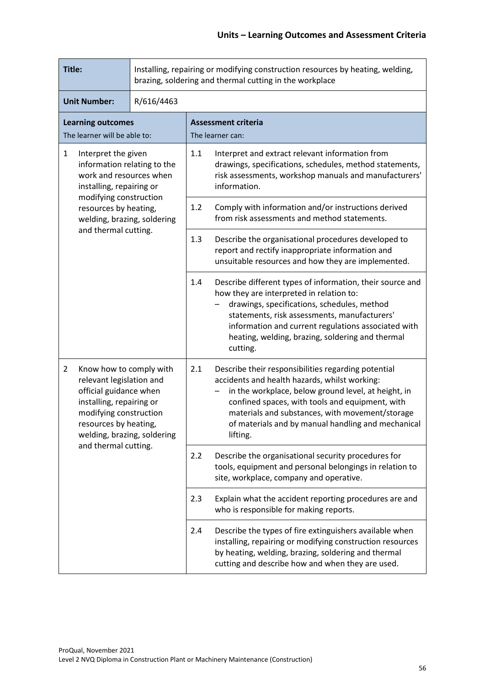| Title:                                                                                                                                                                                                        |            | Installing, repairing or modifying construction resources by heating, welding,<br>brazing, soldering and thermal cutting in the workplace                                                                                                                                                                                                  |  |  |
|---------------------------------------------------------------------------------------------------------------------------------------------------------------------------------------------------------------|------------|--------------------------------------------------------------------------------------------------------------------------------------------------------------------------------------------------------------------------------------------------------------------------------------------------------------------------------------------|--|--|
| <b>Unit Number:</b>                                                                                                                                                                                           | R/616/4463 |                                                                                                                                                                                                                                                                                                                                            |  |  |
| <b>Learning outcomes</b><br>The learner will be able to:                                                                                                                                                      |            | <b>Assessment criteria</b><br>The learner can:                                                                                                                                                                                                                                                                                             |  |  |
| 1<br>Interpret the given<br>information relating to the<br>work and resources when<br>installing, repairing or                                                                                                |            | 1.1<br>Interpret and extract relevant information from<br>drawings, specifications, schedules, method statements,<br>risk assessments, workshop manuals and manufacturers'<br>information.                                                                                                                                                 |  |  |
| modifying construction<br>resources by heating,<br>welding, brazing, soldering                                                                                                                                |            | 1.2<br>Comply with information and/or instructions derived<br>from risk assessments and method statements.                                                                                                                                                                                                                                 |  |  |
| and thermal cutting.                                                                                                                                                                                          |            | 1.3<br>Describe the organisational procedures developed to<br>report and rectify inappropriate information and<br>unsuitable resources and how they are implemented.                                                                                                                                                                       |  |  |
|                                                                                                                                                                                                               |            | 1.4<br>Describe different types of information, their source and<br>how they are interpreted in relation to:<br>drawings, specifications, schedules, method<br>statements, risk assessments, manufacturers'<br>information and current regulations associated with<br>heating, welding, brazing, soldering and thermal<br>cutting.         |  |  |
| $\overline{2}$<br>Know how to comply with<br>relevant legislation and<br>official guidance when<br>installing, repairing or<br>modifying construction<br>resources by heating,<br>welding, brazing, soldering |            | Describe their responsibilities regarding potential<br>2.1<br>accidents and health hazards, whilst working:<br>in the workplace, below ground level, at height, in<br>confined spaces, with tools and equipment, with<br>materials and substances, with movement/storage<br>of materials and by manual handling and mechanical<br>lifting. |  |  |
| and thermal cutting.                                                                                                                                                                                          |            | 2.2<br>Describe the organisational security procedures for<br>tools, equipment and personal belongings in relation to<br>site, workplace, company and operative.                                                                                                                                                                           |  |  |
|                                                                                                                                                                                                               |            | 2.3<br>Explain what the accident reporting procedures are and<br>who is responsible for making reports.                                                                                                                                                                                                                                    |  |  |
|                                                                                                                                                                                                               |            | 2.4<br>Describe the types of fire extinguishers available when<br>installing, repairing or modifying construction resources<br>by heating, welding, brazing, soldering and thermal<br>cutting and describe how and when they are used.                                                                                                     |  |  |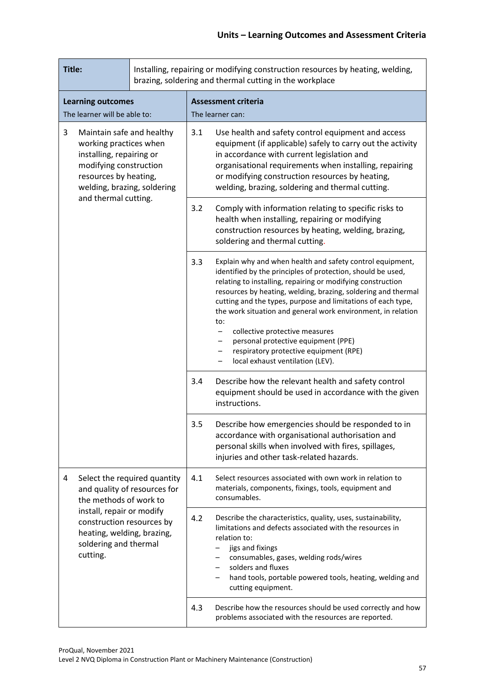| Title:                                                                                                                                                                 |                                                                                                               |     | Installing, repairing or modifying construction resources by heating, welding,<br>brazing, soldering and thermal cutting in the workplace                                                                                                                                                                                       |                                                                                                                                                                                                                                                                                                                                                                                                                                                                                                                                                                  |
|------------------------------------------------------------------------------------------------------------------------------------------------------------------------|---------------------------------------------------------------------------------------------------------------|-----|---------------------------------------------------------------------------------------------------------------------------------------------------------------------------------------------------------------------------------------------------------------------------------------------------------------------------------|------------------------------------------------------------------------------------------------------------------------------------------------------------------------------------------------------------------------------------------------------------------------------------------------------------------------------------------------------------------------------------------------------------------------------------------------------------------------------------------------------------------------------------------------------------------|
| <b>Learning outcomes</b><br>The learner will be able to:                                                                                                               |                                                                                                               |     | <b>Assessment criteria</b><br>The learner can:                                                                                                                                                                                                                                                                                  |                                                                                                                                                                                                                                                                                                                                                                                                                                                                                                                                                                  |
| 3<br>Maintain safe and healthy<br>working practices when<br>installing, repairing or<br>modifying construction<br>resources by heating,<br>welding, brazing, soldering |                                                                                                               | 3.1 | Use health and safety control equipment and access<br>equipment (if applicable) safely to carry out the activity<br>in accordance with current legislation and<br>organisational requirements when installing, repairing<br>or modifying construction resources by heating,<br>welding, brazing, soldering and thermal cutting. |                                                                                                                                                                                                                                                                                                                                                                                                                                                                                                                                                                  |
| and thermal cutting.                                                                                                                                                   |                                                                                                               | 3.2 | Comply with information relating to specific risks to<br>health when installing, repairing or modifying<br>construction resources by heating, welding, brazing,<br>soldering and thermal cutting.                                                                                                                               |                                                                                                                                                                                                                                                                                                                                                                                                                                                                                                                                                                  |
|                                                                                                                                                                        |                                                                                                               |     | 3.3                                                                                                                                                                                                                                                                                                                             | Explain why and when health and safety control equipment,<br>identified by the principles of protection, should be used,<br>relating to installing, repairing or modifying construction<br>resources by heating, welding, brazing, soldering and thermal<br>cutting and the types, purpose and limitations of each type,<br>the work situation and general work environment, in relation<br>to:<br>collective protective measures<br>-<br>personal protective equipment (PPE)<br>-<br>respiratory protective equipment (RPE)<br>local exhaust ventilation (LEV). |
|                                                                                                                                                                        |                                                                                                               | 3.4 | Describe how the relevant health and safety control<br>equipment should be used in accordance with the given<br>instructions.                                                                                                                                                                                                   |                                                                                                                                                                                                                                                                                                                                                                                                                                                                                                                                                                  |
|                                                                                                                                                                        |                                                                                                               | 3.5 | Describe how emergencies should be responded to in<br>accordance with organisational authorisation and<br>personal skills when involved with fires, spillages,<br>injuries and other task-related hazards.                                                                                                                      |                                                                                                                                                                                                                                                                                                                                                                                                                                                                                                                                                                  |
| 4                                                                                                                                                                      | Select the required quantity<br>and quality of resources for<br>the methods of work to                        |     | 4.1                                                                                                                                                                                                                                                                                                                             | Select resources associated with own work in relation to<br>materials, components, fixings, tools, equipment and<br>consumables.                                                                                                                                                                                                                                                                                                                                                                                                                                 |
| cutting.                                                                                                                                                               | install, repair or modify<br>construction resources by<br>heating, welding, brazing,<br>soldering and thermal |     | 4.2                                                                                                                                                                                                                                                                                                                             | Describe the characteristics, quality, uses, sustainability,<br>limitations and defects associated with the resources in<br>relation to:<br>jigs and fixings<br>consumables, gases, welding rods/wires<br>solders and fluxes<br>hand tools, portable powered tools, heating, welding and<br>cutting equipment.                                                                                                                                                                                                                                                   |
|                                                                                                                                                                        |                                                                                                               |     | 4.3                                                                                                                                                                                                                                                                                                                             | Describe how the resources should be used correctly and how<br>problems associated with the resources are reported.                                                                                                                                                                                                                                                                                                                                                                                                                                              |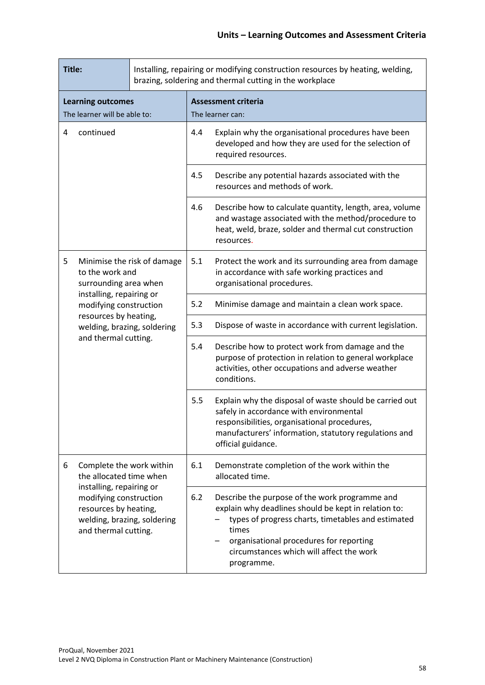| Title:                                                                                                                             |                                                      | Installing, repairing or modifying construction resources by heating, welding,<br>brazing, soldering and thermal cutting in the workplace |                                                                                                                                                                                                                                                                            |                                                                                                                                                                                                                                   |
|------------------------------------------------------------------------------------------------------------------------------------|------------------------------------------------------|-------------------------------------------------------------------------------------------------------------------------------------------|----------------------------------------------------------------------------------------------------------------------------------------------------------------------------------------------------------------------------------------------------------------------------|-----------------------------------------------------------------------------------------------------------------------------------------------------------------------------------------------------------------------------------|
| <b>Learning outcomes</b><br>The learner will be able to:                                                                           |                                                      |                                                                                                                                           | <b>Assessment criteria</b><br>The learner can:                                                                                                                                                                                                                             |                                                                                                                                                                                                                                   |
| 4<br>continued                                                                                                                     |                                                      | 4.4                                                                                                                                       | Explain why the organisational procedures have been<br>developed and how they are used for the selection of<br>required resources.                                                                                                                                         |                                                                                                                                                                                                                                   |
|                                                                                                                                    |                                                      | 4.5                                                                                                                                       | Describe any potential hazards associated with the<br>resources and methods of work.                                                                                                                                                                                       |                                                                                                                                                                                                                                   |
|                                                                                                                                    |                                                      | 4.6                                                                                                                                       | Describe how to calculate quantity, length, area, volume<br>and wastage associated with the method/procedure to<br>heat, weld, braze, solder and thermal cut construction<br>resources.                                                                                    |                                                                                                                                                                                                                                   |
| Minimise the risk of damage<br>5<br>to the work and<br>surrounding area when                                                       |                                                      | 5.1                                                                                                                                       | Protect the work and its surrounding area from damage<br>in accordance with safe working practices and<br>organisational procedures.                                                                                                                                       |                                                                                                                                                                                                                                   |
|                                                                                                                                    | installing, repairing or<br>modifying construction   |                                                                                                                                           | 5.2                                                                                                                                                                                                                                                                        | Minimise damage and maintain a clean work space.                                                                                                                                                                                  |
|                                                                                                                                    | resources by heating,<br>welding, brazing, soldering |                                                                                                                                           | 5.3                                                                                                                                                                                                                                                                        | Dispose of waste in accordance with current legislation.                                                                                                                                                                          |
|                                                                                                                                    | and thermal cutting.                                 | 5.4                                                                                                                                       | Describe how to protect work from damage and the<br>purpose of protection in relation to general workplace<br>activities, other occupations and adverse weather<br>conditions.                                                                                             |                                                                                                                                                                                                                                   |
|                                                                                                                                    |                                                      |                                                                                                                                           | 5.5                                                                                                                                                                                                                                                                        | Explain why the disposal of waste should be carried out<br>safely in accordance with environmental<br>responsibilities, organisational procedures,<br>manufacturers' information, statutory regulations and<br>official guidance. |
| 6                                                                                                                                  | Complete the work within<br>the allocated time when  |                                                                                                                                           | 6.1                                                                                                                                                                                                                                                                        | Demonstrate completion of the work within the<br>allocated time.                                                                                                                                                                  |
| installing, repairing or<br>modifying construction<br>resources by heating,<br>welding, brazing, soldering<br>and thermal cutting. |                                                      | 6.2                                                                                                                                       | Describe the purpose of the work programme and<br>explain why deadlines should be kept in relation to:<br>types of progress charts, timetables and estimated<br>times<br>organisational procedures for reporting<br>circumstances which will affect the work<br>programme. |                                                                                                                                                                                                                                   |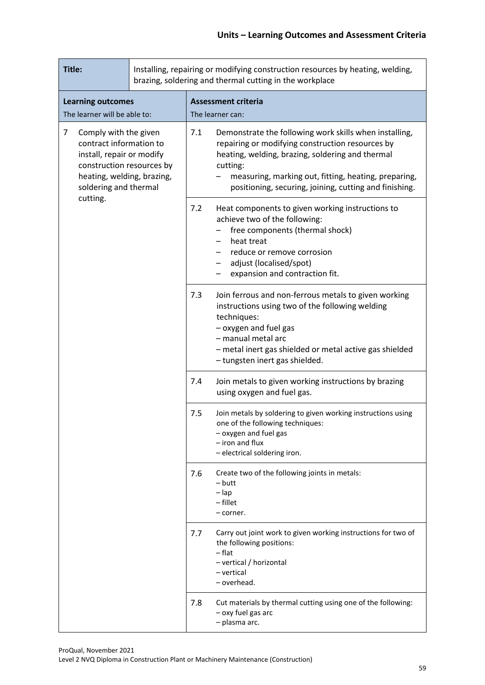| Title:                                                                                                                                                                              |            | Installing, repairing or modifying construction resources by heating, welding,<br>brazing, soldering and thermal cutting in the workplace                                                                                                                                                           |
|-------------------------------------------------------------------------------------------------------------------------------------------------------------------------------------|------------|-----------------------------------------------------------------------------------------------------------------------------------------------------------------------------------------------------------------------------------------------------------------------------------------------------|
| <b>Learning outcomes</b><br>The learner will be able to:                                                                                                                            |            | <b>Assessment criteria</b><br>The learner can:                                                                                                                                                                                                                                                      |
| $\overline{7}$<br>Comply with the given<br>contract information to<br>install, repair or modify<br>construction resources by<br>heating, welding, brazing,<br>soldering and thermal |            | 7.1<br>Demonstrate the following work skills when installing,<br>repairing or modifying construction resources by<br>heating, welding, brazing, soldering and thermal<br>cutting:<br>measuring, marking out, fitting, heating, preparing,<br>positioning, securing, joining, cutting and finishing. |
| cutting.                                                                                                                                                                            |            | 7.2<br>Heat components to given working instructions to<br>achieve two of the following:<br>free components (thermal shock)<br>heat treat<br>reduce or remove corrosion<br>adjust (localised/spot)<br>expansion and contraction fit.                                                                |
|                                                                                                                                                                                     | 7.3<br>7.4 | Join ferrous and non-ferrous metals to given working<br>instructions using two of the following welding<br>techniques:<br>- oxygen and fuel gas<br>- manual metal arc<br>- metal inert gas shielded or metal active gas shielded<br>- tungsten inert gas shielded.                                  |
|                                                                                                                                                                                     |            | Join metals to given working instructions by brazing<br>using oxygen and fuel gas.                                                                                                                                                                                                                  |
|                                                                                                                                                                                     |            | Join metals by soldering to given working instructions using<br>7.5<br>one of the following techniques:<br>- oxygen and fuel gas<br>- iron and flux<br>- electrical soldering iron.                                                                                                                 |
|                                                                                                                                                                                     |            | Create two of the following joints in metals:<br>7.6<br>– butt<br>$-\mathsf{lap}$<br>- fillet<br>– corner.                                                                                                                                                                                          |
|                                                                                                                                                                                     |            | Carry out joint work to given working instructions for two of<br>7.7<br>the following positions:<br>– flat<br>- vertical / horizontal<br>- vertical<br>- overhead.                                                                                                                                  |
|                                                                                                                                                                                     |            | Cut materials by thermal cutting using one of the following:<br>7.8<br>- oxy fuel gas arc<br>- plasma arc.                                                                                                                                                                                          |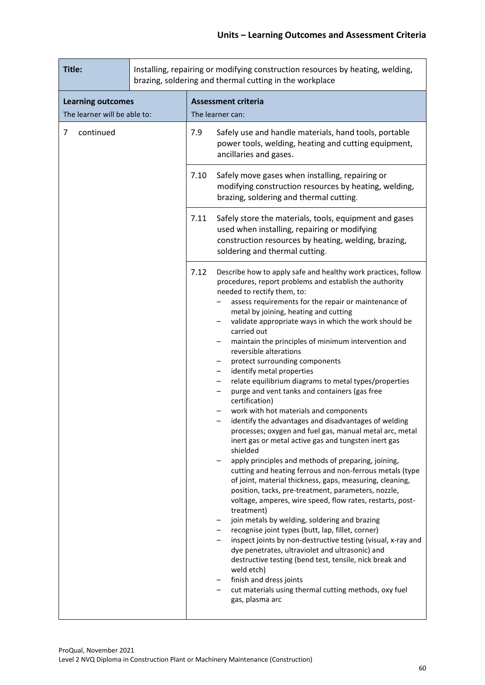| Title:                                                   |  | Installing, repairing or modifying construction resources by heating, welding,<br>brazing, soldering and thermal cutting in the workplace |                                                                                                                                                                                                                                                                                                                                                                                                                                                                                                                                                                                                                                                                                                                                                                                                                                                                                                                                                                                                                                                                                                                                                                                                                                                                                                                                                                                                                                                                                                                                                                              |  |
|----------------------------------------------------------|--|-------------------------------------------------------------------------------------------------------------------------------------------|------------------------------------------------------------------------------------------------------------------------------------------------------------------------------------------------------------------------------------------------------------------------------------------------------------------------------------------------------------------------------------------------------------------------------------------------------------------------------------------------------------------------------------------------------------------------------------------------------------------------------------------------------------------------------------------------------------------------------------------------------------------------------------------------------------------------------------------------------------------------------------------------------------------------------------------------------------------------------------------------------------------------------------------------------------------------------------------------------------------------------------------------------------------------------------------------------------------------------------------------------------------------------------------------------------------------------------------------------------------------------------------------------------------------------------------------------------------------------------------------------------------------------------------------------------------------------|--|
| <b>Learning outcomes</b><br>The learner will be able to: |  |                                                                                                                                           | <b>Assessment criteria</b><br>The learner can:                                                                                                                                                                                                                                                                                                                                                                                                                                                                                                                                                                                                                                                                                                                                                                                                                                                                                                                                                                                                                                                                                                                                                                                                                                                                                                                                                                                                                                                                                                                               |  |
| 7<br>continued                                           |  | 7.9                                                                                                                                       | Safely use and handle materials, hand tools, portable<br>power tools, welding, heating and cutting equipment,<br>ancillaries and gases.                                                                                                                                                                                                                                                                                                                                                                                                                                                                                                                                                                                                                                                                                                                                                                                                                                                                                                                                                                                                                                                                                                                                                                                                                                                                                                                                                                                                                                      |  |
|                                                          |  | 7.10                                                                                                                                      | Safely move gases when installing, repairing or<br>modifying construction resources by heating, welding,<br>brazing, soldering and thermal cutting.                                                                                                                                                                                                                                                                                                                                                                                                                                                                                                                                                                                                                                                                                                                                                                                                                                                                                                                                                                                                                                                                                                                                                                                                                                                                                                                                                                                                                          |  |
|                                                          |  | 7.11                                                                                                                                      | Safely store the materials, tools, equipment and gases<br>used when installing, repairing or modifying<br>construction resources by heating, welding, brazing,<br>soldering and thermal cutting.                                                                                                                                                                                                                                                                                                                                                                                                                                                                                                                                                                                                                                                                                                                                                                                                                                                                                                                                                                                                                                                                                                                                                                                                                                                                                                                                                                             |  |
|                                                          |  | 7.12                                                                                                                                      | Describe how to apply safe and healthy work practices, follow<br>procedures, report problems and establish the authority<br>needed to rectify them, to:<br>assess requirements for the repair or maintenance of<br>metal by joining, heating and cutting<br>validate appropriate ways in which the work should be<br>carried out<br>maintain the principles of minimum intervention and<br>reversible alterations<br>protect surrounding components<br>identify metal properties<br>relate equilibrium diagrams to metal types/properties<br>purge and vent tanks and containers (gas free<br>—<br>certification)<br>work with hot materials and components<br>identify the advantages and disadvantages of welding<br>processes; oxygen and fuel gas, manual metal arc, metal<br>inert gas or metal active gas and tungsten inert gas<br>shielded<br>apply principles and methods of preparing, joining,<br>cutting and heating ferrous and non-ferrous metals (type<br>of joint, material thickness, gaps, measuring, cleaning,<br>position, tacks, pre-treatment, parameters, nozzle,<br>voltage, amperes, wire speed, flow rates, restarts, post-<br>treatment)<br>join metals by welding, soldering and brazing<br>recognise joint types (butt, lap, fillet, corner)<br>inspect joints by non-destructive testing (visual, x-ray and<br>dye penetrates, ultraviolet and ultrasonic) and<br>destructive testing (bend test, tensile, nick break and<br>weld etch)<br>finish and dress joints<br>cut materials using thermal cutting methods, oxy fuel<br>gas, plasma arc |  |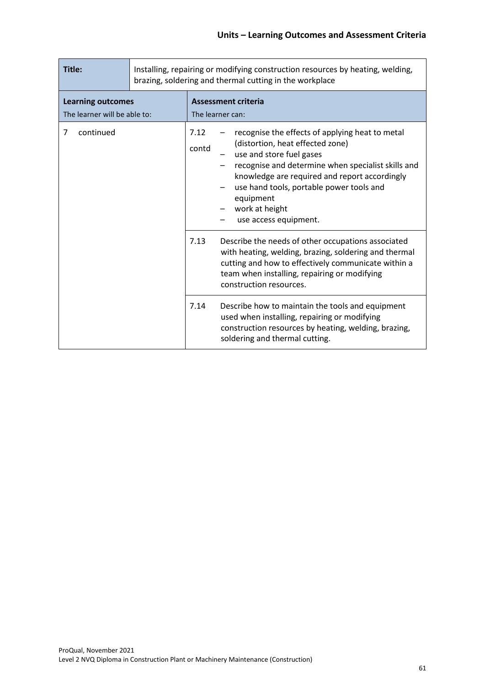| Title:                                                   |  | Installing, repairing or modifying construction resources by heating, welding,<br>brazing, soldering and thermal cutting in the workplace |                                                                                                                                                                                                                                                                                                                            |  |
|----------------------------------------------------------|--|-------------------------------------------------------------------------------------------------------------------------------------------|----------------------------------------------------------------------------------------------------------------------------------------------------------------------------------------------------------------------------------------------------------------------------------------------------------------------------|--|
| <b>Learning outcomes</b><br>The learner will be able to: |  | The learner can:                                                                                                                          | <b>Assessment criteria</b>                                                                                                                                                                                                                                                                                                 |  |
| continued<br>7                                           |  | 7.12<br>contd                                                                                                                             | recognise the effects of applying heat to metal<br>(distortion, heat effected zone)<br>use and store fuel gases<br>recognise and determine when specialist skills and<br>knowledge are required and report accordingly<br>use hand tools, portable power tools and<br>equipment<br>work at height<br>use access equipment. |  |
|                                                          |  | 7.13                                                                                                                                      | Describe the needs of other occupations associated<br>with heating, welding, brazing, soldering and thermal<br>cutting and how to effectively communicate within a<br>team when installing, repairing or modifying<br>construction resources.                                                                              |  |
|                                                          |  | 7.14                                                                                                                                      | Describe how to maintain the tools and equipment<br>used when installing, repairing or modifying<br>construction resources by heating, welding, brazing,<br>soldering and thermal cutting.                                                                                                                                 |  |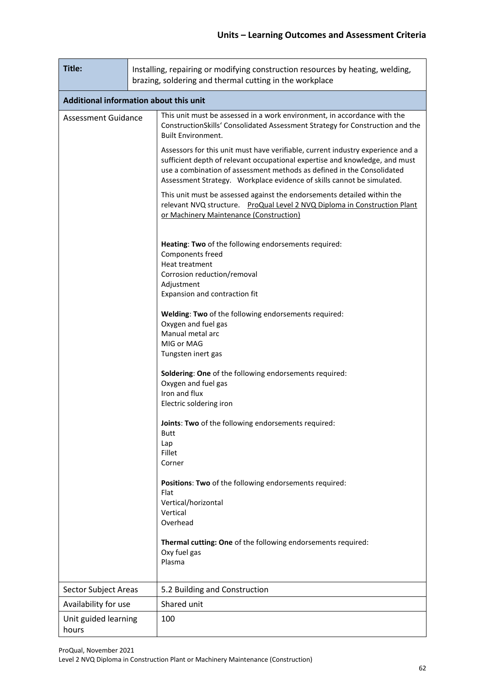| Title:                        |                                        | Installing, repairing or modifying construction resources by heating, welding,<br>brazing, soldering and thermal cutting in the workplace                                                                                                                                                                          |  |  |  |  |  |  |  |
|-------------------------------|----------------------------------------|--------------------------------------------------------------------------------------------------------------------------------------------------------------------------------------------------------------------------------------------------------------------------------------------------------------------|--|--|--|--|--|--|--|
|                               | Additional information about this unit |                                                                                                                                                                                                                                                                                                                    |  |  |  |  |  |  |  |
| <b>Assessment Guidance</b>    |                                        | This unit must be assessed in a work environment, in accordance with the<br>ConstructionSkills' Consolidated Assessment Strategy for Construction and the<br><b>Built Environment.</b>                                                                                                                             |  |  |  |  |  |  |  |
|                               |                                        | Assessors for this unit must have verifiable, current industry experience and a<br>sufficient depth of relevant occupational expertise and knowledge, and must<br>use a combination of assessment methods as defined in the Consolidated<br>Assessment Strategy. Workplace evidence of skills cannot be simulated. |  |  |  |  |  |  |  |
|                               |                                        | This unit must be assessed against the endorsements detailed within the<br>relevant NVQ structure. ProQual Level 2 NVQ Diploma in Construction Plant<br>or Machinery Maintenance (Construction)                                                                                                                    |  |  |  |  |  |  |  |
|                               |                                        | Heating: Two of the following endorsements required:<br>Components freed                                                                                                                                                                                                                                           |  |  |  |  |  |  |  |
|                               |                                        | Heat treatment<br>Corrosion reduction/removal<br>Adjustment                                                                                                                                                                                                                                                        |  |  |  |  |  |  |  |
|                               |                                        | Expansion and contraction fit                                                                                                                                                                                                                                                                                      |  |  |  |  |  |  |  |
|                               |                                        | Welding: Two of the following endorsements required:<br>Oxygen and fuel gas<br>Manual metal arc                                                                                                                                                                                                                    |  |  |  |  |  |  |  |
|                               |                                        | MIG or MAG<br>Tungsten inert gas                                                                                                                                                                                                                                                                                   |  |  |  |  |  |  |  |
|                               |                                        | Soldering: One of the following endorsements required:<br>Oxygen and fuel gas<br>Iron and flux                                                                                                                                                                                                                     |  |  |  |  |  |  |  |
|                               |                                        | Electric soldering iron                                                                                                                                                                                                                                                                                            |  |  |  |  |  |  |  |
|                               |                                        | Joints: Two of the following endorsements required:<br>Butt                                                                                                                                                                                                                                                        |  |  |  |  |  |  |  |
|                               |                                        | Lap<br>Fillet                                                                                                                                                                                                                                                                                                      |  |  |  |  |  |  |  |
|                               |                                        | Corner                                                                                                                                                                                                                                                                                                             |  |  |  |  |  |  |  |
|                               |                                        | Positions: Two of the following endorsements required:<br>Flat                                                                                                                                                                                                                                                     |  |  |  |  |  |  |  |
|                               |                                        | Vertical/horizontal<br>Vertical                                                                                                                                                                                                                                                                                    |  |  |  |  |  |  |  |
|                               |                                        | Overhead                                                                                                                                                                                                                                                                                                           |  |  |  |  |  |  |  |
|                               |                                        | Thermal cutting: One of the following endorsements required:<br>Oxy fuel gas<br>Plasma                                                                                                                                                                                                                             |  |  |  |  |  |  |  |
| Sector Subject Areas          |                                        | 5.2 Building and Construction                                                                                                                                                                                                                                                                                      |  |  |  |  |  |  |  |
| Availability for use          |                                        | Shared unit                                                                                                                                                                                                                                                                                                        |  |  |  |  |  |  |  |
| Unit guided learning<br>hours |                                        | 100                                                                                                                                                                                                                                                                                                                |  |  |  |  |  |  |  |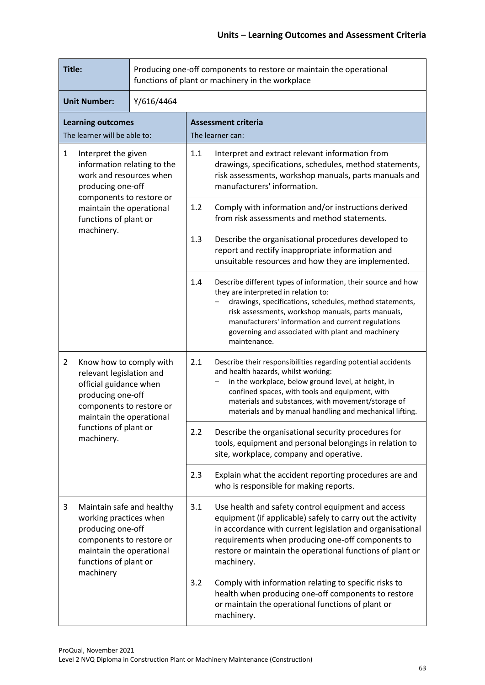| Title:                                                                                                                                                                       |                                                                               |            | Producing one-off components to restore or maintain the operational<br>functions of plant or machinery in the workplace                                                                                                                                                                                                                           |                                                                                                                                                                                 |  |  |
|------------------------------------------------------------------------------------------------------------------------------------------------------------------------------|-------------------------------------------------------------------------------|------------|---------------------------------------------------------------------------------------------------------------------------------------------------------------------------------------------------------------------------------------------------------------------------------------------------------------------------------------------------|---------------------------------------------------------------------------------------------------------------------------------------------------------------------------------|--|--|
|                                                                                                                                                                              | <b>Unit Number:</b>                                                           | Y/616/4464 |                                                                                                                                                                                                                                                                                                                                                   |                                                                                                                                                                                 |  |  |
|                                                                                                                                                                              | <b>Learning outcomes</b><br>The learner will be able to:                      |            |                                                                                                                                                                                                                                                                                                                                                   | <b>Assessment criteria</b><br>The learner can:                                                                                                                                  |  |  |
| $\mathbf{1}$<br>Interpret the given<br>information relating to the<br>work and resources when<br>producing one-off                                                           |                                                                               | 1.1        | Interpret and extract relevant information from<br>drawings, specifications, schedules, method statements,<br>risk assessments, workshop manuals, parts manuals and<br>manufacturers' information.                                                                                                                                                |                                                                                                                                                                                 |  |  |
|                                                                                                                                                                              | components to restore or<br>maintain the operational<br>functions of plant or |            | 1.2                                                                                                                                                                                                                                                                                                                                               | Comply with information and/or instructions derived<br>from risk assessments and method statements.                                                                             |  |  |
| machinery.                                                                                                                                                                   |                                                                               |            | 1.3                                                                                                                                                                                                                                                                                                                                               | Describe the organisational procedures developed to<br>report and rectify inappropriate information and<br>unsuitable resources and how they are implemented.                   |  |  |
|                                                                                                                                                                              |                                                                               | 1.4        | Describe different types of information, their source and how<br>they are interpreted in relation to:<br>drawings, specifications, schedules, method statements,<br>risk assessments, workshop manuals, parts manuals,<br>manufacturers' information and current regulations<br>governing and associated with plant and machinery<br>maintenance. |                                                                                                                                                                                 |  |  |
| $\overline{2}$<br>Know how to comply with<br>relevant legislation and<br>official guidance when<br>producing one-off<br>components to restore or<br>maintain the operational |                                                                               | 2.1        | Describe their responsibilities regarding potential accidents<br>and health hazards, whilst working:<br>in the workplace, below ground level, at height, in<br>confined spaces, with tools and equipment, with<br>materials and substances, with movement/storage of<br>materials and by manual handling and mechanical lifting.                  |                                                                                                                                                                                 |  |  |
|                                                                                                                                                                              | functions of plant or<br>machinery.                                           |            | 2.2                                                                                                                                                                                                                                                                                                                                               | Describe the organisational security procedures for<br>tools, equipment and personal belongings in relation to<br>site, workplace, company and operative.                       |  |  |
|                                                                                                                                                                              |                                                                               |            | 2.3                                                                                                                                                                                                                                                                                                                                               | Explain what the accident reporting procedures are and<br>who is responsible for making reports.                                                                                |  |  |
| 3<br>Maintain safe and healthy<br>working practices when<br>producing one-off<br>components to restore or<br>maintain the operational<br>functions of plant or               |                                                                               | 3.1        | Use health and safety control equipment and access<br>equipment (if applicable) safely to carry out the activity<br>in accordance with current legislation and organisational<br>requirements when producing one-off components to<br>restore or maintain the operational functions of plant or<br>machinery.                                     |                                                                                                                                                                                 |  |  |
| machinery                                                                                                                                                                    |                                                                               |            | 3.2                                                                                                                                                                                                                                                                                                                                               | Comply with information relating to specific risks to<br>health when producing one-off components to restore<br>or maintain the operational functions of plant or<br>machinery. |  |  |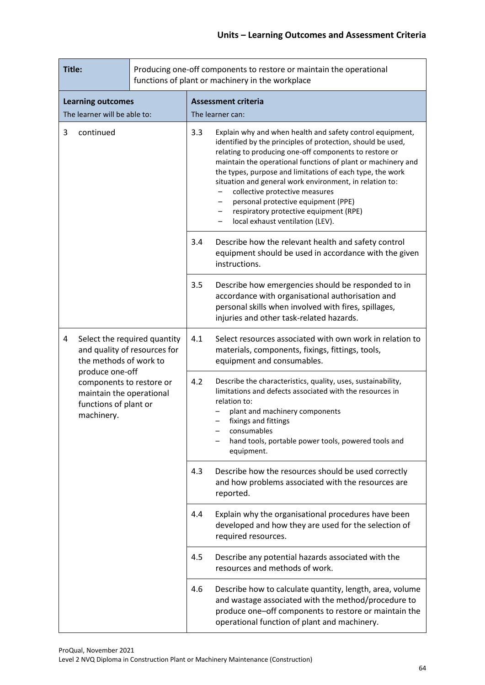| Title:         |                                                                                                                                                                                                          |     |                                                                                                                                                                                                                                                                                                                                                                                                                                                                                                                                   | Producing one-off components to restore or maintain the operational<br>functions of plant or machinery in the workplace                                                                                                                                                                |
|----------------|----------------------------------------------------------------------------------------------------------------------------------------------------------------------------------------------------------|-----|-----------------------------------------------------------------------------------------------------------------------------------------------------------------------------------------------------------------------------------------------------------------------------------------------------------------------------------------------------------------------------------------------------------------------------------------------------------------------------------------------------------------------------------|----------------------------------------------------------------------------------------------------------------------------------------------------------------------------------------------------------------------------------------------------------------------------------------|
|                | <b>Learning outcomes</b><br>The learner will be able to:                                                                                                                                                 |     |                                                                                                                                                                                                                                                                                                                                                                                                                                                                                                                                   | <b>Assessment criteria</b><br>The learner can:                                                                                                                                                                                                                                         |
| 3<br>continued |                                                                                                                                                                                                          | 3.3 | Explain why and when health and safety control equipment,<br>identified by the principles of protection, should be used,<br>relating to producing one-off components to restore or<br>maintain the operational functions of plant or machinery and<br>the types, purpose and limitations of each type, the work<br>situation and general work environment, in relation to:<br>collective protective measures<br>personal protective equipment (PPE)<br>respiratory protective equipment (RPE)<br>local exhaust ventilation (LEV). |                                                                                                                                                                                                                                                                                        |
|                |                                                                                                                                                                                                          | 3.4 | Describe how the relevant health and safety control<br>equipment should be used in accordance with the given<br>instructions.                                                                                                                                                                                                                                                                                                                                                                                                     |                                                                                                                                                                                                                                                                                        |
|                |                                                                                                                                                                                                          | 3.5 | Describe how emergencies should be responded to in<br>accordance with organisational authorisation and<br>personal skills when involved with fires, spillages,<br>injuries and other task-related hazards.                                                                                                                                                                                                                                                                                                                        |                                                                                                                                                                                                                                                                                        |
| 4              | Select the required quantity<br>and quality of resources for<br>the methods of work to<br>produce one-off<br>components to restore or<br>maintain the operational<br>functions of plant or<br>machinery. |     | 4.1                                                                                                                                                                                                                                                                                                                                                                                                                                                                                                                               | Select resources associated with own work in relation to<br>materials, components, fixings, fittings, tools,<br>equipment and consumables.                                                                                                                                             |
|                |                                                                                                                                                                                                          |     | 4.2                                                                                                                                                                                                                                                                                                                                                                                                                                                                                                                               | Describe the characteristics, quality, uses, sustainability,<br>limitations and defects associated with the resources in<br>relation to:<br>plant and machinery components<br>fixings and fittings<br>consumables<br>hand tools, portable power tools, powered tools and<br>equipment. |
|                |                                                                                                                                                                                                          |     | 4.3                                                                                                                                                                                                                                                                                                                                                                                                                                                                                                                               | Describe how the resources should be used correctly<br>and how problems associated with the resources are<br>reported.                                                                                                                                                                 |
|                |                                                                                                                                                                                                          |     | 4.4                                                                                                                                                                                                                                                                                                                                                                                                                                                                                                                               | Explain why the organisational procedures have been<br>developed and how they are used for the selection of<br>required resources.                                                                                                                                                     |
|                |                                                                                                                                                                                                          | 4.5 | Describe any potential hazards associated with the<br>resources and methods of work.                                                                                                                                                                                                                                                                                                                                                                                                                                              |                                                                                                                                                                                                                                                                                        |
|                |                                                                                                                                                                                                          | 4.6 | Describe how to calculate quantity, length, area, volume<br>and wastage associated with the method/procedure to<br>produce one-off components to restore or maintain the<br>operational function of plant and machinery.                                                                                                                                                                                                                                                                                                          |                                                                                                                                                                                                                                                                                        |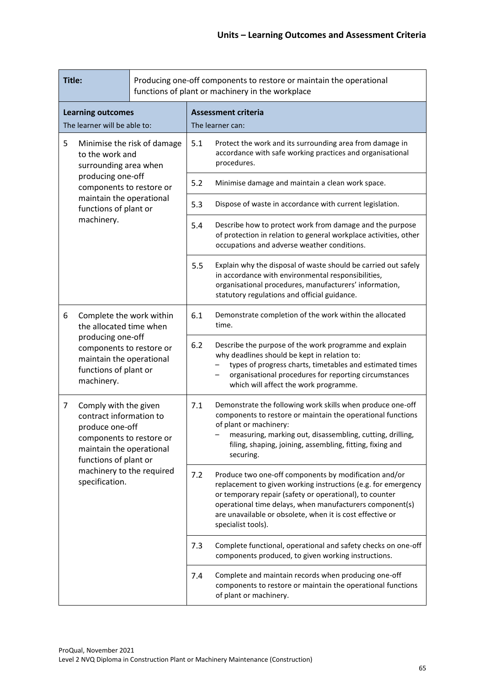|                                                                              | Title:<br>functions of plant or machinery in the workplace                                                                                                              |     |                                                                                                                                               | Producing one-off components to restore or maintain the operational                                                                                                                                                                                                                                                              |
|------------------------------------------------------------------------------|-------------------------------------------------------------------------------------------------------------------------------------------------------------------------|-----|-----------------------------------------------------------------------------------------------------------------------------------------------|----------------------------------------------------------------------------------------------------------------------------------------------------------------------------------------------------------------------------------------------------------------------------------------------------------------------------------|
|                                                                              | <b>Learning outcomes</b><br>The learner will be able to:                                                                                                                |     |                                                                                                                                               | <b>Assessment criteria</b><br>The learner can:                                                                                                                                                                                                                                                                                   |
| 5<br>Minimise the risk of damage<br>to the work and<br>surrounding area when |                                                                                                                                                                         | 5.1 | Protect the work and its surrounding area from damage in<br>accordance with safe working practices and organisational<br>procedures.          |                                                                                                                                                                                                                                                                                                                                  |
|                                                                              | producing one-off<br>components to restore or                                                                                                                           |     | 5.2                                                                                                                                           | Minimise damage and maintain a clean work space.                                                                                                                                                                                                                                                                                 |
|                                                                              | maintain the operational<br>functions of plant or                                                                                                                       |     | 5.3                                                                                                                                           | Dispose of waste in accordance with current legislation.                                                                                                                                                                                                                                                                         |
|                                                                              | machinery.                                                                                                                                                              |     | 5.4                                                                                                                                           | Describe how to protect work from damage and the purpose<br>of protection in relation to general workplace activities, other<br>occupations and adverse weather conditions.                                                                                                                                                      |
|                                                                              |                                                                                                                                                                         |     | 5.5                                                                                                                                           | Explain why the disposal of waste should be carried out safely<br>in accordance with environmental responsibilities,<br>organisational procedures, manufacturers' information,<br>statutory regulations and official guidance.                                                                                                   |
| 6                                                                            | Complete the work within<br>the allocated time when<br>producing one-off<br>components to restore or<br>maintain the operational<br>functions of plant or<br>machinery. |     | 6.1                                                                                                                                           | Demonstrate completion of the work within the allocated<br>time.                                                                                                                                                                                                                                                                 |
|                                                                              |                                                                                                                                                                         |     | 6.2                                                                                                                                           | Describe the purpose of the work programme and explain<br>why deadlines should be kept in relation to:<br>types of progress charts, timetables and estimated times<br>organisational procedures for reporting circumstances<br>which will affect the work programme.                                                             |
| 7                                                                            | Comply with the given<br>contract information to<br>produce one-off<br>components to restore or<br>maintain the operational<br>functions of plant or                    |     | 7.1                                                                                                                                           | Demonstrate the following work skills when produce one-off<br>components to restore or maintain the operational functions<br>of plant or machinery:<br>measuring, marking out, disassembling, cutting, drilling,<br>filing, shaping, joining, assembling, fitting, fixing and<br>securing.                                       |
|                                                                              | machinery to the required<br>specification.                                                                                                                             |     | 7.2                                                                                                                                           | Produce two one-off components by modification and/or<br>replacement to given working instructions (e.g. for emergency<br>or temporary repair (safety or operational), to counter<br>operational time delays, when manufacturers component(s)<br>are unavailable or obsolete, when it is cost effective or<br>specialist tools). |
|                                                                              |                                                                                                                                                                         |     | 7.3                                                                                                                                           | Complete functional, operational and safety checks on one-off<br>components produced, to given working instructions.                                                                                                                                                                                                             |
|                                                                              |                                                                                                                                                                         | 7.4 | Complete and maintain records when producing one-off<br>components to restore or maintain the operational functions<br>of plant or machinery. |                                                                                                                                                                                                                                                                                                                                  |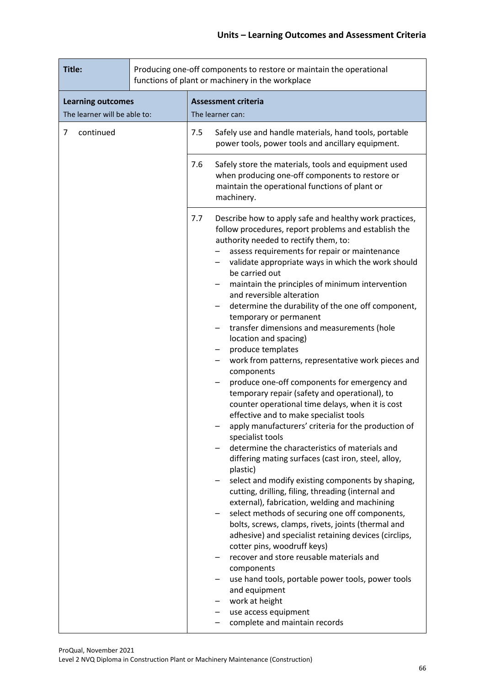| Title:                                                   | Producing one-off components to restore or maintain the operational<br>functions of plant or machinery in the workplace |                                                                                                                                                                                                                                                                                                                                                                                                                                                                                                                                                                                                                                                                                                                                                                                                                                                                                                                                                                                                                                                                                                                                                                                                                                                                                                                                                                                                                                                                                                                                                                                        |  |  |
|----------------------------------------------------------|-------------------------------------------------------------------------------------------------------------------------|----------------------------------------------------------------------------------------------------------------------------------------------------------------------------------------------------------------------------------------------------------------------------------------------------------------------------------------------------------------------------------------------------------------------------------------------------------------------------------------------------------------------------------------------------------------------------------------------------------------------------------------------------------------------------------------------------------------------------------------------------------------------------------------------------------------------------------------------------------------------------------------------------------------------------------------------------------------------------------------------------------------------------------------------------------------------------------------------------------------------------------------------------------------------------------------------------------------------------------------------------------------------------------------------------------------------------------------------------------------------------------------------------------------------------------------------------------------------------------------------------------------------------------------------------------------------------------------|--|--|
| <b>Learning outcomes</b><br>The learner will be able to: |                                                                                                                         | <b>Assessment criteria</b><br>The learner can:                                                                                                                                                                                                                                                                                                                                                                                                                                                                                                                                                                                                                                                                                                                                                                                                                                                                                                                                                                                                                                                                                                                                                                                                                                                                                                                                                                                                                                                                                                                                         |  |  |
| continued<br>7                                           | 7.5                                                                                                                     | Safely use and handle materials, hand tools, portable<br>power tools, power tools and ancillary equipment.                                                                                                                                                                                                                                                                                                                                                                                                                                                                                                                                                                                                                                                                                                                                                                                                                                                                                                                                                                                                                                                                                                                                                                                                                                                                                                                                                                                                                                                                             |  |  |
|                                                          | 7.6                                                                                                                     | Safely store the materials, tools and equipment used<br>when producing one-off components to restore or<br>maintain the operational functions of plant or<br>machinery.                                                                                                                                                                                                                                                                                                                                                                                                                                                                                                                                                                                                                                                                                                                                                                                                                                                                                                                                                                                                                                                                                                                                                                                                                                                                                                                                                                                                                |  |  |
|                                                          | 7.7                                                                                                                     | Describe how to apply safe and healthy work practices,<br>follow procedures, report problems and establish the<br>authority needed to rectify them, to:<br>assess requirements for repair or maintenance<br>validate appropriate ways in which the work should<br>be carried out<br>maintain the principles of minimum intervention<br>and reversible alteration<br>determine the durability of the one off component,<br>temporary or permanent<br>transfer dimensions and measurements (hole<br>location and spacing)<br>produce templates<br>work from patterns, representative work pieces and<br>components<br>produce one-off components for emergency and<br>temporary repair (safety and operational), to<br>counter operational time delays, when it is cost<br>effective and to make specialist tools<br>apply manufacturers' criteria for the production of<br>specialist tools<br>determine the characteristics of materials and<br>differing mating surfaces (cast iron, steel, alloy,<br>plastic)<br>select and modify existing components by shaping,<br>cutting, drilling, filing, threading (internal and<br>external), fabrication, welding and machining<br>select methods of securing one off components,<br>bolts, screws, clamps, rivets, joints (thermal and<br>adhesive) and specialist retaining devices (circlips,<br>cotter pins, woodruff keys)<br>recover and store reusable materials and<br>components<br>use hand tools, portable power tools, power tools<br>and equipment<br>work at height<br>use access equipment<br>complete and maintain records |  |  |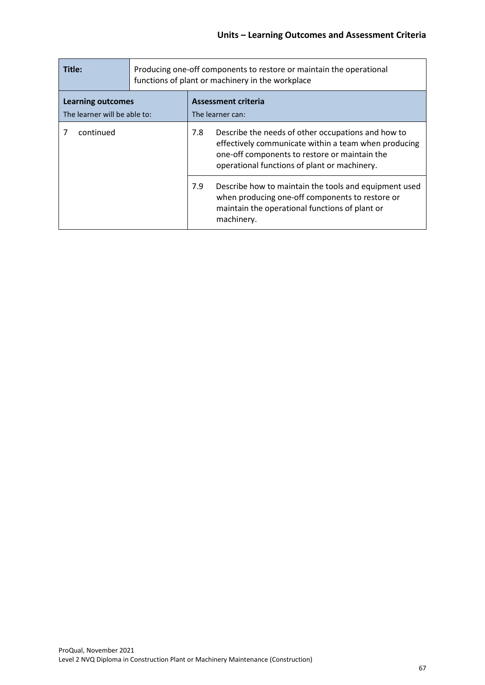| Title:                                                   | Producing one-off components to restore or maintain the operational<br>functions of plant or machinery in the workplace |                                         |                                                                                                                                                                                                             |  |
|----------------------------------------------------------|-------------------------------------------------------------------------------------------------------------------------|-----------------------------------------|-------------------------------------------------------------------------------------------------------------------------------------------------------------------------------------------------------------|--|
| <b>Learning outcomes</b><br>The learner will be able to: |                                                                                                                         | Assessment criteria<br>The learner can: |                                                                                                                                                                                                             |  |
| continued                                                |                                                                                                                         | 7.8                                     | Describe the needs of other occupations and how to<br>effectively communicate within a team when producing<br>one-off components to restore or maintain the<br>operational functions of plant or machinery. |  |
|                                                          |                                                                                                                         | 7.9                                     | Describe how to maintain the tools and equipment used<br>when producing one-off components to restore or<br>maintain the operational functions of plant or<br>machinery.                                    |  |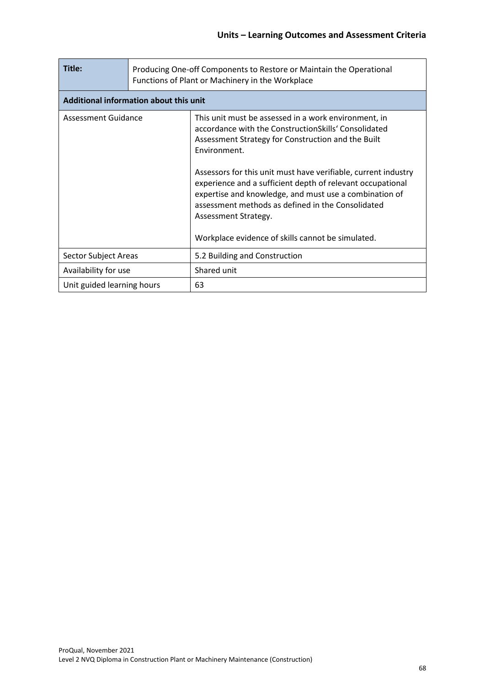| Title:                                 | Producing One-off Components to Restore or Maintain the Operational<br>Functions of Plant or Machinery in the Workplace |                                                                                                                                                                                                                                                                                                                                                                                                                                                                                                                |  |  |  |
|----------------------------------------|-------------------------------------------------------------------------------------------------------------------------|----------------------------------------------------------------------------------------------------------------------------------------------------------------------------------------------------------------------------------------------------------------------------------------------------------------------------------------------------------------------------------------------------------------------------------------------------------------------------------------------------------------|--|--|--|
| Additional information about this unit |                                                                                                                         |                                                                                                                                                                                                                                                                                                                                                                                                                                                                                                                |  |  |  |
| Assessment Guidance                    |                                                                                                                         | This unit must be assessed in a work environment, in<br>accordance with the ConstructionSkills' Consolidated<br>Assessment Strategy for Construction and the Built<br>Environment.<br>Assessors for this unit must have verifiable, current industry<br>experience and a sufficient depth of relevant occupational<br>expertise and knowledge, and must use a combination of<br>assessment methods as defined in the Consolidated<br>Assessment Strategy.<br>Workplace evidence of skills cannot be simulated. |  |  |  |
| Sector Subject Areas                   |                                                                                                                         | 5.2 Building and Construction                                                                                                                                                                                                                                                                                                                                                                                                                                                                                  |  |  |  |
| Availability for use                   |                                                                                                                         | Shared unit                                                                                                                                                                                                                                                                                                                                                                                                                                                                                                    |  |  |  |
| Unit guided learning hours             |                                                                                                                         | 63                                                                                                                                                                                                                                                                                                                                                                                                                                                                                                             |  |  |  |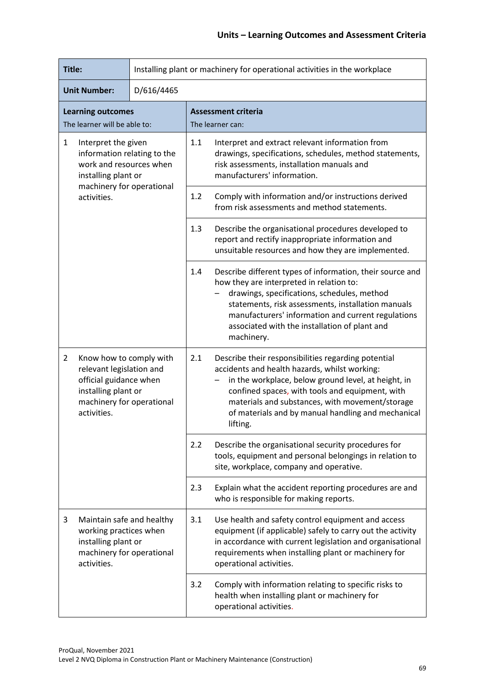| Title:                                                                                                                                                             |                                                          | Installing plant or machinery for operational activities in the workplace |                                                                                                                                                                                                                                                                                                                                     |                                                                                                                                                                                                                                                                                                                                 |  |
|--------------------------------------------------------------------------------------------------------------------------------------------------------------------|----------------------------------------------------------|---------------------------------------------------------------------------|-------------------------------------------------------------------------------------------------------------------------------------------------------------------------------------------------------------------------------------------------------------------------------------------------------------------------------------|---------------------------------------------------------------------------------------------------------------------------------------------------------------------------------------------------------------------------------------------------------------------------------------------------------------------------------|--|
|                                                                                                                                                                    | <b>Unit Number:</b>                                      | D/616/4465                                                                |                                                                                                                                                                                                                                                                                                                                     |                                                                                                                                                                                                                                                                                                                                 |  |
|                                                                                                                                                                    | <b>Learning outcomes</b><br>The learner will be able to: |                                                                           |                                                                                                                                                                                                                                                                                                                                     | <b>Assessment criteria</b><br>The learner can:                                                                                                                                                                                                                                                                                  |  |
| $\mathbf{1}$<br>Interpret the given<br>information relating to the<br>work and resources when<br>installing plant or                                               |                                                          | 1.1                                                                       | Interpret and extract relevant information from<br>drawings, specifications, schedules, method statements,<br>risk assessments, installation manuals and<br>manufacturers' information.                                                                                                                                             |                                                                                                                                                                                                                                                                                                                                 |  |
|                                                                                                                                                                    | machinery for operational<br>activities.                 |                                                                           | 1.2                                                                                                                                                                                                                                                                                                                                 | Comply with information and/or instructions derived<br>from risk assessments and method statements.                                                                                                                                                                                                                             |  |
|                                                                                                                                                                    |                                                          |                                                                           | 1.3                                                                                                                                                                                                                                                                                                                                 | Describe the organisational procedures developed to<br>report and rectify inappropriate information and<br>unsuitable resources and how they are implemented.                                                                                                                                                                   |  |
|                                                                                                                                                                    |                                                          |                                                                           | 1.4                                                                                                                                                                                                                                                                                                                                 | Describe different types of information, their source and<br>how they are interpreted in relation to:<br>drawings, specifications, schedules, method<br>statements, risk assessments, installation manuals<br>manufacturers' information and current regulations<br>associated with the installation of plant and<br>machinery. |  |
| $\overline{2}$<br>Know how to comply with<br>relevant legislation and<br>official guidance when<br>installing plant or<br>machinery for operational<br>activities. |                                                          | 2.1                                                                       | Describe their responsibilities regarding potential<br>accidents and health hazards, whilst working:<br>in the workplace, below ground level, at height, in<br>confined spaces, with tools and equipment, with<br>materials and substances, with movement/storage<br>of materials and by manual handling and mechanical<br>lifting. |                                                                                                                                                                                                                                                                                                                                 |  |
|                                                                                                                                                                    |                                                          |                                                                           | 2.2                                                                                                                                                                                                                                                                                                                                 | Describe the organisational security procedures for<br>tools, equipment and personal belongings in relation to<br>site, workplace, company and operative.                                                                                                                                                                       |  |
|                                                                                                                                                                    |                                                          |                                                                           | 2.3                                                                                                                                                                                                                                                                                                                                 | Explain what the accident reporting procedures are and<br>who is responsible for making reports.                                                                                                                                                                                                                                |  |
| Maintain safe and healthy<br>3<br>working practices when<br>installing plant or<br>machinery for operational<br>activities.                                        |                                                          |                                                                           | 3.1                                                                                                                                                                                                                                                                                                                                 | Use health and safety control equipment and access<br>equipment (if applicable) safely to carry out the activity<br>in accordance with current legislation and organisational<br>requirements when installing plant or machinery for<br>operational activities.                                                                 |  |
|                                                                                                                                                                    |                                                          |                                                                           | 3.2                                                                                                                                                                                                                                                                                                                                 | Comply with information relating to specific risks to<br>health when installing plant or machinery for<br>operational activities.                                                                                                                                                                                               |  |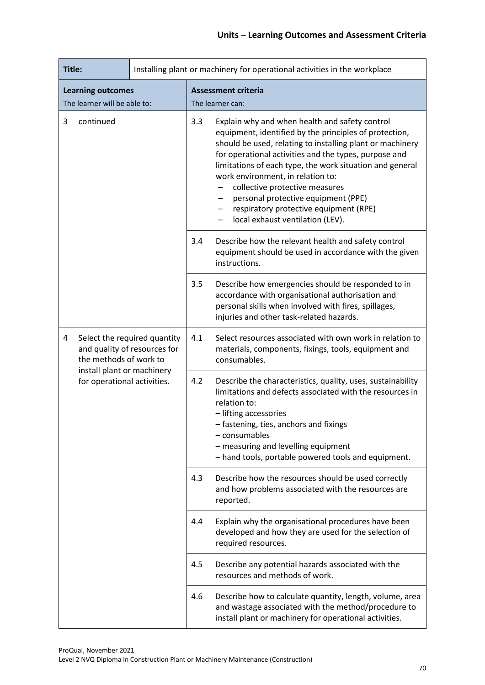| Title:                                         |                                                                                                                                                     |     | Installing plant or machinery for operational activities in the workplace                                                                                                 |                                                                                                                                                                                                                                                                                                                                                                                                                                                                                                            |
|------------------------------------------------|-----------------------------------------------------------------------------------------------------------------------------------------------------|-----|---------------------------------------------------------------------------------------------------------------------------------------------------------------------------|------------------------------------------------------------------------------------------------------------------------------------------------------------------------------------------------------------------------------------------------------------------------------------------------------------------------------------------------------------------------------------------------------------------------------------------------------------------------------------------------------------|
|                                                | <b>Learning outcomes</b>                                                                                                                            |     |                                                                                                                                                                           | <b>Assessment criteria</b>                                                                                                                                                                                                                                                                                                                                                                                                                                                                                 |
| The learner will be able to:<br>continued<br>3 |                                                                                                                                                     |     | 3.3                                                                                                                                                                       | The learner can:<br>Explain why and when health and safety control<br>equipment, identified by the principles of protection,<br>should be used, relating to installing plant or machinery<br>for operational activities and the types, purpose and<br>limitations of each type, the work situation and general<br>work environment, in relation to:<br>collective protective measures<br>personal protective equipment (PPE)<br>respiratory protective equipment (RPE)<br>local exhaust ventilation (LEV). |
|                                                |                                                                                                                                                     |     | 3.4                                                                                                                                                                       | Describe how the relevant health and safety control<br>equipment should be used in accordance with the given<br>instructions.                                                                                                                                                                                                                                                                                                                                                                              |
|                                                |                                                                                                                                                     |     | 3.5                                                                                                                                                                       | Describe how emergencies should be responded to in<br>accordance with organisational authorisation and<br>personal skills when involved with fires, spillages,<br>injuries and other task-related hazards.                                                                                                                                                                                                                                                                                                 |
| 4                                              | Select the required quantity<br>and quality of resources for<br>the methods of work to<br>install plant or machinery<br>for operational activities. |     | 4.1                                                                                                                                                                       | Select resources associated with own work in relation to<br>materials, components, fixings, tools, equipment and<br>consumables.                                                                                                                                                                                                                                                                                                                                                                           |
|                                                |                                                                                                                                                     |     | 4.2                                                                                                                                                                       | Describe the characteristics, quality, uses, sustainability<br>limitations and defects associated with the resources in<br>relation to:<br>- lifting accessories<br>- fastening, ties, anchors and fixings<br>- consumables<br>- measuring and levelling equipment<br>- hand tools, portable powered tools and equipment.                                                                                                                                                                                  |
|                                                |                                                                                                                                                     |     | 4.3                                                                                                                                                                       | Describe how the resources should be used correctly<br>and how problems associated with the resources are<br>reported.                                                                                                                                                                                                                                                                                                                                                                                     |
|                                                |                                                                                                                                                     |     | 4.4                                                                                                                                                                       | Explain why the organisational procedures have been<br>developed and how they are used for the selection of<br>required resources.                                                                                                                                                                                                                                                                                                                                                                         |
|                                                |                                                                                                                                                     |     | 4.5                                                                                                                                                                       | Describe any potential hazards associated with the<br>resources and methods of work.                                                                                                                                                                                                                                                                                                                                                                                                                       |
|                                                |                                                                                                                                                     | 4.6 | Describe how to calculate quantity, length, volume, area<br>and wastage associated with the method/procedure to<br>install plant or machinery for operational activities. |                                                                                                                                                                                                                                                                                                                                                                                                                                                                                                            |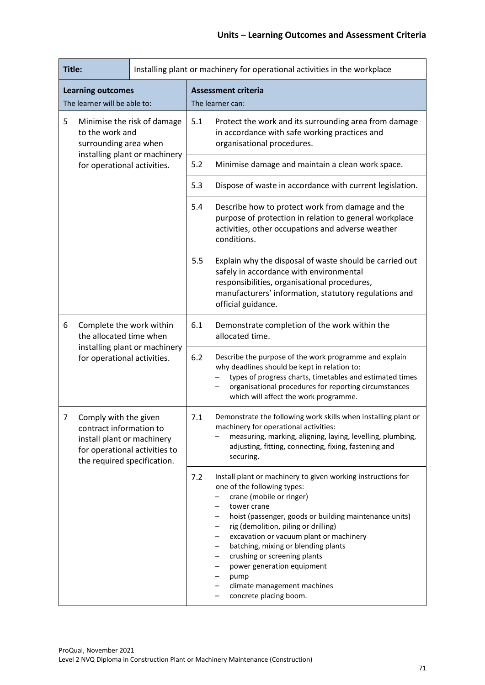| Title:                                                                       |                                                                                                                                                |                               | Installing plant or machinery for operational activities in the workplace                                                                                                                                                                                            |                                                                                                                                                                                                                                                                                                                                                                                                                                                                                              |  |
|------------------------------------------------------------------------------|------------------------------------------------------------------------------------------------------------------------------------------------|-------------------------------|----------------------------------------------------------------------------------------------------------------------------------------------------------------------------------------------------------------------------------------------------------------------|----------------------------------------------------------------------------------------------------------------------------------------------------------------------------------------------------------------------------------------------------------------------------------------------------------------------------------------------------------------------------------------------------------------------------------------------------------------------------------------------|--|
|                                                                              | <b>Learning outcomes</b><br>The learner will be able to:                                                                                       |                               |                                                                                                                                                                                                                                                                      | <b>Assessment criteria</b><br>The learner can:                                                                                                                                                                                                                                                                                                                                                                                                                                               |  |
| 5<br>Minimise the risk of damage<br>to the work and<br>surrounding area when |                                                                                                                                                | 5.1                           | Protect the work and its surrounding area from damage<br>in accordance with safe working practices and<br>organisational procedures.                                                                                                                                 |                                                                                                                                                                                                                                                                                                                                                                                                                                                                                              |  |
|                                                                              | for operational activities.                                                                                                                    | installing plant or machinery | 5.2                                                                                                                                                                                                                                                                  | Minimise damage and maintain a clean work space.                                                                                                                                                                                                                                                                                                                                                                                                                                             |  |
|                                                                              |                                                                                                                                                |                               | 5.3                                                                                                                                                                                                                                                                  | Dispose of waste in accordance with current legislation.                                                                                                                                                                                                                                                                                                                                                                                                                                     |  |
|                                                                              |                                                                                                                                                |                               | 5.4                                                                                                                                                                                                                                                                  | Describe how to protect work from damage and the<br>purpose of protection in relation to general workplace<br>activities, other occupations and adverse weather<br>conditions.                                                                                                                                                                                                                                                                                                               |  |
|                                                                              |                                                                                                                                                |                               | 5.5                                                                                                                                                                                                                                                                  | Explain why the disposal of waste should be carried out<br>safely in accordance with environmental<br>responsibilities, organisational procedures,<br>manufacturers' information, statutory regulations and<br>official guidance.                                                                                                                                                                                                                                                            |  |
| 6                                                                            | Complete the work within<br>the allocated time when                                                                                            | 6.1                           | Demonstrate completion of the work within the<br>allocated time.                                                                                                                                                                                                     |                                                                                                                                                                                                                                                                                                                                                                                                                                                                                              |  |
| installing plant or machinery<br>for operational activities.                 |                                                                                                                                                | 6.2                           | Describe the purpose of the work programme and explain<br>why deadlines should be kept in relation to:<br>types of progress charts, timetables and estimated times<br>organisational procedures for reporting circumstances<br>which will affect the work programme. |                                                                                                                                                                                                                                                                                                                                                                                                                                                                                              |  |
| 7                                                                            | Comply with the given<br>contract information to<br>install plant or machinery<br>for operational activities to<br>the required specification. |                               | 7.1                                                                                                                                                                                                                                                                  | Demonstrate the following work skills when installing plant or<br>machinery for operational activities:<br>measuring, marking, aligning, laying, levelling, plumbing,<br>adjusting, fitting, connecting, fixing, fastening and<br>securing.                                                                                                                                                                                                                                                  |  |
|                                                                              |                                                                                                                                                |                               | 7.2                                                                                                                                                                                                                                                                  | Install plant or machinery to given working instructions for<br>one of the following types:<br>crane (mobile or ringer)<br>tower crane<br>hoist (passenger, goods or building maintenance units)<br>—<br>rig (demolition, piling or drilling)<br>excavation or vacuum plant or machinery<br>—<br>batching, mixing or blending plants<br>-<br>crushing or screening plants<br>-<br>power generation equipment<br>—<br>pump<br>—<br>climate management machines<br>-<br>concrete placing boom. |  |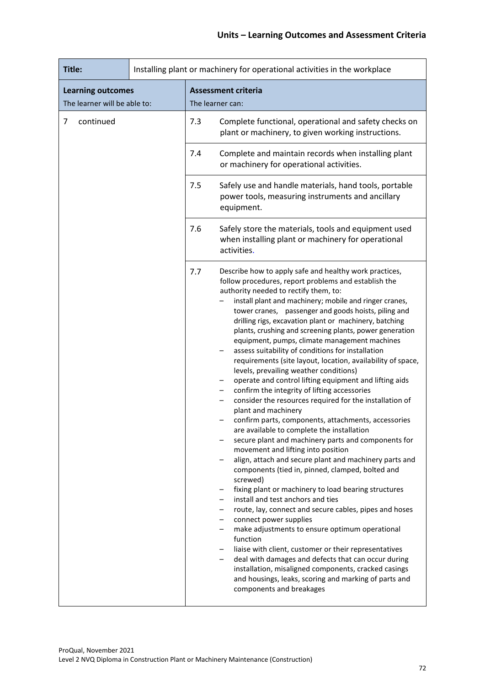| Title:                                                   |  |     | Installing plant or machinery for operational activities in the workplace                                                                                                                                                                                                                                                                                                                                                                                                                                                                                                                                                                                                                                                                                                                                                                                                                                                                                                                                                                                                                                                                                                                                                                                                                                                                                                                                                                                                                                                                                                                                                                                                                                                                                         |
|----------------------------------------------------------|--|-----|-------------------------------------------------------------------------------------------------------------------------------------------------------------------------------------------------------------------------------------------------------------------------------------------------------------------------------------------------------------------------------------------------------------------------------------------------------------------------------------------------------------------------------------------------------------------------------------------------------------------------------------------------------------------------------------------------------------------------------------------------------------------------------------------------------------------------------------------------------------------------------------------------------------------------------------------------------------------------------------------------------------------------------------------------------------------------------------------------------------------------------------------------------------------------------------------------------------------------------------------------------------------------------------------------------------------------------------------------------------------------------------------------------------------------------------------------------------------------------------------------------------------------------------------------------------------------------------------------------------------------------------------------------------------------------------------------------------------------------------------------------------------|
| <b>Learning outcomes</b><br>The learner will be able to: |  |     | <b>Assessment criteria</b><br>The learner can:                                                                                                                                                                                                                                                                                                                                                                                                                                                                                                                                                                                                                                                                                                                                                                                                                                                                                                                                                                                                                                                                                                                                                                                                                                                                                                                                                                                                                                                                                                                                                                                                                                                                                                                    |
| continued<br>7                                           |  | 7.3 | Complete functional, operational and safety checks on<br>plant or machinery, to given working instructions.                                                                                                                                                                                                                                                                                                                                                                                                                                                                                                                                                                                                                                                                                                                                                                                                                                                                                                                                                                                                                                                                                                                                                                                                                                                                                                                                                                                                                                                                                                                                                                                                                                                       |
|                                                          |  | 7.4 | Complete and maintain records when installing plant<br>or machinery for operational activities.                                                                                                                                                                                                                                                                                                                                                                                                                                                                                                                                                                                                                                                                                                                                                                                                                                                                                                                                                                                                                                                                                                                                                                                                                                                                                                                                                                                                                                                                                                                                                                                                                                                                   |
|                                                          |  | 7.5 | Safely use and handle materials, hand tools, portable<br>power tools, measuring instruments and ancillary<br>equipment.                                                                                                                                                                                                                                                                                                                                                                                                                                                                                                                                                                                                                                                                                                                                                                                                                                                                                                                                                                                                                                                                                                                                                                                                                                                                                                                                                                                                                                                                                                                                                                                                                                           |
|                                                          |  | 7.6 | Safely store the materials, tools and equipment used<br>when installing plant or machinery for operational<br>activities.                                                                                                                                                                                                                                                                                                                                                                                                                                                                                                                                                                                                                                                                                                                                                                                                                                                                                                                                                                                                                                                                                                                                                                                                                                                                                                                                                                                                                                                                                                                                                                                                                                         |
|                                                          |  | 7.7 | Describe how to apply safe and healthy work practices,<br>follow procedures, report problems and establish the<br>authority needed to rectify them, to:<br>install plant and machinery; mobile and ringer cranes,<br>tower cranes, passenger and goods hoists, piling and<br>drilling rigs, excavation plant or machinery, batching<br>plants, crushing and screening plants, power generation<br>equipment, pumps, climate management machines<br>assess suitability of conditions for installation<br>requirements (site layout, location, availability of space,<br>levels, prevailing weather conditions)<br>operate and control lifting equipment and lifting aids<br>$\qquad \qquad -$<br>confirm the integrity of lifting accessories<br>-<br>consider the resources required for the installation of<br>-<br>plant and machinery<br>confirm parts, components, attachments, accessories<br>are available to complete the installation<br>secure plant and machinery parts and components for<br>-<br>movement and lifting into position<br>align, attach and secure plant and machinery parts and<br>—<br>components (tied in, pinned, clamped, bolted and<br>screwed)<br>fixing plant or machinery to load bearing structures<br>-<br>install and test anchors and ties<br>$\qquad \qquad -$<br>route, lay, connect and secure cables, pipes and hoses<br>-<br>connect power supplies<br>-<br>make adjustments to ensure optimum operational<br>$\qquad \qquad -$<br>function<br>liaise with client, customer or their representatives<br>$-$<br>deal with damages and defects that can occur during<br>$-$<br>installation, misaligned components, cracked casings<br>and housings, leaks, scoring and marking of parts and<br>components and breakages |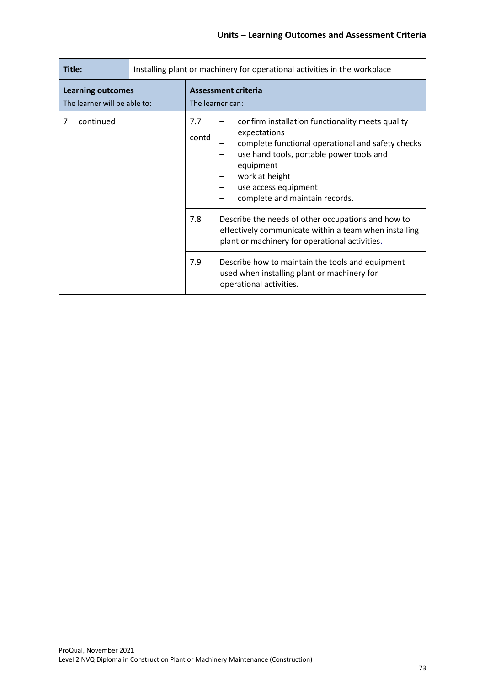| Title:                                                   | Installing plant or machinery for operational activities in the workplace |              |                                                                                                                                                                                                                                                            |
|----------------------------------------------------------|---------------------------------------------------------------------------|--------------|------------------------------------------------------------------------------------------------------------------------------------------------------------------------------------------------------------------------------------------------------------|
| <b>Learning outcomes</b><br>The learner will be able to: |                                                                           |              | <b>Assessment criteria</b><br>The learner can:                                                                                                                                                                                                             |
| continued<br>7                                           |                                                                           | 7.7<br>contd | confirm installation functionality meets quality<br>expectations<br>complete functional operational and safety checks<br>use hand tools, portable power tools and<br>equipment<br>work at height<br>use access equipment<br>complete and maintain records. |
|                                                          |                                                                           | 7.8          | Describe the needs of other occupations and how to<br>effectively communicate within a team when installing<br>plant or machinery for operational activities.                                                                                              |
|                                                          |                                                                           | 7.9          | Describe how to maintain the tools and equipment<br>used when installing plant or machinery for<br>operational activities.                                                                                                                                 |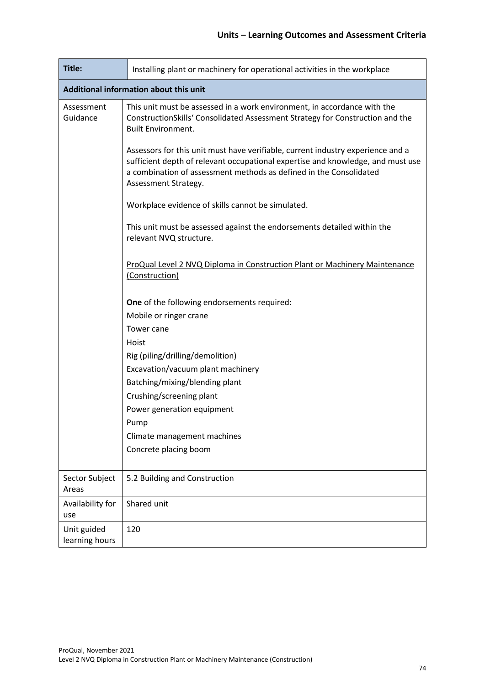| Title:                         | Installing plant or machinery for operational activities in the workplace                                                                                                                                                                                        |  |  |  |  |  |
|--------------------------------|------------------------------------------------------------------------------------------------------------------------------------------------------------------------------------------------------------------------------------------------------------------|--|--|--|--|--|
|                                | Additional information about this unit                                                                                                                                                                                                                           |  |  |  |  |  |
| Assessment<br>Guidance         | This unit must be assessed in a work environment, in accordance with the<br>ConstructionSkills' Consolidated Assessment Strategy for Construction and the<br><b>Built Environment.</b>                                                                           |  |  |  |  |  |
|                                | Assessors for this unit must have verifiable, current industry experience and a<br>sufficient depth of relevant occupational expertise and knowledge, and must use<br>a combination of assessment methods as defined in the Consolidated<br>Assessment Strategy. |  |  |  |  |  |
|                                | Workplace evidence of skills cannot be simulated.                                                                                                                                                                                                                |  |  |  |  |  |
|                                | This unit must be assessed against the endorsements detailed within the<br>relevant NVQ structure.                                                                                                                                                               |  |  |  |  |  |
|                                | ProQual Level 2 NVQ Diploma in Construction Plant or Machinery Maintenance<br>(Construction)                                                                                                                                                                     |  |  |  |  |  |
|                                | One of the following endorsements required:                                                                                                                                                                                                                      |  |  |  |  |  |
|                                | Mobile or ringer crane                                                                                                                                                                                                                                           |  |  |  |  |  |
|                                | Tower cane                                                                                                                                                                                                                                                       |  |  |  |  |  |
|                                | Hoist                                                                                                                                                                                                                                                            |  |  |  |  |  |
|                                | Rig (piling/drilling/demolition)                                                                                                                                                                                                                                 |  |  |  |  |  |
|                                | Excavation/vacuum plant machinery                                                                                                                                                                                                                                |  |  |  |  |  |
| Batching/mixing/blending plant |                                                                                                                                                                                                                                                                  |  |  |  |  |  |
|                                | Crushing/screening plant                                                                                                                                                                                                                                         |  |  |  |  |  |
|                                | Power generation equipment                                                                                                                                                                                                                                       |  |  |  |  |  |
|                                | Pump                                                                                                                                                                                                                                                             |  |  |  |  |  |
|                                | Climate management machines                                                                                                                                                                                                                                      |  |  |  |  |  |
|                                | Concrete placing boom                                                                                                                                                                                                                                            |  |  |  |  |  |
| Sector Subject<br>Areas        | 5.2 Building and Construction                                                                                                                                                                                                                                    |  |  |  |  |  |
| Availability for<br>use        | Shared unit                                                                                                                                                                                                                                                      |  |  |  |  |  |
| Unit guided<br>learning hours  | 120                                                                                                                                                                                                                                                              |  |  |  |  |  |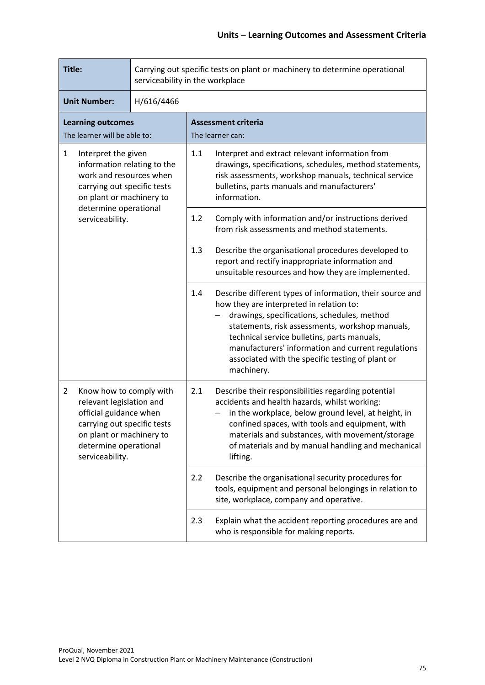| Title:                                                                                                                                                                                                 |  | Carrying out specific tests on plant or machinery to determine operational<br>serviceability in the workplace                                                                                                                                                                                                                                                                         |  |  |
|--------------------------------------------------------------------------------------------------------------------------------------------------------------------------------------------------------|--|---------------------------------------------------------------------------------------------------------------------------------------------------------------------------------------------------------------------------------------------------------------------------------------------------------------------------------------------------------------------------------------|--|--|
| <b>Unit Number:</b><br>H/616/4466                                                                                                                                                                      |  |                                                                                                                                                                                                                                                                                                                                                                                       |  |  |
| <b>Learning outcomes</b><br>The learner will be able to:                                                                                                                                               |  | <b>Assessment criteria</b><br>The learner can:                                                                                                                                                                                                                                                                                                                                        |  |  |
| $\mathbf{1}$<br>Interpret the given<br>information relating to the<br>work and resources when<br>carrying out specific tests<br>on plant or machinery to                                               |  | 1.1<br>Interpret and extract relevant information from<br>drawings, specifications, schedules, method statements,<br>risk assessments, workshop manuals, technical service<br>bulletins, parts manuals and manufacturers'<br>information.                                                                                                                                             |  |  |
| determine operational<br>serviceability.                                                                                                                                                               |  | 1.2<br>Comply with information and/or instructions derived<br>from risk assessments and method statements.                                                                                                                                                                                                                                                                            |  |  |
|                                                                                                                                                                                                        |  | 1.3<br>Describe the organisational procedures developed to<br>report and rectify inappropriate information and<br>unsuitable resources and how they are implemented.                                                                                                                                                                                                                  |  |  |
|                                                                                                                                                                                                        |  | 1.4<br>Describe different types of information, their source and<br>how they are interpreted in relation to:<br>drawings, specifications, schedules, method<br>statements, risk assessments, workshop manuals,<br>technical service bulletins, parts manuals,<br>manufacturers' information and current regulations<br>associated with the specific testing of plant or<br>machinery. |  |  |
| $\overline{2}$<br>Know how to comply with<br>relevant legislation and<br>official guidance when<br>carrying out specific tests<br>on plant or machinery to<br>determine operational<br>serviceability. |  | 2.1<br>Describe their responsibilities regarding potential<br>accidents and health hazards, whilst working:<br>in the workplace, below ground level, at height, in<br>confined spaces, with tools and equipment, with<br>materials and substances, with movement/storage<br>of materials and by manual handling and mechanical<br>lifting.                                            |  |  |
|                                                                                                                                                                                                        |  | 2.2<br>Describe the organisational security procedures for<br>tools, equipment and personal belongings in relation to<br>site, workplace, company and operative.                                                                                                                                                                                                                      |  |  |
|                                                                                                                                                                                                        |  | 2.3<br>Explain what the accident reporting procedures are and<br>who is responsible for making reports.                                                                                                                                                                                                                                                                               |  |  |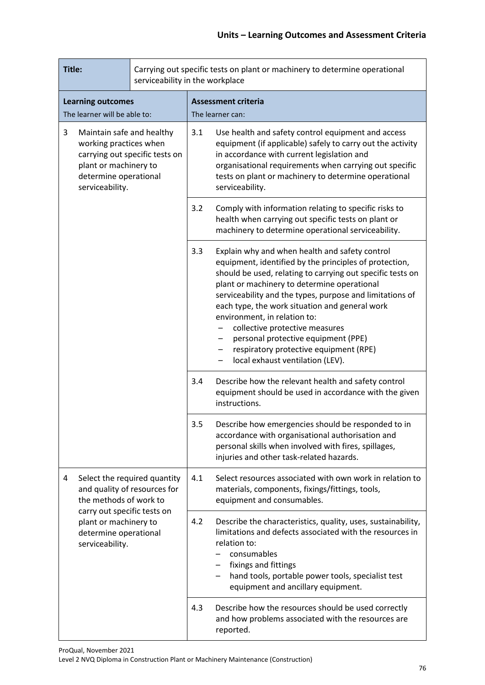| Title:<br>serviceability in the workplace                                                                                                                       |                                                                                        |     | Carrying out specific tests on plant or machinery to determine operational                                                                                                                                                                                                                          |                                                                                                                                                                                                                                                                                                                                                                                                                                                                                                                            |  |
|-----------------------------------------------------------------------------------------------------------------------------------------------------------------|----------------------------------------------------------------------------------------|-----|-----------------------------------------------------------------------------------------------------------------------------------------------------------------------------------------------------------------------------------------------------------------------------------------------------|----------------------------------------------------------------------------------------------------------------------------------------------------------------------------------------------------------------------------------------------------------------------------------------------------------------------------------------------------------------------------------------------------------------------------------------------------------------------------------------------------------------------------|--|
| <b>Learning outcomes</b><br>The learner will be able to:                                                                                                        |                                                                                        |     | <b>Assessment criteria</b><br>The learner can:                                                                                                                                                                                                                                                      |                                                                                                                                                                                                                                                                                                                                                                                                                                                                                                                            |  |
| 3<br>Maintain safe and healthy<br>working practices when<br>carrying out specific tests on<br>plant or machinery to<br>determine operational<br>serviceability. |                                                                                        | 3.1 | Use health and safety control equipment and access<br>equipment (if applicable) safely to carry out the activity<br>in accordance with current legislation and<br>organisational requirements when carrying out specific<br>tests on plant or machinery to determine operational<br>serviceability. |                                                                                                                                                                                                                                                                                                                                                                                                                                                                                                                            |  |
|                                                                                                                                                                 |                                                                                        | 3.2 | Comply with information relating to specific risks to<br>health when carrying out specific tests on plant or<br>machinery to determine operational serviceability.                                                                                                                                  |                                                                                                                                                                                                                                                                                                                                                                                                                                                                                                                            |  |
|                                                                                                                                                                 |                                                                                        |     | 3.3                                                                                                                                                                                                                                                                                                 | Explain why and when health and safety control<br>equipment, identified by the principles of protection,<br>should be used, relating to carrying out specific tests on<br>plant or machinery to determine operational<br>serviceability and the types, purpose and limitations of<br>each type, the work situation and general work<br>environment, in relation to:<br>collective protective measures<br>personal protective equipment (PPE)<br>respiratory protective equipment (RPE)<br>local exhaust ventilation (LEV). |  |
|                                                                                                                                                                 |                                                                                        |     | 3.4                                                                                                                                                                                                                                                                                                 | Describe how the relevant health and safety control<br>equipment should be used in accordance with the given<br>instructions.                                                                                                                                                                                                                                                                                                                                                                                              |  |
|                                                                                                                                                                 |                                                                                        |     | 3.5                                                                                                                                                                                                                                                                                                 | Describe how emergencies should be responded to in<br>accordance with organisational authorisation and<br>personal skills when involved with fires, spillages,<br>injuries and other task-related hazards.                                                                                                                                                                                                                                                                                                                 |  |
| 4                                                                                                                                                               | Select the required quantity<br>and quality of resources for<br>the methods of work to |     | 4.1                                                                                                                                                                                                                                                                                                 | Select resources associated with own work in relation to<br>materials, components, fixings/fittings, tools,<br>equipment and consumables.                                                                                                                                                                                                                                                                                                                                                                                  |  |
| carry out specific tests on<br>plant or machinery to<br>determine operational<br>serviceability.                                                                |                                                                                        | 4.2 | Describe the characteristics, quality, uses, sustainability,<br>limitations and defects associated with the resources in<br>relation to:<br>consumables<br>fixings and fittings<br>hand tools, portable power tools, specialist test<br>equipment and ancillary equipment.                          |                                                                                                                                                                                                                                                                                                                                                                                                                                                                                                                            |  |
|                                                                                                                                                                 |                                                                                        | 4.3 | Describe how the resources should be used correctly<br>and how problems associated with the resources are<br>reported.                                                                                                                                                                              |                                                                                                                                                                                                                                                                                                                                                                                                                                                                                                                            |  |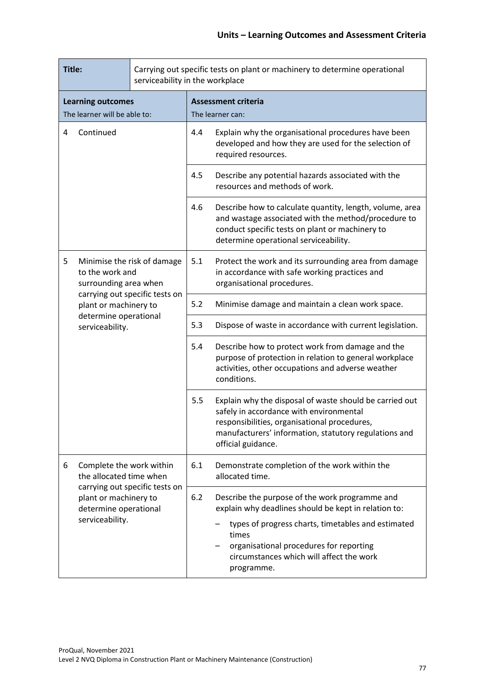| Title:<br>serviceability in the workplace                |                                                                         |                                | Carrying out specific tests on plant or machinery to determine operational                                                                                                                                  |                                                                                                                                                                                                                                   |
|----------------------------------------------------------|-------------------------------------------------------------------------|--------------------------------|-------------------------------------------------------------------------------------------------------------------------------------------------------------------------------------------------------------|-----------------------------------------------------------------------------------------------------------------------------------------------------------------------------------------------------------------------------------|
| <b>Learning outcomes</b><br>The learner will be able to: |                                                                         |                                | <b>Assessment criteria</b><br>The learner can:                                                                                                                                                              |                                                                                                                                                                                                                                   |
| Continued<br>4                                           |                                                                         | 4.4                            | Explain why the organisational procedures have been<br>developed and how they are used for the selection of<br>required resources.                                                                          |                                                                                                                                                                                                                                   |
|                                                          |                                                                         |                                | 4.5                                                                                                                                                                                                         | Describe any potential hazards associated with the<br>resources and methods of work.                                                                                                                                              |
|                                                          |                                                                         | 4.6                            | Describe how to calculate quantity, length, volume, area<br>and wastage associated with the method/procedure to<br>conduct specific tests on plant or machinery to<br>determine operational serviceability. |                                                                                                                                                                                                                                   |
| 5                                                        | Minimise the risk of damage<br>to the work and<br>surrounding area when |                                | 5.1                                                                                                                                                                                                         | Protect the work and its surrounding area from damage<br>in accordance with safe working practices and<br>organisational procedures.                                                                                              |
|                                                          | plant or machinery to                                                   | carrying out specific tests on | 5.2                                                                                                                                                                                                         | Minimise damage and maintain a clean work space.                                                                                                                                                                                  |
|                                                          | determine operational<br>serviceability.                                |                                | 5.3                                                                                                                                                                                                         | Dispose of waste in accordance with current legislation.                                                                                                                                                                          |
|                                                          |                                                                         |                                | 5.4                                                                                                                                                                                                         | Describe how to protect work from damage and the<br>purpose of protection in relation to general workplace<br>activities, other occupations and adverse weather<br>conditions.                                                    |
|                                                          |                                                                         |                                | 5.5                                                                                                                                                                                                         | Explain why the disposal of waste should be carried out<br>safely in accordance with environmental<br>responsibilities, organisational procedures,<br>manufacturers' information, statutory regulations and<br>official guidance. |
| 6                                                        | Complete the work within<br>the allocated time when                     |                                | 6.1                                                                                                                                                                                                         | Demonstrate completion of the work within the<br>allocated time.                                                                                                                                                                  |
|                                                          | plant or machinery to<br>determine operational                          |                                | carrying out specific tests on<br>6.2                                                                                                                                                                       | Describe the purpose of the work programme and<br>explain why deadlines should be kept in relation to:                                                                                                                            |
|                                                          | serviceability.                                                         |                                |                                                                                                                                                                                                             | types of progress charts, timetables and estimated<br>times<br>organisational procedures for reporting<br>circumstances which will affect the work<br>programme.                                                                  |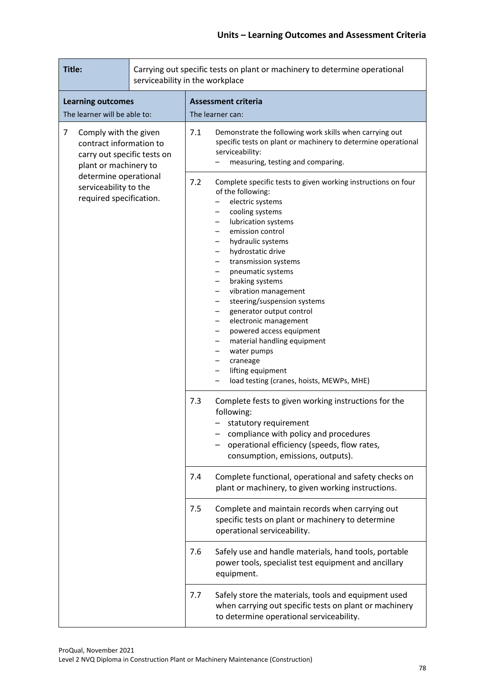| Title:                                                                                                        |     | Carrying out specific tests on plant or machinery to determine operational<br>serviceability in the workplace                                                                                                                                                                                                                                                                                                                                                                                                                                                                                                                                                                                                                                                     |
|---------------------------------------------------------------------------------------------------------------|-----|-------------------------------------------------------------------------------------------------------------------------------------------------------------------------------------------------------------------------------------------------------------------------------------------------------------------------------------------------------------------------------------------------------------------------------------------------------------------------------------------------------------------------------------------------------------------------------------------------------------------------------------------------------------------------------------------------------------------------------------------------------------------|
| <b>Learning outcomes</b><br>The learner will be able to:                                                      |     | <b>Assessment criteria</b><br>The learner can:                                                                                                                                                                                                                                                                                                                                                                                                                                                                                                                                                                                                                                                                                                                    |
| 7<br>Comply with the given<br>contract information to<br>carry out specific tests on<br>plant or machinery to |     | 7.1<br>Demonstrate the following work skills when carrying out<br>specific tests on plant or machinery to determine operational<br>serviceability:<br>measuring, testing and comparing.                                                                                                                                                                                                                                                                                                                                                                                                                                                                                                                                                                           |
| determine operational<br>serviceability to the<br>required specification.                                     |     | Complete specific tests to given working instructions on four<br>7.2<br>of the following:<br>electric systems<br>-<br>cooling systems<br>lubrication systems<br>$\overline{\phantom{m}}$<br>emission control<br>—<br>hydraulic systems<br>$\overline{\phantom{m}}$<br>hydrostatic drive<br>transmission systems<br>$\overline{\phantom{m}}$<br>pneumatic systems<br>$\overline{\phantom{m}}$<br>braking systems<br>$\qquad \qquad -$<br>vibration management<br>-<br>steering/suspension systems<br>-<br>generator output control<br>$\qquad \qquad -$<br>electronic management<br>powered access equipment<br>material handling equipment<br>$\qquad \qquad -$<br>water pumps<br>craneage<br>lifting equipment<br>-<br>load testing (cranes, hoists, MEWPs, MHE) |
|                                                                                                               | 7.3 | Complete fests to given working instructions for the<br>following:<br>statutory requirement<br>compliance with policy and procedures<br>operational efficiency (speeds, flow rates,<br>consumption, emissions, outputs).                                                                                                                                                                                                                                                                                                                                                                                                                                                                                                                                          |
|                                                                                                               |     | Complete functional, operational and safety checks on<br>7.4<br>plant or machinery, to given working instructions.                                                                                                                                                                                                                                                                                                                                                                                                                                                                                                                                                                                                                                                |
|                                                                                                               |     | 7.5<br>Complete and maintain records when carrying out<br>specific tests on plant or machinery to determine<br>operational serviceability.                                                                                                                                                                                                                                                                                                                                                                                                                                                                                                                                                                                                                        |
|                                                                                                               |     | Safely use and handle materials, hand tools, portable<br>7.6<br>power tools, specialist test equipment and ancillary<br>equipment.                                                                                                                                                                                                                                                                                                                                                                                                                                                                                                                                                                                                                                |
|                                                                                                               |     | Safely store the materials, tools and equipment used<br>7.7<br>when carrying out specific tests on plant or machinery<br>to determine operational serviceability.                                                                                                                                                                                                                                                                                                                                                                                                                                                                                                                                                                                                 |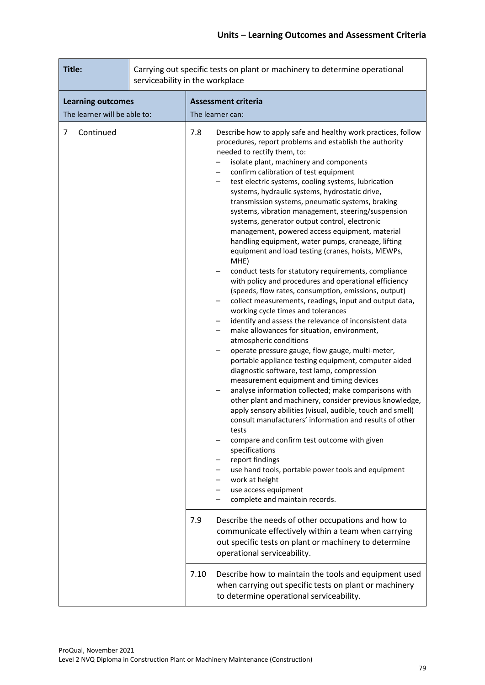| Title:                                                   |  | Carrying out specific tests on plant or machinery to determine operational<br>serviceability in the workplace |                                                                                                                                                                                                                                                                                                                                                                                                                                                                                                                                                                                                                                                                                                                                                                                                                                                                                                                                                                                                                                                                                                                                                                                                                                                                                                                                                                                                                                                                                                                                                                                                                                                                                                                                                                                                                                                                                                                       |
|----------------------------------------------------------|--|---------------------------------------------------------------------------------------------------------------|-----------------------------------------------------------------------------------------------------------------------------------------------------------------------------------------------------------------------------------------------------------------------------------------------------------------------------------------------------------------------------------------------------------------------------------------------------------------------------------------------------------------------------------------------------------------------------------------------------------------------------------------------------------------------------------------------------------------------------------------------------------------------------------------------------------------------------------------------------------------------------------------------------------------------------------------------------------------------------------------------------------------------------------------------------------------------------------------------------------------------------------------------------------------------------------------------------------------------------------------------------------------------------------------------------------------------------------------------------------------------------------------------------------------------------------------------------------------------------------------------------------------------------------------------------------------------------------------------------------------------------------------------------------------------------------------------------------------------------------------------------------------------------------------------------------------------------------------------------------------------------------------------------------------------|
| <b>Learning outcomes</b><br>The learner will be able to: |  |                                                                                                               | <b>Assessment criteria</b><br>The learner can:                                                                                                                                                                                                                                                                                                                                                                                                                                                                                                                                                                                                                                                                                                                                                                                                                                                                                                                                                                                                                                                                                                                                                                                                                                                                                                                                                                                                                                                                                                                                                                                                                                                                                                                                                                                                                                                                        |
| Continued<br>7                                           |  | 7.8<br>7.9                                                                                                    | Describe how to apply safe and healthy work practices, follow<br>procedures, report problems and establish the authority<br>needed to rectify them, to:<br>isolate plant, machinery and components<br>confirm calibration of test equipment<br>test electric systems, cooling systems, lubrication<br>$\qquad \qquad -$<br>systems, hydraulic systems, hydrostatic drive,<br>transmission systems, pneumatic systems, braking<br>systems, vibration management, steering/suspension<br>systems, generator output control, electronic<br>management, powered access equipment, material<br>handling equipment, water pumps, craneage, lifting<br>equipment and load testing (cranes, hoists, MEWPs,<br>MHE)<br>conduct tests for statutory requirements, compliance<br>with policy and procedures and operational efficiency<br>(speeds, flow rates, consumption, emissions, output)<br>collect measurements, readings, input and output data,<br>working cycle times and tolerances<br>identify and assess the relevance of inconsistent data<br>make allowances for situation, environment,<br>atmospheric conditions<br>operate pressure gauge, flow gauge, multi-meter,<br>portable appliance testing equipment, computer aided<br>diagnostic software, test lamp, compression<br>measurement equipment and timing devices<br>analyse information collected; make comparisons with<br>other plant and machinery, consider previous knowledge,<br>apply sensory abilities (visual, audible, touch and smell)<br>consult manufacturers' information and results of other<br>tests<br>compare and confirm test outcome with given<br>specifications<br>report findings<br>use hand tools, portable power tools and equipment<br>work at height<br>use access equipment<br>complete and maintain records.<br>Describe the needs of other occupations and how to<br>communicate effectively within a team when carrying |
|                                                          |  |                                                                                                               | out specific tests on plant or machinery to determine<br>operational serviceability.                                                                                                                                                                                                                                                                                                                                                                                                                                                                                                                                                                                                                                                                                                                                                                                                                                                                                                                                                                                                                                                                                                                                                                                                                                                                                                                                                                                                                                                                                                                                                                                                                                                                                                                                                                                                                                  |
|                                                          |  | 7.10                                                                                                          | Describe how to maintain the tools and equipment used<br>when carrying out specific tests on plant or machinery<br>to determine operational serviceability.                                                                                                                                                                                                                                                                                                                                                                                                                                                                                                                                                                                                                                                                                                                                                                                                                                                                                                                                                                                                                                                                                                                                                                                                                                                                                                                                                                                                                                                                                                                                                                                                                                                                                                                                                           |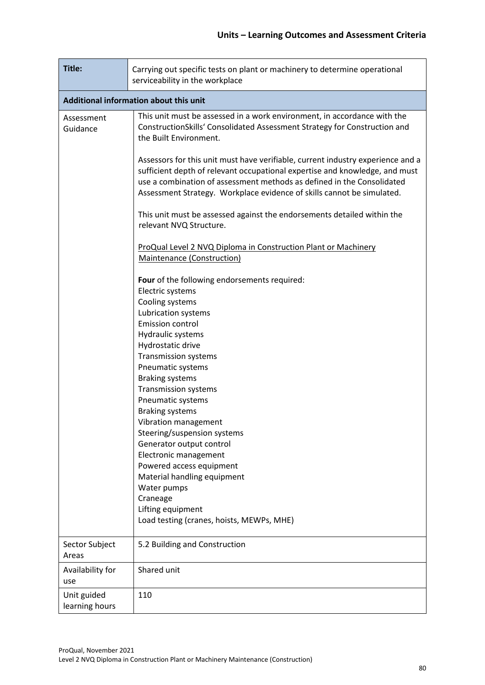| Title:                        | Carrying out specific tests on plant or machinery to determine operational<br>serviceability in the workplace                                                                                                                                                                                                                                                                               |  |  |  |  |  |
|-------------------------------|---------------------------------------------------------------------------------------------------------------------------------------------------------------------------------------------------------------------------------------------------------------------------------------------------------------------------------------------------------------------------------------------|--|--|--|--|--|
|                               | Additional information about this unit                                                                                                                                                                                                                                                                                                                                                      |  |  |  |  |  |
| Assessment<br>Guidance        | This unit must be assessed in a work environment, in accordance with the<br>ConstructionSkills' Consolidated Assessment Strategy for Construction and<br>the Built Environment.                                                                                                                                                                                                             |  |  |  |  |  |
|                               | Assessors for this unit must have verifiable, current industry experience and a<br>sufficient depth of relevant occupational expertise and knowledge, and must<br>use a combination of assessment methods as defined in the Consolidated<br>Assessment Strategy. Workplace evidence of skills cannot be simulated.                                                                          |  |  |  |  |  |
|                               | This unit must be assessed against the endorsements detailed within the<br>relevant NVQ Structure.                                                                                                                                                                                                                                                                                          |  |  |  |  |  |
|                               | ProQual Level 2 NVQ Diploma in Construction Plant or Machinery<br><b>Maintenance (Construction)</b>                                                                                                                                                                                                                                                                                         |  |  |  |  |  |
|                               | Four of the following endorsements required:<br>Electric systems<br>Cooling systems<br>Lubrication systems<br>Emission control<br>Hydraulic systems<br>Hydrostatic drive<br><b>Transmission systems</b><br>Pneumatic systems<br><b>Braking systems</b><br><b>Transmission systems</b><br>Pneumatic systems<br><b>Braking systems</b><br>Vibration management<br>Steering/suspension systems |  |  |  |  |  |
|                               | Generator output control<br>Electronic management<br>Powered access equipment<br>Material handling equipment<br>Water pumps<br>Craneage<br>Lifting equipment<br>Load testing (cranes, hoists, MEWPs, MHE)                                                                                                                                                                                   |  |  |  |  |  |
| Sector Subject<br>Areas       | 5.2 Building and Construction                                                                                                                                                                                                                                                                                                                                                               |  |  |  |  |  |
| Availability for<br>use       | Shared unit                                                                                                                                                                                                                                                                                                                                                                                 |  |  |  |  |  |
| Unit guided<br>learning hours | 110                                                                                                                                                                                                                                                                                                                                                                                         |  |  |  |  |  |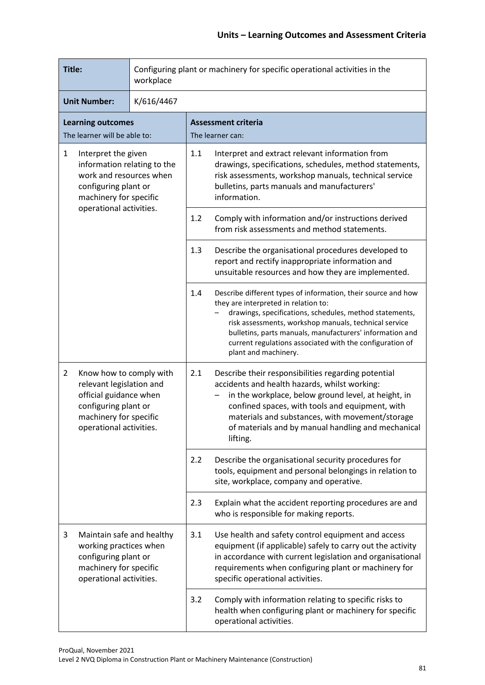| Title:<br>Configuring plant or machinery for specific operational activities in the<br>workplace                                                                             |                                                                                                     |                           |                                                                                                                                                                                                                                                                                                                                                                                  |
|------------------------------------------------------------------------------------------------------------------------------------------------------------------------------|-----------------------------------------------------------------------------------------------------|---------------------------|----------------------------------------------------------------------------------------------------------------------------------------------------------------------------------------------------------------------------------------------------------------------------------------------------------------------------------------------------------------------------------|
| <b>Unit Number:</b><br>K/616/4467                                                                                                                                            |                                                                                                     |                           |                                                                                                                                                                                                                                                                                                                                                                                  |
|                                                                                                                                                                              | <b>Learning outcomes</b><br>The learner will be able to:                                            |                           | <b>Assessment criteria</b><br>The learner can:                                                                                                                                                                                                                                                                                                                                   |
| $\mathbf{1}$<br>Interpret the given<br>information relating to the<br>work and resources when<br>configuring plant or<br>machinery for specific<br>operational activities.   |                                                                                                     |                           | 1.1<br>Interpret and extract relevant information from<br>drawings, specifications, schedules, method statements,<br>risk assessments, workshop manuals, technical service<br>bulletins, parts manuals and manufacturers'<br>information.                                                                                                                                        |
|                                                                                                                                                                              |                                                                                                     |                           | 1.2<br>Comply with information and/or instructions derived<br>from risk assessments and method statements.                                                                                                                                                                                                                                                                       |
|                                                                                                                                                                              |                                                                                                     |                           | 1.3<br>Describe the organisational procedures developed to<br>report and rectify inappropriate information and<br>unsuitable resources and how they are implemented.                                                                                                                                                                                                             |
|                                                                                                                                                                              |                                                                                                     |                           | Describe different types of information, their source and how<br>1.4<br>they are interpreted in relation to:<br>drawings, specifications, schedules, method statements,<br>risk assessments, workshop manuals, technical service<br>bulletins, parts manuals, manufacturers' information and<br>current regulations associated with the configuration of<br>plant and machinery. |
| $\overline{2}$<br>Know how to comply with<br>relevant legislation and<br>official guidance when<br>configuring plant or<br>machinery for specific<br>operational activities. |                                                                                                     |                           | 2.1<br>Describe their responsibilities regarding potential<br>accidents and health hazards, whilst working:<br>in the workplace, below ground level, at height, in<br>confined spaces, with tools and equipment, with<br>materials and substances, with movement/storage<br>of materials and by manual handling and mechanical<br>lifting.                                       |
|                                                                                                                                                                              |                                                                                                     |                           | 2.2<br>Describe the organisational security procedures for<br>tools, equipment and personal belongings in relation to<br>site, workplace, company and operative.                                                                                                                                                                                                                 |
|                                                                                                                                                                              |                                                                                                     |                           | Explain what the accident reporting procedures are and<br>2.3<br>who is responsible for making reports.                                                                                                                                                                                                                                                                          |
| 3                                                                                                                                                                            | working practices when<br>configuring plant or<br>machinery for specific<br>operational activities. | Maintain safe and healthy | 3.1<br>Use health and safety control equipment and access<br>equipment (if applicable) safely to carry out the activity<br>in accordance with current legislation and organisational<br>requirements when configuring plant or machinery for<br>specific operational activities.                                                                                                 |
|                                                                                                                                                                              |                                                                                                     |                           | 3.2<br>Comply with information relating to specific risks to<br>health when configuring plant or machinery for specific<br>operational activities.                                                                                                                                                                                                                               |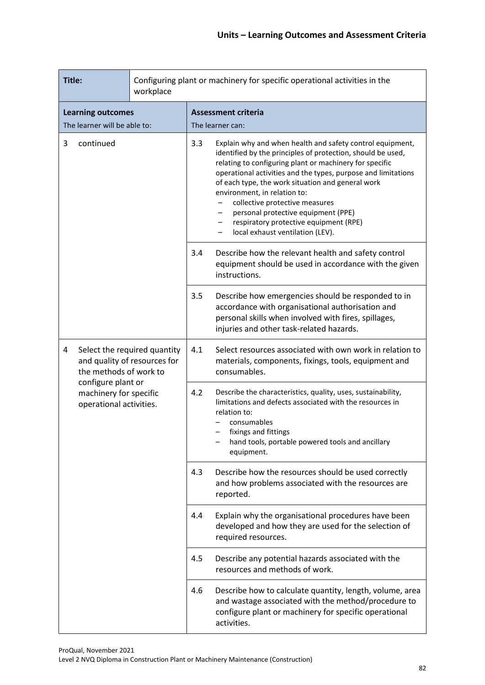| Title:<br>workplace                            |                                                                                                                                                                   |     | Configuring plant or machinery for specific operational activities in the                                                                                                                                                                                                                                                                                                                                                                                                                                            |                                                                                                                                                                                                                                                   |  |
|------------------------------------------------|-------------------------------------------------------------------------------------------------------------------------------------------------------------------|-----|----------------------------------------------------------------------------------------------------------------------------------------------------------------------------------------------------------------------------------------------------------------------------------------------------------------------------------------------------------------------------------------------------------------------------------------------------------------------------------------------------------------------|---------------------------------------------------------------------------------------------------------------------------------------------------------------------------------------------------------------------------------------------------|--|
| <b>Learning outcomes</b>                       |                                                                                                                                                                   |     | <b>Assessment criteria</b>                                                                                                                                                                                                                                                                                                                                                                                                                                                                                           |                                                                                                                                                                                                                                                   |  |
| The learner will be able to:<br>3<br>continued |                                                                                                                                                                   | 3.3 | The learner can:<br>Explain why and when health and safety control equipment,<br>identified by the principles of protection, should be used,<br>relating to configuring plant or machinery for specific<br>operational activities and the types, purpose and limitations<br>of each type, the work situation and general work<br>environment, in relation to:<br>collective protective measures<br>personal protective equipment (PPE)<br>respiratory protective equipment (RPE)<br>local exhaust ventilation (LEV). |                                                                                                                                                                                                                                                   |  |
|                                                |                                                                                                                                                                   | 3.4 | Describe how the relevant health and safety control<br>equipment should be used in accordance with the given<br>instructions.                                                                                                                                                                                                                                                                                                                                                                                        |                                                                                                                                                                                                                                                   |  |
|                                                |                                                                                                                                                                   | 3.5 | Describe how emergencies should be responded to in<br>accordance with organisational authorisation and<br>personal skills when involved with fires, spillages,<br>injuries and other task-related hazards.                                                                                                                                                                                                                                                                                                           |                                                                                                                                                                                                                                                   |  |
| 4                                              | Select the required quantity<br>and quality of resources for<br>the methods of work to<br>configure plant or<br>machinery for specific<br>operational activities. |     | 4.1                                                                                                                                                                                                                                                                                                                                                                                                                                                                                                                  | Select resources associated with own work in relation to<br>materials, components, fixings, tools, equipment and<br>consumables.                                                                                                                  |  |
|                                                |                                                                                                                                                                   |     | 4.2                                                                                                                                                                                                                                                                                                                                                                                                                                                                                                                  | Describe the characteristics, quality, uses, sustainability,<br>limitations and defects associated with the resources in<br>relation to:<br>consumables<br>fixings and fittings<br>hand tools, portable powered tools and ancillary<br>equipment. |  |
|                                                |                                                                                                                                                                   |     | 4.3                                                                                                                                                                                                                                                                                                                                                                                                                                                                                                                  | Describe how the resources should be used correctly<br>and how problems associated with the resources are<br>reported.                                                                                                                            |  |
|                                                |                                                                                                                                                                   |     | 4.4                                                                                                                                                                                                                                                                                                                                                                                                                                                                                                                  | Explain why the organisational procedures have been<br>developed and how they are used for the selection of<br>required resources.                                                                                                                |  |
|                                                |                                                                                                                                                                   |     | 4.5                                                                                                                                                                                                                                                                                                                                                                                                                                                                                                                  | Describe any potential hazards associated with the<br>resources and methods of work.                                                                                                                                                              |  |
|                                                |                                                                                                                                                                   | 4.6 | Describe how to calculate quantity, length, volume, area<br>and wastage associated with the method/procedure to<br>configure plant or machinery for specific operational<br>activities.                                                                                                                                                                                                                                                                                                                              |                                                                                                                                                                                                                                                   |  |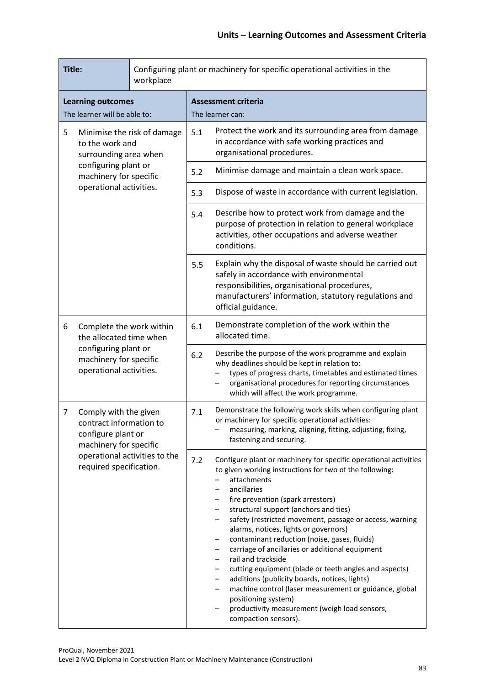| Title:<br>workplace                                                          |                                                                                                                                                              |     | Configuring plant or machinery for specific operational activities in the                                                                                                                                                                                                                                                                                                                                                                                                                                                                                                                                                                                                                                                                                                               |                                                                                                                                                                                                                                   |
|------------------------------------------------------------------------------|--------------------------------------------------------------------------------------------------------------------------------------------------------------|-----|-----------------------------------------------------------------------------------------------------------------------------------------------------------------------------------------------------------------------------------------------------------------------------------------------------------------------------------------------------------------------------------------------------------------------------------------------------------------------------------------------------------------------------------------------------------------------------------------------------------------------------------------------------------------------------------------------------------------------------------------------------------------------------------------|-----------------------------------------------------------------------------------------------------------------------------------------------------------------------------------------------------------------------------------|
| <b>Learning outcomes</b><br>The learner will be able to:                     |                                                                                                                                                              |     | <b>Assessment criteria</b><br>The learner can:                                                                                                                                                                                                                                                                                                                                                                                                                                                                                                                                                                                                                                                                                                                                          |                                                                                                                                                                                                                                   |
| 5<br>Minimise the risk of damage<br>to the work and<br>surrounding area when |                                                                                                                                                              | 5.1 | Protect the work and its surrounding area from damage<br>in accordance with safe working practices and<br>organisational procedures.                                                                                                                                                                                                                                                                                                                                                                                                                                                                                                                                                                                                                                                    |                                                                                                                                                                                                                                   |
|                                                                              | configuring plant or<br>machinery for specific                                                                                                               |     | 5.2                                                                                                                                                                                                                                                                                                                                                                                                                                                                                                                                                                                                                                                                                                                                                                                     | Minimise damage and maintain a clean work space.                                                                                                                                                                                  |
|                                                                              | operational activities.                                                                                                                                      |     | 5.3                                                                                                                                                                                                                                                                                                                                                                                                                                                                                                                                                                                                                                                                                                                                                                                     | Dispose of waste in accordance with current legislation.                                                                                                                                                                          |
|                                                                              |                                                                                                                                                              | 5.4 | Describe how to protect work from damage and the<br>purpose of protection in relation to general workplace<br>activities, other occupations and adverse weather<br>conditions.                                                                                                                                                                                                                                                                                                                                                                                                                                                                                                                                                                                                          |                                                                                                                                                                                                                                   |
|                                                                              |                                                                                                                                                              |     | 5.5                                                                                                                                                                                                                                                                                                                                                                                                                                                                                                                                                                                                                                                                                                                                                                                     | Explain why the disposal of waste should be carried out<br>safely in accordance with environmental<br>responsibilities, organisational procedures,<br>manufacturers' information, statutory regulations and<br>official guidance. |
| 6                                                                            | Complete the work within<br>the allocated time when<br>configuring plant or<br>machinery for specific<br>operational activities.                             |     | 6.1                                                                                                                                                                                                                                                                                                                                                                                                                                                                                                                                                                                                                                                                                                                                                                                     | Demonstrate completion of the work within the<br>allocated time.                                                                                                                                                                  |
|                                                                              |                                                                                                                                                              | 6.2 | Describe the purpose of the work programme and explain<br>why deadlines should be kept in relation to:<br>types of progress charts, timetables and estimated times<br>organisational procedures for reporting circumstances<br>which will affect the work programme.                                                                                                                                                                                                                                                                                                                                                                                                                                                                                                                    |                                                                                                                                                                                                                                   |
| 7                                                                            | Comply with the given<br>contract information to<br>configure plant or<br>machinery for specific<br>operational activities to the<br>required specification. |     | 7.1                                                                                                                                                                                                                                                                                                                                                                                                                                                                                                                                                                                                                                                                                                                                                                                     | Demonstrate the following work skills when configuring plant<br>or machinery for specific operational activities:<br>measuring, marking, aligning, fitting, adjusting, fixing,<br>fastening and securing.                         |
|                                                                              |                                                                                                                                                              | 7.2 | Configure plant or machinery for specific operational activities<br>to given working instructions for two of the following:<br>attachments<br>ancillaries<br>fire prevention (spark arrestors)<br>structural support (anchors and ties)<br>$\qquad \qquad -$<br>safety (restricted movement, passage or access, warning<br>$\qquad \qquad -$<br>alarms, notices, lights or governors)<br>contaminant reduction (noise, gases, fluids)<br>-<br>carriage of ancillaries or additional equipment<br>rail and trackside<br>cutting equipment (blade or teeth angles and aspects)<br>additions (publicity boards, notices, lights)<br>machine control (laser measurement or guidance, global<br>positioning system)<br>productivity measurement (weigh load sensors,<br>compaction sensors). |                                                                                                                                                                                                                                   |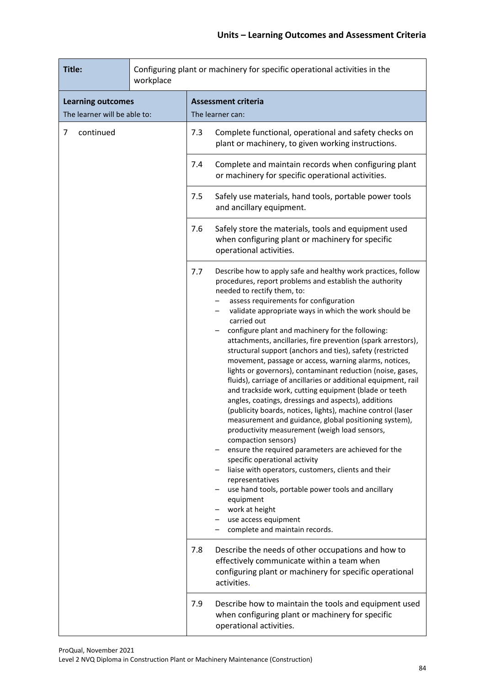| Title:<br>workplace                                      |  |     | Configuring plant or machinery for specific operational activities in the                                                                                                                                                                                                                                                                                                                                                                                                                                                                                                                                                                                                                                                                                                                                                                                                                                                                                                                                                                                                                                                                                                                                                                                                           |
|----------------------------------------------------------|--|-----|-------------------------------------------------------------------------------------------------------------------------------------------------------------------------------------------------------------------------------------------------------------------------------------------------------------------------------------------------------------------------------------------------------------------------------------------------------------------------------------------------------------------------------------------------------------------------------------------------------------------------------------------------------------------------------------------------------------------------------------------------------------------------------------------------------------------------------------------------------------------------------------------------------------------------------------------------------------------------------------------------------------------------------------------------------------------------------------------------------------------------------------------------------------------------------------------------------------------------------------------------------------------------------------|
| <b>Learning outcomes</b><br>The learner will be able to: |  |     | <b>Assessment criteria</b><br>The learner can:                                                                                                                                                                                                                                                                                                                                                                                                                                                                                                                                                                                                                                                                                                                                                                                                                                                                                                                                                                                                                                                                                                                                                                                                                                      |
| continued<br>7                                           |  | 7.3 | Complete functional, operational and safety checks on<br>plant or machinery, to given working instructions.                                                                                                                                                                                                                                                                                                                                                                                                                                                                                                                                                                                                                                                                                                                                                                                                                                                                                                                                                                                                                                                                                                                                                                         |
|                                                          |  | 7.4 | Complete and maintain records when configuring plant<br>or machinery for specific operational activities.                                                                                                                                                                                                                                                                                                                                                                                                                                                                                                                                                                                                                                                                                                                                                                                                                                                                                                                                                                                                                                                                                                                                                                           |
|                                                          |  | 7.5 | Safely use materials, hand tools, portable power tools<br>and ancillary equipment.                                                                                                                                                                                                                                                                                                                                                                                                                                                                                                                                                                                                                                                                                                                                                                                                                                                                                                                                                                                                                                                                                                                                                                                                  |
|                                                          |  | 7.6 | Safely store the materials, tools and equipment used<br>when configuring plant or machinery for specific<br>operational activities.                                                                                                                                                                                                                                                                                                                                                                                                                                                                                                                                                                                                                                                                                                                                                                                                                                                                                                                                                                                                                                                                                                                                                 |
|                                                          |  | 7.7 | Describe how to apply safe and healthy work practices, follow<br>procedures, report problems and establish the authority<br>needed to rectify them, to:<br>assess requirements for configuration<br>validate appropriate ways in which the work should be<br>carried out<br>configure plant and machinery for the following:<br>attachments, ancillaries, fire prevention (spark arrestors),<br>structural support (anchors and ties), safety (restricted<br>movement, passage or access, warning alarms, notices,<br>lights or governors), contaminant reduction (noise, gases,<br>fluids), carriage of ancillaries or additional equipment, rail<br>and trackside work, cutting equipment (blade or teeth<br>angles, coatings, dressings and aspects), additions<br>(publicity boards, notices, lights), machine control (laser<br>measurement and guidance, global positioning system),<br>productivity measurement (weigh load sensors,<br>compaction sensors)<br>ensure the required parameters are achieved for the<br>specific operational activity<br>liaise with operators, customers, clients and their<br>representatives<br>use hand tools, portable power tools and ancillary<br>equipment<br>work at height<br>use access equipment<br>complete and maintain records. |
|                                                          |  | 7.8 | Describe the needs of other occupations and how to<br>effectively communicate within a team when<br>configuring plant or machinery for specific operational<br>activities.                                                                                                                                                                                                                                                                                                                                                                                                                                                                                                                                                                                                                                                                                                                                                                                                                                                                                                                                                                                                                                                                                                          |
|                                                          |  | 7.9 | Describe how to maintain the tools and equipment used<br>when configuring plant or machinery for specific<br>operational activities.                                                                                                                                                                                                                                                                                                                                                                                                                                                                                                                                                                                                                                                                                                                                                                                                                                                                                                                                                                                                                                                                                                                                                |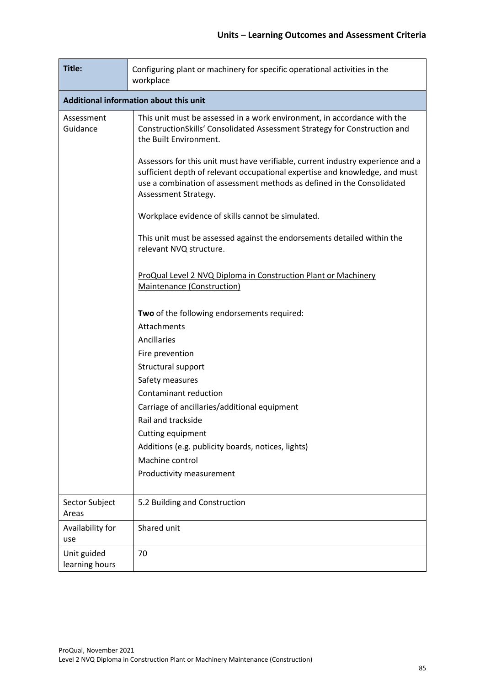| Title:                        | Configuring plant or machinery for specific operational activities in the<br>workplace                                                                                                                                                                           |  |  |  |  |  |
|-------------------------------|------------------------------------------------------------------------------------------------------------------------------------------------------------------------------------------------------------------------------------------------------------------|--|--|--|--|--|
|                               | Additional information about this unit                                                                                                                                                                                                                           |  |  |  |  |  |
| Assessment<br>Guidance        | This unit must be assessed in a work environment, in accordance with the<br>ConstructionSkills' Consolidated Assessment Strategy for Construction and<br>the Built Environment.                                                                                  |  |  |  |  |  |
|                               | Assessors for this unit must have verifiable, current industry experience and a<br>sufficient depth of relevant occupational expertise and knowledge, and must<br>use a combination of assessment methods as defined in the Consolidated<br>Assessment Strategy. |  |  |  |  |  |
|                               | Workplace evidence of skills cannot be simulated.                                                                                                                                                                                                                |  |  |  |  |  |
|                               | This unit must be assessed against the endorsements detailed within the<br>relevant NVQ structure.                                                                                                                                                               |  |  |  |  |  |
|                               | ProQual Level 2 NVQ Diploma in Construction Plant or Machinery<br><b>Maintenance (Construction)</b>                                                                                                                                                              |  |  |  |  |  |
|                               | Two of the following endorsements required:                                                                                                                                                                                                                      |  |  |  |  |  |
|                               | Attachments                                                                                                                                                                                                                                                      |  |  |  |  |  |
|                               | Ancillaries                                                                                                                                                                                                                                                      |  |  |  |  |  |
|                               | Fire prevention                                                                                                                                                                                                                                                  |  |  |  |  |  |
|                               | Structural support                                                                                                                                                                                                                                               |  |  |  |  |  |
|                               | Safety measures                                                                                                                                                                                                                                                  |  |  |  |  |  |
|                               | Contaminant reduction                                                                                                                                                                                                                                            |  |  |  |  |  |
|                               | Carriage of ancillaries/additional equipment                                                                                                                                                                                                                     |  |  |  |  |  |
|                               | Rail and trackside                                                                                                                                                                                                                                               |  |  |  |  |  |
|                               | Cutting equipment                                                                                                                                                                                                                                                |  |  |  |  |  |
|                               | Additions (e.g. publicity boards, notices, lights)                                                                                                                                                                                                               |  |  |  |  |  |
|                               | Machine control                                                                                                                                                                                                                                                  |  |  |  |  |  |
|                               | Productivity measurement                                                                                                                                                                                                                                         |  |  |  |  |  |
| Sector Subject<br>Areas       | 5.2 Building and Construction                                                                                                                                                                                                                                    |  |  |  |  |  |
| Availability for<br>use       | Shared unit                                                                                                                                                                                                                                                      |  |  |  |  |  |
| Unit guided<br>learning hours | 70                                                                                                                                                                                                                                                               |  |  |  |  |  |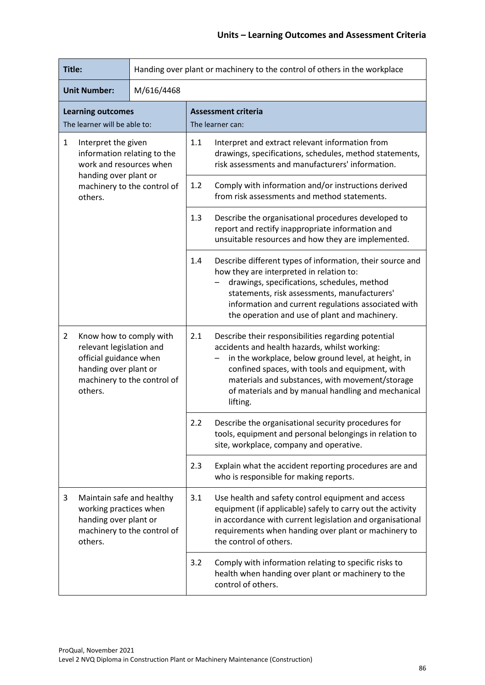| Title:                                                                                                                                                             |                                                                                                                                                                       | Handing over plant or machinery to the control of others in the workplace                                                                                                                                                                                                                                                                  |
|--------------------------------------------------------------------------------------------------------------------------------------------------------------------|-----------------------------------------------------------------------------------------------------------------------------------------------------------------------|--------------------------------------------------------------------------------------------------------------------------------------------------------------------------------------------------------------------------------------------------------------------------------------------------------------------------------------------|
| <b>Unit Number:</b><br>M/616/4468                                                                                                                                  |                                                                                                                                                                       |                                                                                                                                                                                                                                                                                                                                            |
| <b>Learning outcomes</b><br>The learner will be able to:                                                                                                           |                                                                                                                                                                       | <b>Assessment criteria</b><br>The learner can:                                                                                                                                                                                                                                                                                             |
| $\mathbf{1}$<br>Interpret the given<br>information relating to the<br>work and resources when<br>handing over plant or<br>machinery to the control of<br>others.   | 1.1<br>Interpret and extract relevant information from<br>drawings, specifications, schedules, method statements,<br>risk assessments and manufacturers' information. |                                                                                                                                                                                                                                                                                                                                            |
|                                                                                                                                                                    | Comply with information and/or instructions derived<br>1.2<br>from risk assessments and method statements.                                                            |                                                                                                                                                                                                                                                                                                                                            |
|                                                                                                                                                                    | 1.3<br>Describe the organisational procedures developed to<br>report and rectify inappropriate information and<br>unsuitable resources and how they are implemented.  |                                                                                                                                                                                                                                                                                                                                            |
|                                                                                                                                                                    |                                                                                                                                                                       | 1.4<br>Describe different types of information, their source and<br>how they are interpreted in relation to:<br>drawings, specifications, schedules, method<br>statements, risk assessments, manufacturers'<br>information and current regulations associated with<br>the operation and use of plant and machinery.                        |
| $\overline{2}$<br>Know how to comply with<br>relevant legislation and<br>official guidance when<br>handing over plant or<br>machinery to the control of<br>others. |                                                                                                                                                                       | 2.1<br>Describe their responsibilities regarding potential<br>accidents and health hazards, whilst working:<br>in the workplace, below ground level, at height, in<br>confined spaces, with tools and equipment, with<br>materials and substances, with movement/storage<br>of materials and by manual handling and mechanical<br>lifting. |
|                                                                                                                                                                    | 2.2<br>Describe the organisational security procedures for<br>tools, equipment and personal belongings in relation to<br>site, workplace, company and operative.      |                                                                                                                                                                                                                                                                                                                                            |
|                                                                                                                                                                    |                                                                                                                                                                       | Explain what the accident reporting procedures are and<br>2.3<br>who is responsible for making reports.                                                                                                                                                                                                                                    |
| 3<br>working practices when<br>handing over plant or<br>others.                                                                                                    | Maintain safe and healthy<br>machinery to the control of                                                                                                              | Use health and safety control equipment and access<br>3.1<br>equipment (if applicable) safely to carry out the activity<br>in accordance with current legislation and organisational<br>requirements when handing over plant or machinery to<br>the control of others.                                                                     |
|                                                                                                                                                                    |                                                                                                                                                                       | Comply with information relating to specific risks to<br>3.2<br>health when handing over plant or machinery to the<br>control of others.                                                                                                                                                                                                   |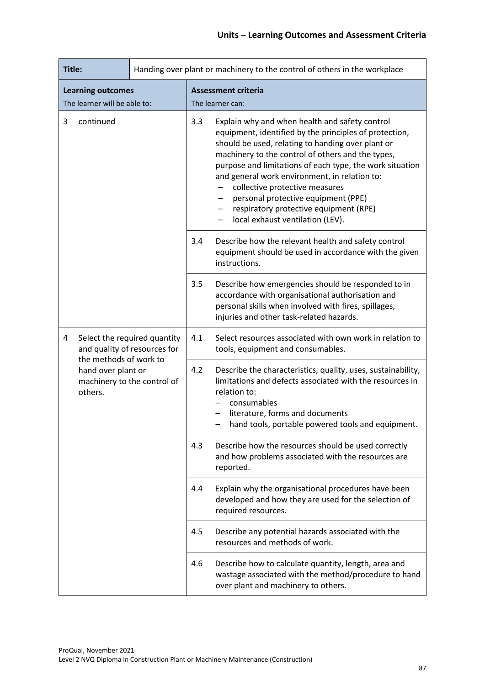| Title:                                                                                 | Handing over plant or machinery to the control of others in the workplace |     |                                                                                                                                                                                                                                                                                                                                                                                                                                                                                        |
|----------------------------------------------------------------------------------------|---------------------------------------------------------------------------|-----|----------------------------------------------------------------------------------------------------------------------------------------------------------------------------------------------------------------------------------------------------------------------------------------------------------------------------------------------------------------------------------------------------------------------------------------------------------------------------------------|
| <b>Learning outcomes</b>                                                               |                                                                           |     | <b>Assessment criteria</b>                                                                                                                                                                                                                                                                                                                                                                                                                                                             |
| The learner will be able to:                                                           |                                                                           |     | The learner can:                                                                                                                                                                                                                                                                                                                                                                                                                                                                       |
| 3<br>continued                                                                         |                                                                           | 3.3 | Explain why and when health and safety control<br>equipment, identified by the principles of protection,<br>should be used, relating to handing over plant or<br>machinery to the control of others and the types,<br>purpose and limitations of each type, the work situation<br>and general work environment, in relation to:<br>collective protective measures<br>personal protective equipment (PPE)<br>respiratory protective equipment (RPE)<br>local exhaust ventilation (LEV). |
|                                                                                        |                                                                           | 3.4 | Describe how the relevant health and safety control<br>equipment should be used in accordance with the given<br>instructions.                                                                                                                                                                                                                                                                                                                                                          |
|                                                                                        |                                                                           | 3.5 | Describe how emergencies should be responded to in<br>accordance with organisational authorisation and<br>personal skills when involved with fires, spillages,<br>injuries and other task-related hazards.                                                                                                                                                                                                                                                                             |
| Select the required quantity<br>4<br>and quality of resources for                      |                                                                           | 4.1 | Select resources associated with own work in relation to<br>tools, equipment and consumables.                                                                                                                                                                                                                                                                                                                                                                                          |
| the methods of work to<br>hand over plant or<br>machinery to the control of<br>others. |                                                                           | 4.2 | Describe the characteristics, quality, uses, sustainability,<br>limitations and defects associated with the resources in<br>relation to:<br>consumables<br>literature, forms and documents<br>hand tools, portable powered tools and equipment.                                                                                                                                                                                                                                        |
|                                                                                        |                                                                           | 4.3 | Describe how the resources should be used correctly<br>and how problems associated with the resources are<br>reported.                                                                                                                                                                                                                                                                                                                                                                 |
|                                                                                        |                                                                           | 4.4 | Explain why the organisational procedures have been<br>developed and how they are used for the selection of<br>required resources.                                                                                                                                                                                                                                                                                                                                                     |
|                                                                                        |                                                                           | 4.5 | Describe any potential hazards associated with the<br>resources and methods of work.                                                                                                                                                                                                                                                                                                                                                                                                   |
|                                                                                        |                                                                           | 4.6 | Describe how to calculate quantity, length, area and<br>wastage associated with the method/procedure to hand<br>over plant and machinery to others.                                                                                                                                                                                                                                                                                                                                    |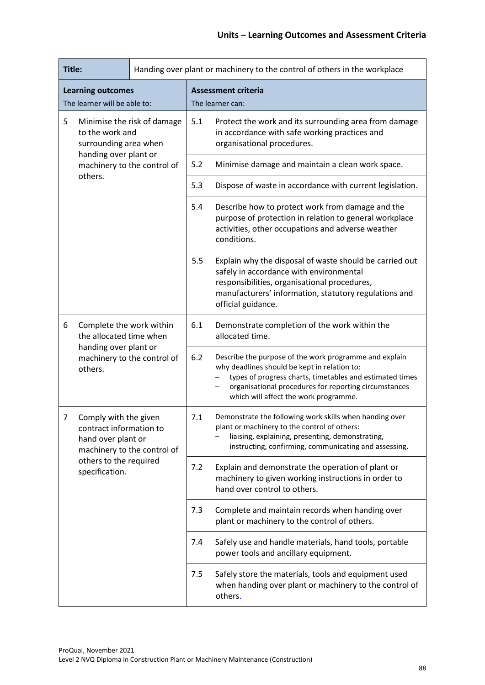| Title:                                                                                                       |                                                                                                                                                   |                                                                                                                                      | Handing over plant or machinery to the control of others in the workplace                                                                                                                                                                                            |                                                                                                                                          |
|--------------------------------------------------------------------------------------------------------------|---------------------------------------------------------------------------------------------------------------------------------------------------|--------------------------------------------------------------------------------------------------------------------------------------|----------------------------------------------------------------------------------------------------------------------------------------------------------------------------------------------------------------------------------------------------------------------|------------------------------------------------------------------------------------------------------------------------------------------|
| <b>Learning outcomes</b>                                                                                     |                                                                                                                                                   |                                                                                                                                      | <b>Assessment criteria</b><br>The learner can:                                                                                                                                                                                                                       |                                                                                                                                          |
| The learner will be able to:<br>5<br>Minimise the risk of damage<br>to the work and<br>surrounding area when | 5.1                                                                                                                                               | Protect the work and its surrounding area from damage<br>in accordance with safe working practices and<br>organisational procedures. |                                                                                                                                                                                                                                                                      |                                                                                                                                          |
|                                                                                                              | handing over plant or<br>machinery to the control of                                                                                              |                                                                                                                                      | 5.2                                                                                                                                                                                                                                                                  | Minimise damage and maintain a clean work space.                                                                                         |
|                                                                                                              | others.                                                                                                                                           |                                                                                                                                      | 5.3                                                                                                                                                                                                                                                                  | Dispose of waste in accordance with current legislation.                                                                                 |
|                                                                                                              |                                                                                                                                                   | 5.4                                                                                                                                  | Describe how to protect work from damage and the<br>purpose of protection in relation to general workplace<br>activities, other occupations and adverse weather<br>conditions.                                                                                       |                                                                                                                                          |
|                                                                                                              |                                                                                                                                                   | 5.5                                                                                                                                  | Explain why the disposal of waste should be carried out<br>safely in accordance with environmental<br>responsibilities, organisational procedures,<br>manufacturers' information, statutory regulations and<br>official guidance.                                    |                                                                                                                                          |
| 6                                                                                                            | Complete the work within<br>the allocated time when<br>handing over plant or<br>machinery to the control of<br>others.                            |                                                                                                                                      | 6.1                                                                                                                                                                                                                                                                  | Demonstrate completion of the work within the<br>allocated time.                                                                         |
|                                                                                                              |                                                                                                                                                   | 6.2                                                                                                                                  | Describe the purpose of the work programme and explain<br>why deadlines should be kept in relation to:<br>types of progress charts, timetables and estimated times<br>organisational procedures for reporting circumstances<br>which will affect the work programme. |                                                                                                                                          |
| 7                                                                                                            | Comply with the given<br>contract information to<br>hand over plant or<br>machinery to the control of<br>others to the required<br>specification. | 7.1                                                                                                                                  | Demonstrate the following work skills when handing over<br>plant or machinery to the control of others:<br>liaising, explaining, presenting, demonstrating,<br>instructing, confirming, communicating and assessing.                                                 |                                                                                                                                          |
|                                                                                                              |                                                                                                                                                   |                                                                                                                                      | 7.2                                                                                                                                                                                                                                                                  | Explain and demonstrate the operation of plant or<br>machinery to given working instructions in order to<br>hand over control to others. |
|                                                                                                              |                                                                                                                                                   |                                                                                                                                      | 7.3                                                                                                                                                                                                                                                                  | Complete and maintain records when handing over<br>plant or machinery to the control of others.                                          |
|                                                                                                              |                                                                                                                                                   |                                                                                                                                      | 7.4                                                                                                                                                                                                                                                                  | Safely use and handle materials, hand tools, portable<br>power tools and ancillary equipment.                                            |
|                                                                                                              |                                                                                                                                                   |                                                                                                                                      | 7.5                                                                                                                                                                                                                                                                  | Safely store the materials, tools and equipment used<br>when handing over plant or machinery to the control of<br>others.                |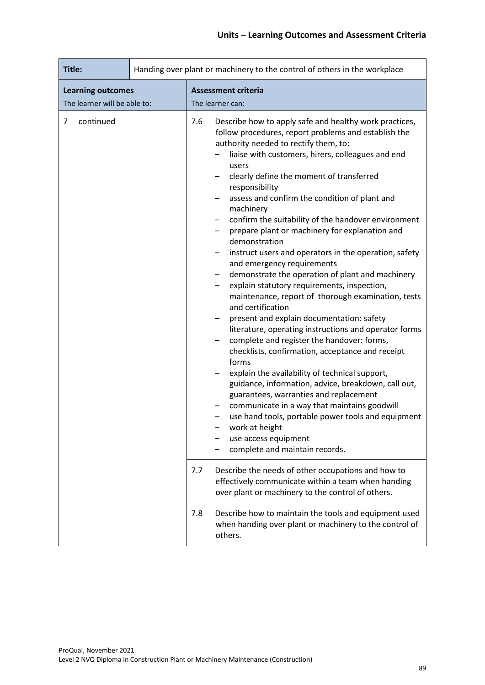| Title:                                                   | Handing over plant or machinery to the control of others in the workplace |                                                                                                                                                                                                                                                                                                                                                                                                                                                                                                                                                                                                                                                                                                                                                                                                                                                                                                                                                                                                                                                                                                                                                                                                                                                                                                                                                                            |
|----------------------------------------------------------|---------------------------------------------------------------------------|----------------------------------------------------------------------------------------------------------------------------------------------------------------------------------------------------------------------------------------------------------------------------------------------------------------------------------------------------------------------------------------------------------------------------------------------------------------------------------------------------------------------------------------------------------------------------------------------------------------------------------------------------------------------------------------------------------------------------------------------------------------------------------------------------------------------------------------------------------------------------------------------------------------------------------------------------------------------------------------------------------------------------------------------------------------------------------------------------------------------------------------------------------------------------------------------------------------------------------------------------------------------------------------------------------------------------------------------------------------------------|
| <b>Learning outcomes</b><br>The learner will be able to: |                                                                           | <b>Assessment criteria</b><br>The learner can:                                                                                                                                                                                                                                                                                                                                                                                                                                                                                                                                                                                                                                                                                                                                                                                                                                                                                                                                                                                                                                                                                                                                                                                                                                                                                                                             |
| continued<br>7                                           |                                                                           | 7.6<br>Describe how to apply safe and healthy work practices,<br>follow procedures, report problems and establish the<br>authority needed to rectify them, to:<br>liaise with customers, hirers, colleagues and end<br>users<br>clearly define the moment of transferred<br>responsibility<br>assess and confirm the condition of plant and<br>machinery<br>confirm the suitability of the handover environment<br>prepare plant or machinery for explanation and<br>demonstration<br>instruct users and operators in the operation, safety<br>and emergency requirements<br>demonstrate the operation of plant and machinery<br>explain statutory requirements, inspection,<br>maintenance, report of thorough examination, tests<br>and certification<br>present and explain documentation: safety<br>literature, operating instructions and operator forms<br>complete and register the handover: forms,<br>checklists, confirmation, acceptance and receipt<br>forms<br>explain the availability of technical support,<br>guidance, information, advice, breakdown, call out,<br>guarantees, warranties and replacement<br>communicate in a way that maintains goodwill<br>use hand tools, portable power tools and equipment<br>work at height<br>use access equipment<br>complete and maintain records.<br>Describe the needs of other occupations and how to<br>7.7 |
|                                                          |                                                                           | effectively communicate within a team when handing<br>over plant or machinery to the control of others.                                                                                                                                                                                                                                                                                                                                                                                                                                                                                                                                                                                                                                                                                                                                                                                                                                                                                                                                                                                                                                                                                                                                                                                                                                                                    |
|                                                          |                                                                           | 7.8<br>Describe how to maintain the tools and equipment used<br>when handing over plant or machinery to the control of<br>others.                                                                                                                                                                                                                                                                                                                                                                                                                                                                                                                                                                                                                                                                                                                                                                                                                                                                                                                                                                                                                                                                                                                                                                                                                                          |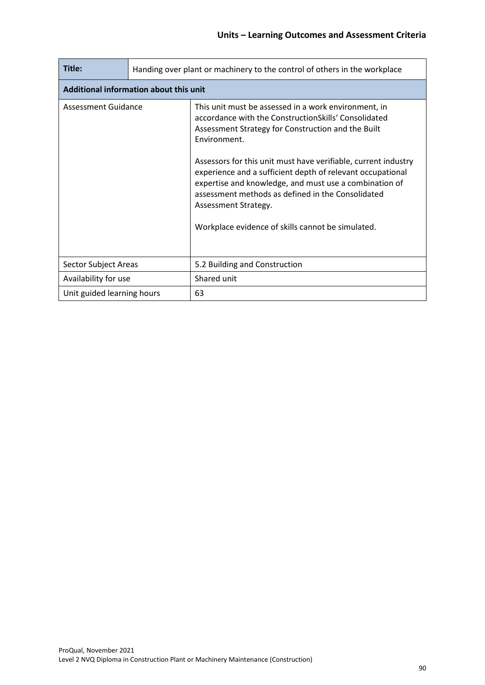| Title:                     | Handing over plant or machinery to the control of others in the workplace |                                                                                                                                                                                                                                                                                                                                                                                                                                                                                                                |  |  |
|----------------------------|---------------------------------------------------------------------------|----------------------------------------------------------------------------------------------------------------------------------------------------------------------------------------------------------------------------------------------------------------------------------------------------------------------------------------------------------------------------------------------------------------------------------------------------------------------------------------------------------------|--|--|
|                            | Additional information about this unit                                    |                                                                                                                                                                                                                                                                                                                                                                                                                                                                                                                |  |  |
| Assessment Guidance        |                                                                           | This unit must be assessed in a work environment, in<br>accordance with the ConstructionSkills' Consolidated<br>Assessment Strategy for Construction and the Built<br>Environment.<br>Assessors for this unit must have verifiable, current industry<br>experience and a sufficient depth of relevant occupational<br>expertise and knowledge, and must use a combination of<br>assessment methods as defined in the Consolidated<br>Assessment Strategy.<br>Workplace evidence of skills cannot be simulated. |  |  |
| Sector Subject Areas       |                                                                           | 5.2 Building and Construction                                                                                                                                                                                                                                                                                                                                                                                                                                                                                  |  |  |
| Availability for use       |                                                                           | Shared unit                                                                                                                                                                                                                                                                                                                                                                                                                                                                                                    |  |  |
| Unit guided learning hours |                                                                           | 63                                                                                                                                                                                                                                                                                                                                                                                                                                                                                                             |  |  |